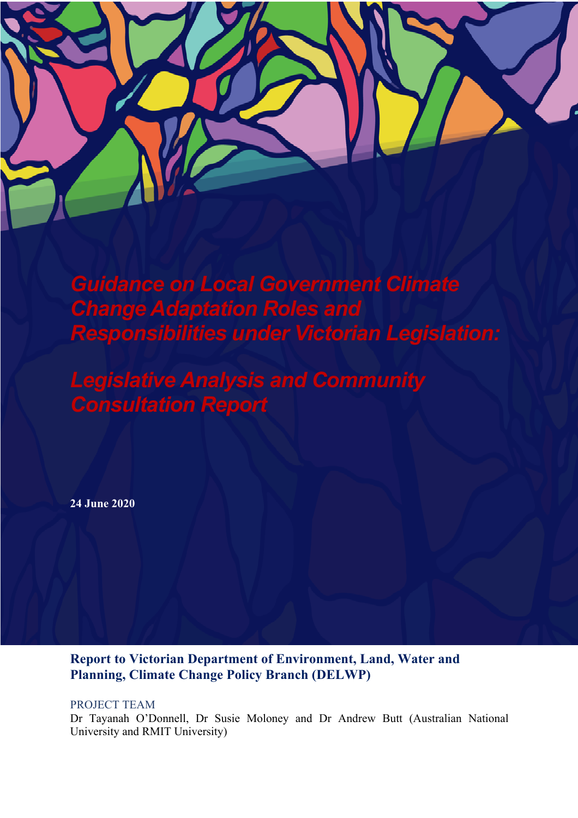

*Guidance on Local Government Climate Change Adaptation Roles and Responsibilities under Victorian Legislation:*

*Legislative Analysis and Community Consultation Report*

**24 June 2020**

**Report to Victorian Department of Environment, Land, Water and Planning, Climate Change Policy Branch (DELWP)**

PROJECT TEAM

Dr Tayanah O'Donnell, Dr Susie Moloney and Dr Andrew Butt (Australian National University and RMIT University)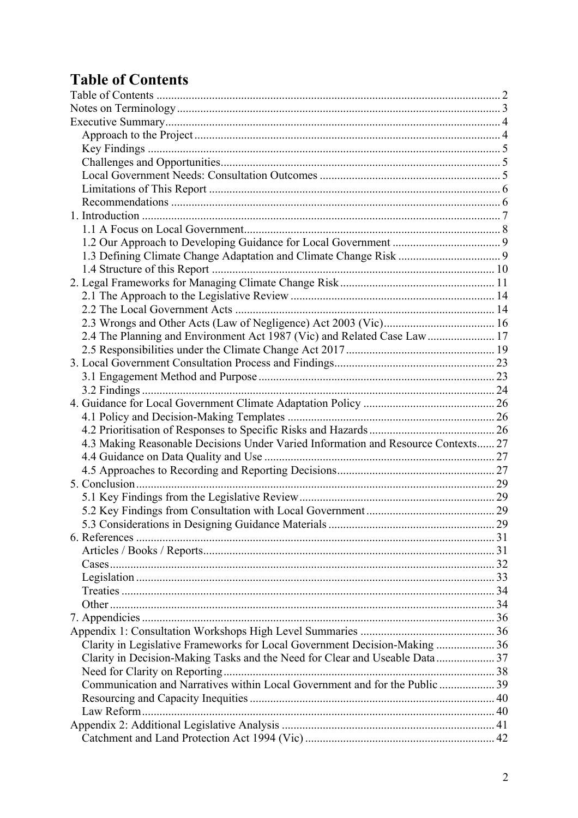# **Table of Contents**

| 2.4 The Planning and Environment Act 1987 (Vic) and Related Case Law  17          |  |
|-----------------------------------------------------------------------------------|--|
|                                                                                   |  |
|                                                                                   |  |
|                                                                                   |  |
|                                                                                   |  |
|                                                                                   |  |
|                                                                                   |  |
|                                                                                   |  |
| 4.3 Making Reasonable Decisions Under Varied Information and Resource Contexts 27 |  |
|                                                                                   |  |
|                                                                                   |  |
|                                                                                   |  |
|                                                                                   |  |
|                                                                                   |  |
|                                                                                   |  |
|                                                                                   |  |
|                                                                                   |  |
|                                                                                   |  |
|                                                                                   |  |
|                                                                                   |  |
|                                                                                   |  |
|                                                                                   |  |
|                                                                                   |  |
| Clarity in Legislative Frameworks for Local Government Decision-Making  36        |  |
| Clarity in Decision-Making Tasks and the Need for Clear and Useable Data37        |  |
|                                                                                   |  |
| Communication and Narratives within Local Government and for the Public  39       |  |
|                                                                                   |  |
|                                                                                   |  |
|                                                                                   |  |
|                                                                                   |  |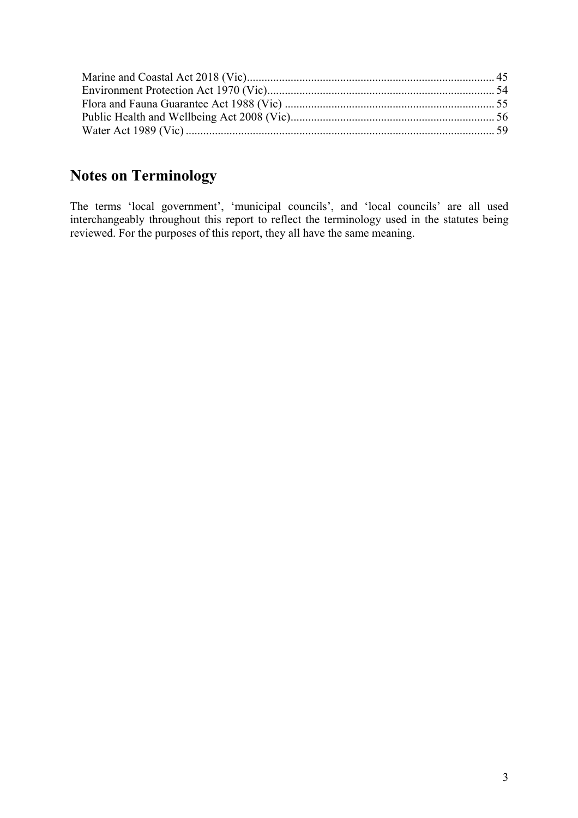# **Notes on Terminology**

The terms 'local government', 'municipal councils', and 'local councils' are all used interchangeably throughout this report to reflect the terminology used in the statutes being reviewed. For the purposes of this report, they all have the same meaning.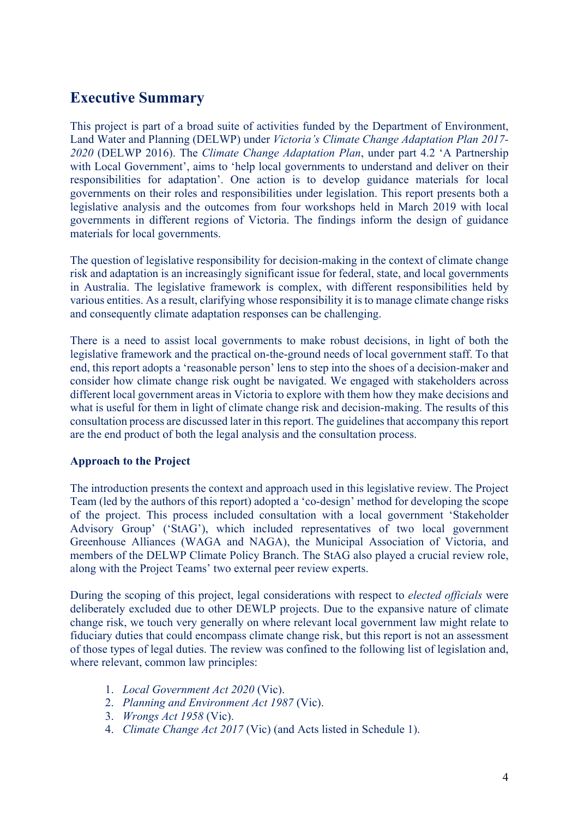# **Executive Summary**

This project is part of a broad suite of activities funded by the Department of Environment, Land Water and Planning (DELWP) under *Victoria's Climate Change Adaptation Plan 2017- 2020* (DELWP 2016). The *Climate Change Adaptation Plan*, under part 4.2 'A Partnership with Local Government', aims to 'help local governments to understand and deliver on their responsibilities for adaptation'. One action is to develop guidance materials for local governments on their roles and responsibilities under legislation. This report presents both a legislative analysis and the outcomes from four workshops held in March 2019 with local governments in different regions of Victoria. The findings inform the design of guidance materials for local governments.

The question of legislative responsibility for decision-making in the context of climate change risk and adaptation is an increasingly significant issue for federal, state, and local governments in Australia. The legislative framework is complex, with different responsibilities held by various entities. As a result, clarifying whose responsibility it is to manage climate change risks and consequently climate adaptation responses can be challenging.

There is a need to assist local governments to make robust decisions, in light of both the legislative framework and the practical on-the-ground needs of local government staff. To that end, this report adopts a 'reasonable person' lens to step into the shoes of a decision-maker and consider how climate change risk ought be navigated. We engaged with stakeholders across different local government areas in Victoria to explore with them how they make decisions and what is useful for them in light of climate change risk and decision-making. The results of this consultation process are discussed later in this report. The guidelines that accompany this report are the end product of both the legal analysis and the consultation process.

# **Approach to the Project**

The introduction presents the context and approach used in this legislative review. The Project Team (led by the authors of this report) adopted a 'co-design' method for developing the scope of the project. This process included consultation with a local government 'Stakeholder Advisory Group' ('StAG'), which included representatives of two local government Greenhouse Alliances (WAGA and NAGA), the Municipal Association of Victoria, and members of the DELWP Climate Policy Branch. The StAG also played a crucial review role, along with the Project Teams' two external peer review experts.

During the scoping of this project, legal considerations with respect to *elected officials* were deliberately excluded due to other DEWLP projects. Due to the expansive nature of climate change risk, we touch very generally on where relevant local government law might relate to fiduciary duties that could encompass climate change risk, but this report is not an assessment of those types of legal duties. The review was confined to the following list of legislation and, where relevant, common law principles:

- 1. *Local Government Act 2020* (Vic).
- 2. *Planning and Environment Act 1987* (Vic).
- 3. *Wrongs Act 1958* (Vic).
- 4. *Climate Change Act 2017* (Vic) (and Acts listed in Schedule 1).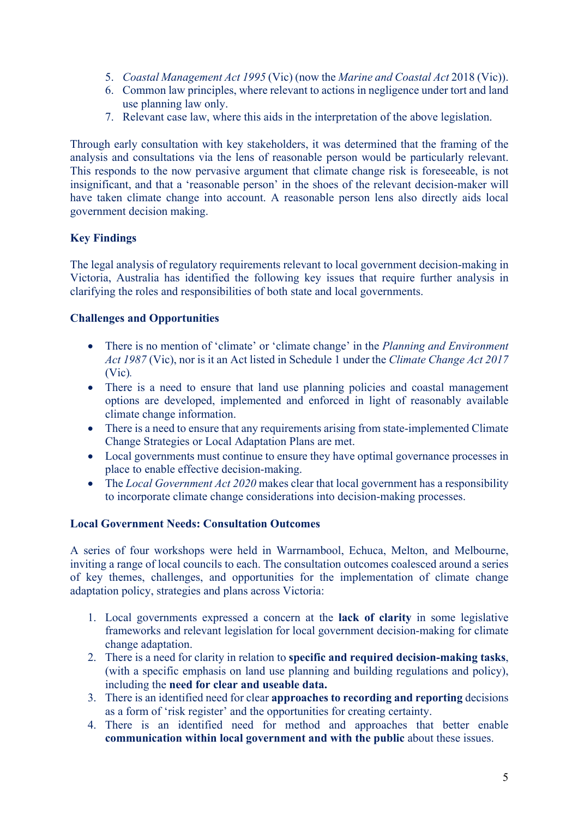- 5. *Coastal Management Act 1995* (Vic) (now the *Marine and Coastal Act* 2018 (Vic)).
- 6. Common law principles, where relevant to actions in negligence under tort and land use planning law only.
- 7. Relevant case law, where this aids in the interpretation of the above legislation.

Through early consultation with key stakeholders, it was determined that the framing of the analysis and consultations via the lens of reasonable person would be particularly relevant. This responds to the now pervasive argument that climate change risk is foreseeable, is not insignificant, and that a 'reasonable person' in the shoes of the relevant decision-maker will have taken climate change into account. A reasonable person lens also directly aids local government decision making.

# **Key Findings**

The legal analysis of regulatory requirements relevant to local government decision-making in Victoria, Australia has identified the following key issues that require further analysis in clarifying the roles and responsibilities of both state and local governments.

# **Challenges and Opportunities**

- There is no mention of 'climate' or 'climate change' in the *Planning and Environment Act 1987* (Vic), nor is it an Act listed in Schedule 1 under the *Climate Change Act 2017*  (Vic)*.*
- There is a need to ensure that land use planning policies and coastal management options are developed, implemented and enforced in light of reasonably available climate change information.
- There is a need to ensure that any requirements arising from state-implemented Climate Change Strategies or Local Adaptation Plans are met.
- Local governments must continue to ensure they have optimal governance processes in place to enable effective decision-making.
- The *Local Government Act 2020* makes clear that local government has a responsibility to incorporate climate change considerations into decision-making processes.

# **Local Government Needs: Consultation Outcomes**

A series of four workshops were held in Warrnambool, Echuca, Melton, and Melbourne, inviting a range of local councils to each. The consultation outcomes coalesced around a series of key themes, challenges, and opportunities for the implementation of climate change adaptation policy, strategies and plans across Victoria:

- 1. Local governments expressed a concern at the **lack of clarity** in some legislative frameworks and relevant legislation for local government decision-making for climate change adaptation.
- 2. There is a need for clarity in relation to **specific and required decision-making tasks**, (with a specific emphasis on land use planning and building regulations and policy), including the **need for clear and useable data.**
- 3. There is an identified need for clear **approaches to recording and reporting** decisions as a form of 'risk register' and the opportunities for creating certainty.
- 4. There is an identified need for method and approaches that better enable **communication within local government and with the public** about these issues.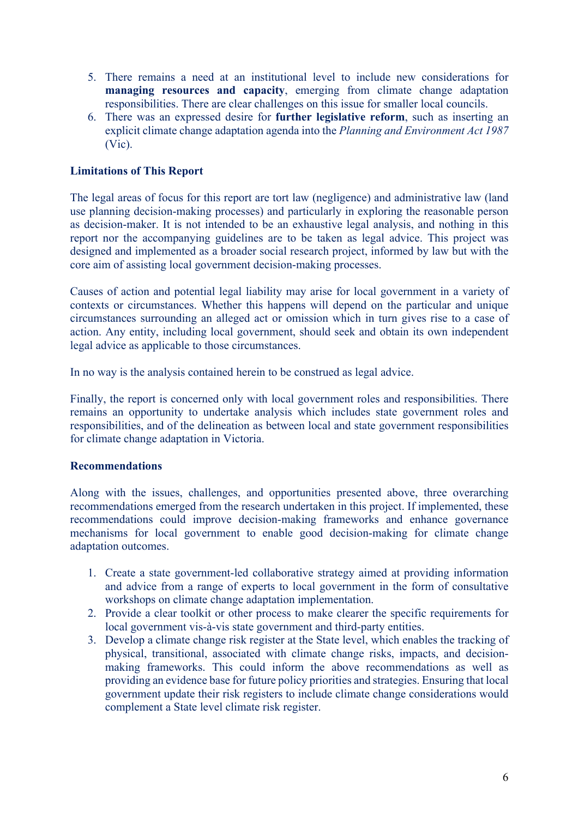- 5. There remains a need at an institutional level to include new considerations for **managing resources and capacity**, emerging from climate change adaptation responsibilities. There are clear challenges on this issue for smaller local councils.
- 6. There was an expressed desire for **further legislative reform**, such as inserting an explicit climate change adaptation agenda into the *Planning and Environment Act 1987* (Vic).

#### **Limitations of This Report**

The legal areas of focus for this report are tort law (negligence) and administrative law (land use planning decision-making processes) and particularly in exploring the reasonable person as decision-maker. It is not intended to be an exhaustive legal analysis, and nothing in this report nor the accompanying guidelines are to be taken as legal advice. This project was designed and implemented as a broader social research project, informed by law but with the core aim of assisting local government decision-making processes.

Causes of action and potential legal liability may arise for local government in a variety of contexts or circumstances. Whether this happens will depend on the particular and unique circumstances surrounding an alleged act or omission which in turn gives rise to a case of action. Any entity, including local government, should seek and obtain its own independent legal advice as applicable to those circumstances.

In no way is the analysis contained herein to be construed as legal advice.

Finally, the report is concerned only with local government roles and responsibilities. There remains an opportunity to undertake analysis which includes state government roles and responsibilities, and of the delineation as between local and state government responsibilities for climate change adaptation in Victoria.

#### **Recommendations**

Along with the issues, challenges, and opportunities presented above, three overarching recommendations emerged from the research undertaken in this project. If implemented, these recommendations could improve decision-making frameworks and enhance governance mechanisms for local government to enable good decision-making for climate change adaptation outcomes.

- 1. Create a state government-led collaborative strategy aimed at providing information and advice from a range of experts to local government in the form of consultative workshops on climate change adaptation implementation.
- 2. Provide a clear toolkit or other process to make clearer the specific requirements for local government vis-à-vis state government and third-party entities.
- 3. Develop a climate change risk register at the State level, which enables the tracking of physical, transitional, associated with climate change risks, impacts, and decisionmaking frameworks. This could inform the above recommendations as well as providing an evidence base for future policy priorities and strategies. Ensuring that local government update their risk registers to include climate change considerations would complement a State level climate risk register.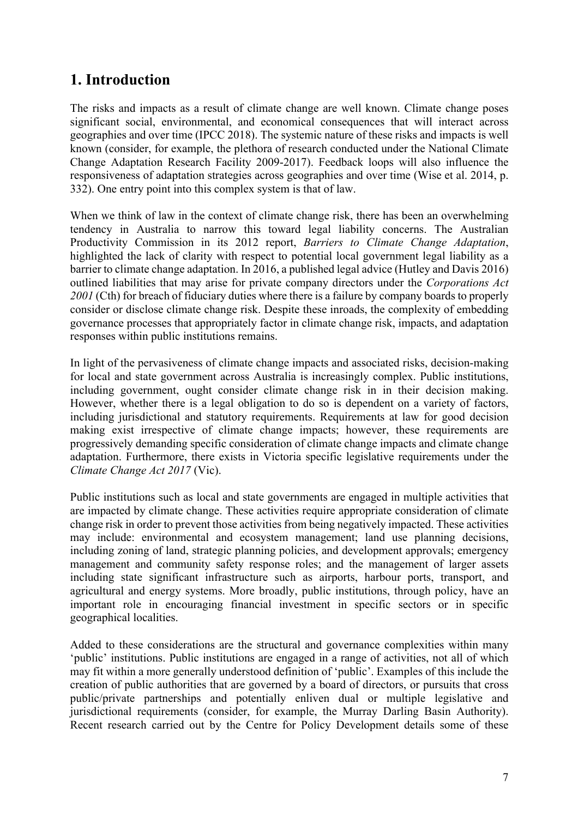# **1. Introduction**

The risks and impacts as a result of climate change are well known. Climate change poses significant social, environmental, and economical consequences that will interact across geographies and over time (IPCC 2018). The systemic nature of these risks and impacts is well known (consider, for example, the plethora of research conducted under the National Climate Change Adaptation Research Facility 2009-2017). Feedback loops will also influence the responsiveness of adaptation strategies across geographies and over time (Wise et al. 2014, p. 332). One entry point into this complex system is that of law.

When we think of law in the context of climate change risk, there has been an overwhelming tendency in Australia to narrow this toward legal liability concerns. The Australian Productivity Commission in its 2012 report, *Barriers to Climate Change Adaptation*, highlighted the lack of clarity with respect to potential local government legal liability as a barrier to climate change adaptation. In 2016, a published legal advice (Hutley and Davis 2016) outlined liabilities that may arise for private company directors under the *Corporations Act 2001* (Cth) for breach of fiduciary duties where there is a failure by company boards to properly consider or disclose climate change risk. Despite these inroads, the complexity of embedding governance processes that appropriately factor in climate change risk, impacts, and adaptation responses within public institutions remains.

In light of the pervasiveness of climate change impacts and associated risks, decision-making for local and state government across Australia is increasingly complex. Public institutions, including government, ought consider climate change risk in in their decision making. However, whether there is a legal obligation to do so is dependent on a variety of factors, including jurisdictional and statutory requirements. Requirements at law for good decision making exist irrespective of climate change impacts; however, these requirements are progressively demanding specific consideration of climate change impacts and climate change adaptation. Furthermore, there exists in Victoria specific legislative requirements under the *Climate Change Act 2017* (Vic).

Public institutions such as local and state governments are engaged in multiple activities that are impacted by climate change. These activities require appropriate consideration of climate change risk in order to prevent those activities from being negatively impacted. These activities may include: environmental and ecosystem management; land use planning decisions, including zoning of land, strategic planning policies, and development approvals; emergency management and community safety response roles; and the management of larger assets including state significant infrastructure such as airports, harbour ports, transport, and agricultural and energy systems. More broadly, public institutions, through policy, have an important role in encouraging financial investment in specific sectors or in specific geographical localities.

Added to these considerations are the structural and governance complexities within many 'public' institutions. Public institutions are engaged in a range of activities, not all of which may fit within a more generally understood definition of 'public'. Examples of this include the creation of public authorities that are governed by a board of directors, or pursuits that cross public/private partnerships and potentially enliven dual or multiple legislative and jurisdictional requirements (consider, for example, the Murray Darling Basin Authority). Recent research carried out by the Centre for Policy Development details some of these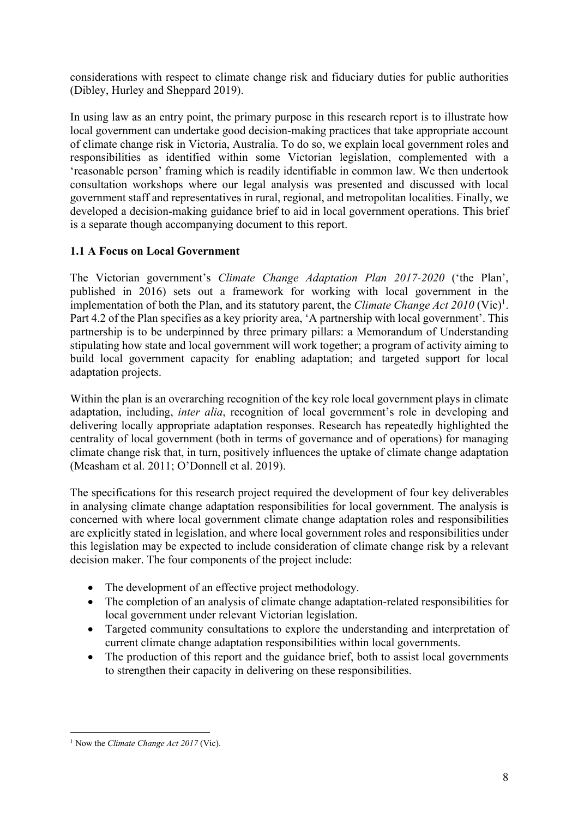considerations with respect to climate change risk and fiduciary duties for public authorities (Dibley, Hurley and Sheppard 2019).

In using law as an entry point, the primary purpose in this research report is to illustrate how local government can undertake good decision-making practices that take appropriate account of climate change risk in Victoria, Australia. To do so, we explain local government roles and responsibilities as identified within some Victorian legislation, complemented with a 'reasonable person' framing which is readily identifiable in common law. We then undertook consultation workshops where our legal analysis was presented and discussed with local government staff and representatives in rural, regional, and metropolitan localities. Finally, we developed a decision-making guidance brief to aid in local government operations. This brief is a separate though accompanying document to this report.

# **1.1 A Focus on Local Government**

The Victorian government's *Climate Change Adaptation Plan 2017-2020* ('the Plan', published in 2016) sets out a framework for working with local government in the implementation of both the Plan, and its statutory parent, the *Climate Change Act*  $2010$  (Vic)<sup>1</sup>. Part 4.2 of the Plan specifies as a key priority area, 'A partnership with local government'. This partnership is to be underpinned by three primary pillars: a Memorandum of Understanding stipulating how state and local government will work together; a program of activity aiming to build local government capacity for enabling adaptation; and targeted support for local adaptation projects.

Within the plan is an overarching recognition of the key role local government plays in climate adaptation, including, *inter alia*, recognition of local government's role in developing and delivering locally appropriate adaptation responses. Research has repeatedly highlighted the centrality of local government (both in terms of governance and of operations) for managing climate change risk that, in turn, positively influences the uptake of climate change adaptation (Measham et al. 2011; O'Donnell et al. 2019).

The specifications for this research project required the development of four key deliverables in analysing climate change adaptation responsibilities for local government. The analysis is concerned with where local government climate change adaptation roles and responsibilities are explicitly stated in legislation, and where local government roles and responsibilities under this legislation may be expected to include consideration of climate change risk by a relevant decision maker. The four components of the project include:

- The development of an effective project methodology.
- The completion of an analysis of climate change adaptation-related responsibilities for local government under relevant Victorian legislation.
- Targeted community consultations to explore the understanding and interpretation of current climate change adaptation responsibilities within local governments.
- The production of this report and the guidance brief, both to assist local governments to strengthen their capacity in delivering on these responsibilities.

<sup>1</sup> Now the *Climate Change Act 2017* (Vic).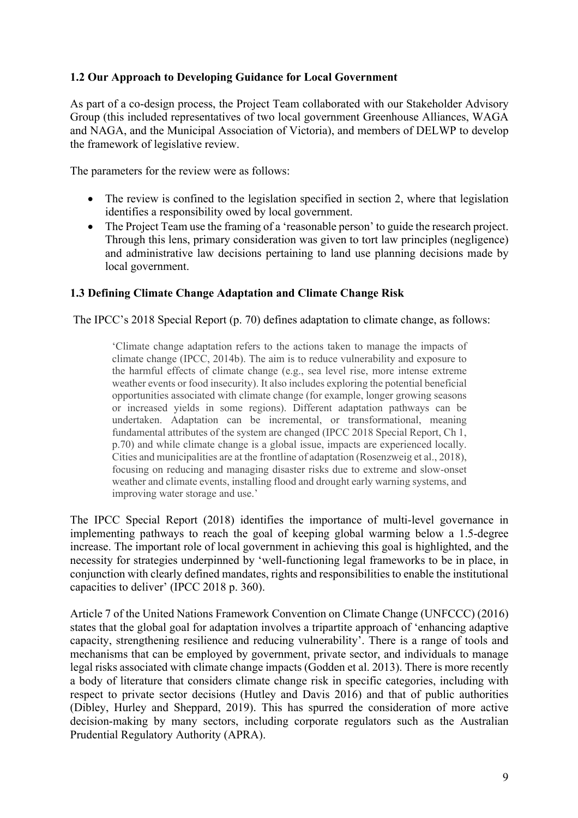# **1.2 Our Approach to Developing Guidance for Local Government**

As part of a co-design process, the Project Team collaborated with our Stakeholder Advisory Group (this included representatives of two local government Greenhouse Alliances, WAGA and NAGA, and the Municipal Association of Victoria), and members of DELWP to develop the framework of legislative review.

The parameters for the review were as follows:

- The review is confined to the legislation specified in section 2, where that legislation identifies a responsibility owed by local government.
- The Project Team use the framing of a 'reasonable person' to guide the research project. Through this lens, primary consideration was given to tort law principles (negligence) and administrative law decisions pertaining to land use planning decisions made by local government.

# **1.3 Defining Climate Change Adaptation and Climate Change Risk**

The IPCC's 2018 Special Report (p. 70) defines adaptation to climate change, as follows:

'Climate change adaptation refers to the actions taken to manage the impacts of climate change (IPCC, 2014b). The aim is to reduce vulnerability and exposure to the harmful effects of climate change (e.g., sea level rise, more intense extreme weather events or food insecurity). It also includes exploring the potential beneficial opportunities associated with climate change (for example, longer growing seasons or increased yields in some regions). Different adaptation pathways can be undertaken. Adaptation can be incremental, or transformational, meaning fundamental attributes of the system are changed (IPCC 2018 Special Report, Ch 1, p.70) and while climate change is a global issue, impacts are experienced locally. Cities and municipalities are at the frontline of adaptation (Rosenzweig et al., 2018), focusing on reducing and managing disaster risks due to extreme and slow-onset weather and climate events, installing flood and drought early warning systems, and improving water storage and use.'

The IPCC Special Report (2018) identifies the importance of multi-level governance in implementing pathways to reach the goal of keeping global warming below a 1.5-degree increase. The important role of local government in achieving this goal is highlighted, and the necessity for strategies underpinned by 'well-functioning legal frameworks to be in place, in conjunction with clearly defined mandates, rights and responsibilities to enable the institutional capacities to deliver' (IPCC 2018 p. 360).

Article 7 of the United Nations Framework Convention on Climate Change (UNFCCC) (2016) states that the global goal for adaptation involves a tripartite approach of 'enhancing adaptive capacity, strengthening resilience and reducing vulnerability'. There is a range of tools and mechanisms that can be employed by government, private sector, and individuals to manage legal risks associated with climate change impacts (Godden et al. 2013). There is more recently a body of literature that considers climate change risk in specific categories, including with respect to private sector decisions (Hutley and Davis 2016) and that of public authorities (Dibley, Hurley and Sheppard, 2019). This has spurred the consideration of more active decision-making by many sectors, including corporate regulators such as the Australian Prudential Regulatory Authority (APRA).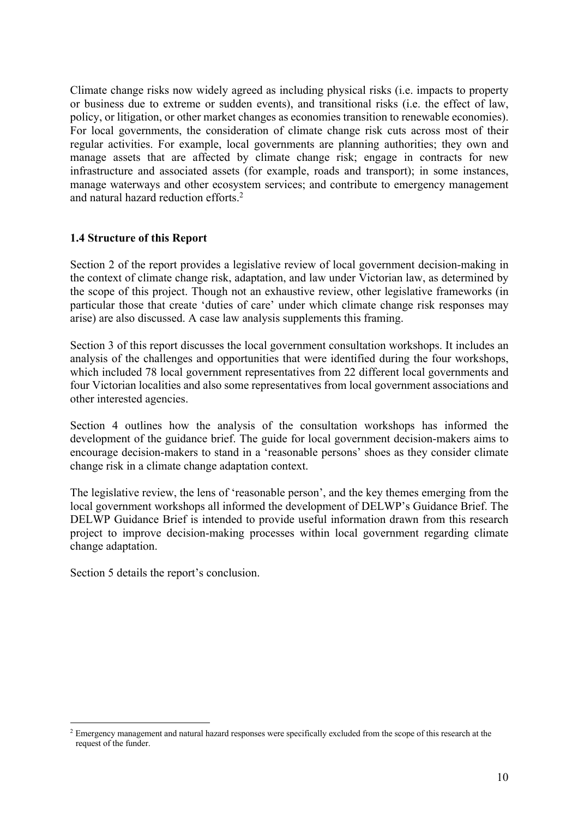Climate change risks now widely agreed as including physical risks (i.e. impacts to property or business due to extreme or sudden events), and transitional risks (i.e. the effect of law, policy, or litigation, or other market changes as economies transition to renewable economies). For local governments, the consideration of climate change risk cuts across most of their regular activities. For example, local governments are planning authorities; they own and manage assets that are affected by climate change risk; engage in contracts for new infrastructure and associated assets (for example, roads and transport); in some instances, manage waterways and other ecosystem services; and contribute to emergency management and natural hazard reduction efforts.2

#### **1.4 Structure of this Report**

Section 2 of the report provides a legislative review of local government decision-making in the context of climate change risk, adaptation, and law under Victorian law, as determined by the scope of this project. Though not an exhaustive review, other legislative frameworks (in particular those that create 'duties of care' under which climate change risk responses may arise) are also discussed. A case law analysis supplements this framing.

Section 3 of this report discusses the local government consultation workshops. It includes an analysis of the challenges and opportunities that were identified during the four workshops, which included 78 local government representatives from 22 different local governments and four Victorian localities and also some representatives from local government associations and other interested agencies.

Section 4 outlines how the analysis of the consultation workshops has informed the development of the guidance brief. The guide for local government decision-makers aims to encourage decision-makers to stand in a 'reasonable persons' shoes as they consider climate change risk in a climate change adaptation context.

The legislative review, the lens of 'reasonable person', and the key themes emerging from the local government workshops all informed the development of DELWP's Guidance Brief. The DELWP Guidance Brief is intended to provide useful information drawn from this research project to improve decision-making processes within local government regarding climate change adaptation.

Section 5 details the report's conclusion.

<sup>&</sup>lt;sup>2</sup> Emergency management and natural hazard responses were specifically excluded from the scope of this research at the request of the funder.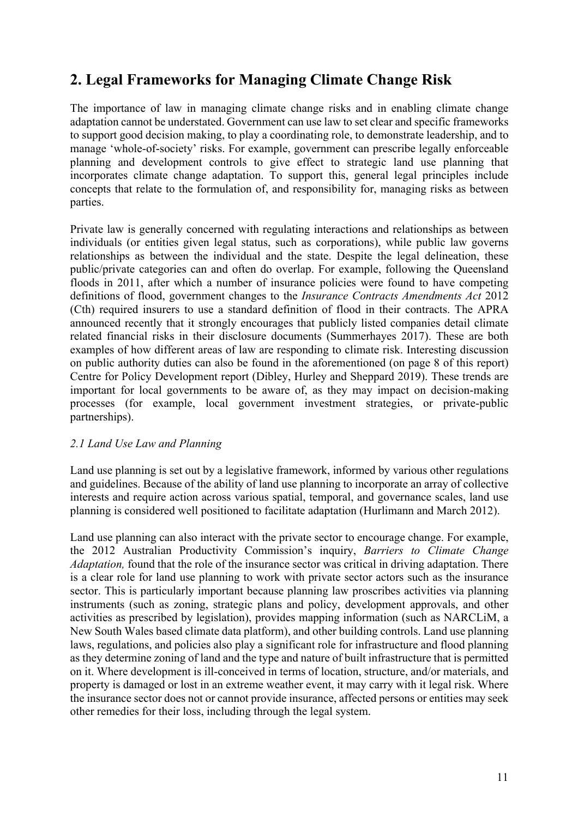# **2. Legal Frameworks for Managing Climate Change Risk**

The importance of law in managing climate change risks and in enabling climate change adaptation cannot be understated. Government can use law to set clear and specific frameworks to support good decision making, to play a coordinating role, to demonstrate leadership, and to manage 'whole-of-society' risks. For example, government can prescribe legally enforceable planning and development controls to give effect to strategic land use planning that incorporates climate change adaptation. To support this, general legal principles include concepts that relate to the formulation of, and responsibility for, managing risks as between parties.

Private law is generally concerned with regulating interactions and relationships as between individuals (or entities given legal status, such as corporations), while public law governs relationships as between the individual and the state. Despite the legal delineation, these public/private categories can and often do overlap. For example, following the Queensland floods in 2011, after which a number of insurance policies were found to have competing definitions of flood, government changes to the *Insurance Contracts Amendments Act* 2012 (Cth) required insurers to use a standard definition of flood in their contracts. The APRA announced recently that it strongly encourages that publicly listed companies detail climate related financial risks in their disclosure documents (Summerhayes 2017). These are both examples of how different areas of law are responding to climate risk. Interesting discussion on public authority duties can also be found in the aforementioned (on page 8 of this report) Centre for Policy Development report (Dibley, Hurley and Sheppard 2019). These trends are important for local governments to be aware of, as they may impact on decision-making processes (for example, local government investment strategies, or private-public partnerships).

# *2.1 Land Use Law and Planning*

Land use planning is set out by a legislative framework, informed by various other regulations and guidelines. Because of the ability of land use planning to incorporate an array of collective interests and require action across various spatial, temporal, and governance scales, land use planning is considered well positioned to facilitate adaptation (Hurlimann and March 2012).

Land use planning can also interact with the private sector to encourage change. For example, the 2012 Australian Productivity Commission's inquiry, *Barriers to Climate Change Adaptation,* found that the role of the insurance sector was critical in driving adaptation. There is a clear role for land use planning to work with private sector actors such as the insurance sector. This is particularly important because planning law proscribes activities via planning instruments (such as zoning, strategic plans and policy, development approvals, and other activities as prescribed by legislation), provides mapping information (such as NARCLiM, a New South Wales based climate data platform), and other building controls. Land use planning laws, regulations, and policies also play a significant role for infrastructure and flood planning as they determine zoning of land and the type and nature of built infrastructure that is permitted on it. Where development is ill-conceived in terms of location, structure, and/or materials, and property is damaged or lost in an extreme weather event, it may carry with it legal risk. Where the insurance sector does not or cannot provide insurance, affected persons or entities may seek other remedies for their loss, including through the legal system.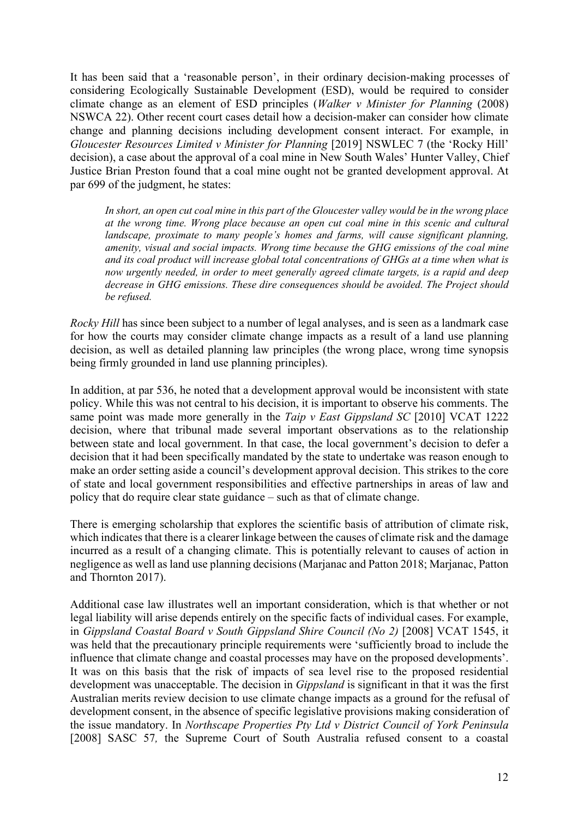It has been said that a 'reasonable person', in their ordinary decision-making processes of considering Ecologically Sustainable Development (ESD), would be required to consider climate change as an element of ESD principles (*Walker v Minister for Planning* (2008) NSWCA 22). Other recent court cases detail how a decision-maker can consider how climate change and planning decisions including development consent interact. For example, in *Gloucester Resources Limited v Minister for Planning* [2019] NSWLEC 7 (the 'Rocky Hill' decision), a case about the approval of a coal mine in New South Wales' Hunter Valley, Chief Justice Brian Preston found that a coal mine ought not be granted development approval. At par 699 of the judgment, he states:

*In short, an open cut coal mine in this part of the Gloucester valley would be in the wrong place at the wrong time. Wrong place because an open cut coal mine in this scenic and cultural landscape, proximate to many people's homes and farms, will cause significant planning, amenity, visual and social impacts. Wrong time because the GHG emissions of the coal mine and its coal product will increase global total concentrations of GHGs at a time when what is now urgently needed, in order to meet generally agreed climate targets, is a rapid and deep decrease in GHG emissions. These dire consequences should be avoided. The Project should be refused.*

*Rocky Hill* has since been subject to a number of legal analyses, and is seen as a landmark case for how the courts may consider climate change impacts as a result of a land use planning decision, as well as detailed planning law principles (the wrong place, wrong time synopsis being firmly grounded in land use planning principles).

In addition, at par 536, he noted that a development approval would be inconsistent with state policy. While this was not central to his decision, it is important to observe his comments. The same point was made more generally in the *Taip v East Gippsland SC* [2010] VCAT 1222 decision, where that tribunal made several important observations as to the relationship between state and local government. In that case, the local government's decision to defer a decision that it had been specifically mandated by the state to undertake was reason enough to make an order setting aside a council's development approval decision. This strikes to the core of state and local government responsibilities and effective partnerships in areas of law and policy that do require clear state guidance – such as that of climate change.

There is emerging scholarship that explores the scientific basis of attribution of climate risk, which indicates that there is a clearer linkage between the causes of climate risk and the damage incurred as a result of a changing climate. This is potentially relevant to causes of action in negligence as well as land use planning decisions (Marjanac and Patton 2018; Marjanac, Patton and Thornton 2017).

Additional case law illustrates well an important consideration, which is that whether or not legal liability will arise depends entirely on the specific facts of individual cases. For example, in *Gippsland Coastal Board v South Gippsland Shire Council (No 2)* [2008] VCAT 1545, it was held that the precautionary principle requirements were 'sufficiently broad to include the influence that climate change and coastal processes may have on the proposed developments'. It was on this basis that the risk of impacts of sea level rise to the proposed residential development was unacceptable. The decision in *Gippsland* is significant in that it was the first Australian merits review decision to use climate change impacts as a ground for the refusal of development consent, in the absence of specific legislative provisions making consideration of the issue mandatory. In *Northscape Properties Pty Ltd v District Council of York Peninsula*  [2008] SASC 57, the Supreme Court of South Australia refused consent to a coastal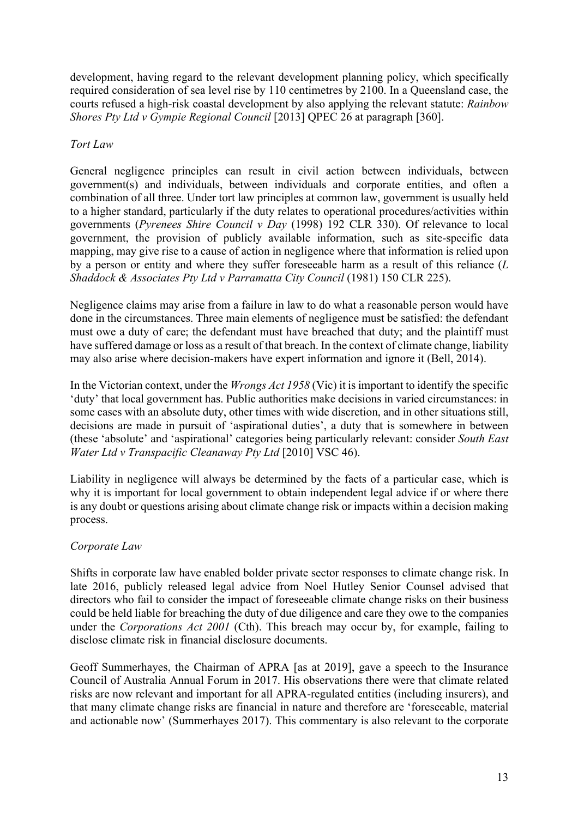development, having regard to the relevant development planning policy, which specifically required consideration of sea level rise by 110 centimetres by 2100. In a Queensland case, the courts refused a high-risk coastal development by also applying the relevant statute: *Rainbow Shores Pty Ltd v Gympie Regional Council* [2013] QPEC 26 at paragraph [360].

# *Tort Law*

General negligence principles can result in civil action between individuals, between government(s) and individuals, between individuals and corporate entities, and often a combination of all three. Under tort law principles at common law, government is usually held to a higher standard, particularly if the duty relates to operational procedures/activities within governments (*Pyrenees Shire Council v Day* (1998) 192 CLR 330). Of relevance to local government, the provision of publicly available information, such as site-specific data mapping, may give rise to a cause of action in negligence where that information is relied upon by a person or entity and where they suffer foreseeable harm as a result of this reliance (*L Shaddock & Associates Pty Ltd v Parramatta City Council* (1981) 150 CLR 225).

Negligence claims may arise from a failure in law to do what a reasonable person would have done in the circumstances. Three main elements of negligence must be satisfied: the defendant must owe a duty of care; the defendant must have breached that duty; and the plaintiff must have suffered damage or loss as a result of that breach. In the context of climate change, liability may also arise where decision-makers have expert information and ignore it (Bell, 2014).

In the Victorian context, under the *Wrongs Act 1958* (Vic) it is important to identify the specific 'duty' that local government has. Public authorities make decisions in varied circumstances: in some cases with an absolute duty, other times with wide discretion, and in other situations still, decisions are made in pursuit of 'aspirational duties', a duty that is somewhere in between (these 'absolute' and 'aspirational' categories being particularly relevant: consider *South East Water Ltd v Transpacific Cleanaway Pty Ltd* [2010] VSC 46).

Liability in negligence will always be determined by the facts of a particular case, which is why it is important for local government to obtain independent legal advice if or where there is any doubt or questions arising about climate change risk or impacts within a decision making process.

# *Corporate Law*

Shifts in corporate law have enabled bolder private sector responses to climate change risk. In late 2016, publicly released legal advice from Noel Hutley Senior Counsel advised that directors who fail to consider the impact of foreseeable climate change risks on their business could be held liable for breaching the duty of due diligence and care they owe to the companies under the *Corporations Act 2001* (Cth). This breach may occur by, for example, failing to disclose climate risk in financial disclosure documents.

Geoff Summerhayes, the Chairman of APRA [as at 2019], gave a speech to the Insurance Council of Australia Annual Forum in 2017. His observations there were that climate related risks are now relevant and important for all APRA-regulated entities (including insurers), and that many climate change risks are financial in nature and therefore are 'foreseeable, material and actionable now' (Summerhayes 2017). This commentary is also relevant to the corporate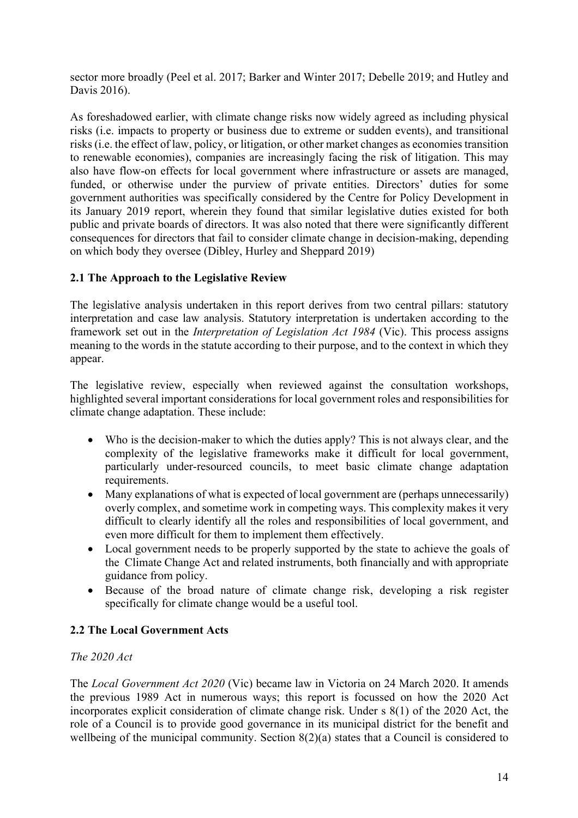sector more broadly (Peel et al. 2017; Barker and Winter 2017; Debelle 2019; and Hutley and Davis 2016).

As foreshadowed earlier, with climate change risks now widely agreed as including physical risks (i.e. impacts to property or business due to extreme or sudden events), and transitional risks (i.e. the effect of law, policy, or litigation, or other market changes as economies transition to renewable economies), companies are increasingly facing the risk of litigation. This may also have flow-on effects for local government where infrastructure or assets are managed, funded, or otherwise under the purview of private entities. Directors' duties for some government authorities was specifically considered by the Centre for Policy Development in its January 2019 report, wherein they found that similar legislative duties existed for both public and private boards of directors. It was also noted that there were significantly different consequences for directors that fail to consider climate change in decision-making, depending on which body they oversee (Dibley, Hurley and Sheppard 2019)

# **2.1 The Approach to the Legislative Review**

The legislative analysis undertaken in this report derives from two central pillars: statutory interpretation and case law analysis. Statutory interpretation is undertaken according to the framework set out in the *Interpretation of Legislation Act 1984* (Vic). This process assigns meaning to the words in the statute according to their purpose, and to the context in which they appear.

The legislative review, especially when reviewed against the consultation workshops, highlighted several important considerations for local government roles and responsibilities for climate change adaptation. These include:

- Who is the decision-maker to which the duties apply? This is not always clear, and the complexity of the legislative frameworks make it difficult for local government, particularly under-resourced councils, to meet basic climate change adaptation requirements.
- Many explanations of what is expected of local government are (perhaps unnecessarily) overly complex, and sometime work in competing ways. This complexity makes it very difficult to clearly identify all the roles and responsibilities of local government, and even more difficult for them to implement them effectively.
- Local government needs to be properly supported by the state to achieve the goals of the Climate Change Act and related instruments, both financially and with appropriate guidance from policy.
- Because of the broad nature of climate change risk, developing a risk register specifically for climate change would be a useful tool.

# **2.2 The Local Government Acts**

# *The 2020 Act*

The *Local Government Act 2020* (Vic) became law in Victoria on 24 March 2020. It amends the previous 1989 Act in numerous ways; this report is focussed on how the 2020 Act incorporates explicit consideration of climate change risk. Under s 8(1) of the 2020 Act, the role of a Council is to provide good governance in its municipal district for the benefit and wellbeing of the municipal community. Section 8(2)(a) states that a Council is considered to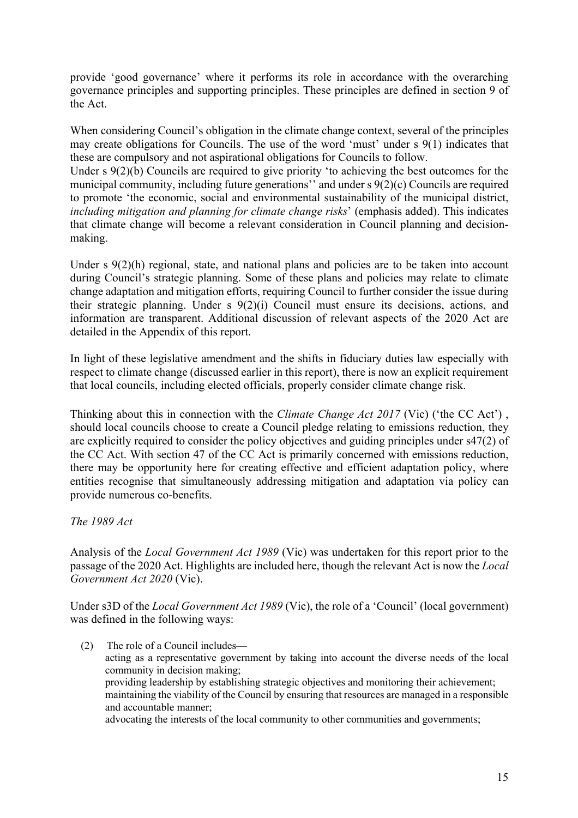provide 'good governance' where it performs its role in accordance with the overarching governance principles and supporting principles. These principles are defined in section 9 of the Act.

When considering Council's obligation in the climate change context, several of the principles may create obligations for Councils. The use of the word 'must' under s 9(1) indicates that these are compulsory and not aspirational obligations for Councils to follow.

Under s 9(2)(b) Councils are required to give priority 'to achieving the best outcomes for the municipal community, including future generations'' and under s 9(2)(c) Councils are required to promote 'the economic, social and environmental sustainability of the municipal district, *including mitigation and planning for climate change risks*' (emphasis added). This indicates that climate change will become a relevant consideration in Council planning and decisionmaking.

Under s 9(2)(h) regional, state, and national plans and policies are to be taken into account during Council's strategic planning. Some of these plans and policies may relate to climate change adaptation and mitigation efforts, requiring Council to further consider the issue during their strategic planning. Under s 9(2)(i) Council must ensure its decisions, actions, and information are transparent. Additional discussion of relevant aspects of the 2020 Act are detailed in the Appendix of this report.

In light of these legislative amendment and the shifts in fiduciary duties law especially with respect to climate change (discussed earlier in this report), there is now an explicit requirement that local councils, including elected officials, properly consider climate change risk.

Thinking about this in connection with the *Climate Change Act 2017* (Vic) ('the CC Act') , should local councils choose to create a Council pledge relating to emissions reduction, they are explicitly required to consider the policy objectives and guiding principles under s47(2) of the CC Act. With section 47 of the CC Act is primarily concerned with emissions reduction, there may be opportunity here for creating effective and efficient adaptation policy, where entities recognise that simultaneously addressing mitigation and adaptation via policy can provide numerous co-benefits.

*The 1989 Act*

Analysis of the *Local Government Act 1989* (Vic) was undertaken for this report prior to the passage of the 2020 Act. Highlights are included here, though the relevant Act is now the *Local Government Act 2020* (Vic).

Under s3D of the *Local Government Act 1989* (Vic), the role of a 'Council' (local government) was defined in the following ways:

 (2) The role of a Council includes acting as a representative government by taking into account the diverse needs of the local community in decision making; providing leadership by establishing strategic objectives and monitoring their achievement; maintaining the viability of the Council by ensuring that resources are managed in a responsible and accountable manner; advocating the interests of the local community to other communities and governments;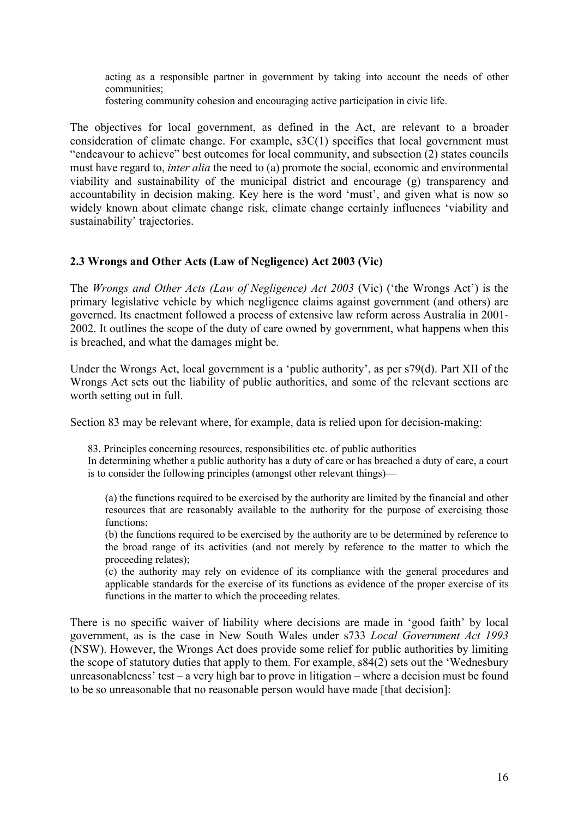acting as a responsible partner in government by taking into account the needs of other communities;

fostering community cohesion and encouraging active participation in civic life.

The objectives for local government, as defined in the Act, are relevant to a broader consideration of climate change. For example, s3C(1) specifies that local government must "endeavour to achieve" best outcomes for local community, and subsection (2) states councils must have regard to, *inter alia* the need to (a) promote the social, economic and environmental viability and sustainability of the municipal district and encourage (g) transparency and accountability in decision making. Key here is the word 'must', and given what is now so widely known about climate change risk, climate change certainly influences 'viability and sustainability' trajectories.

# **2.3 Wrongs and Other Acts (Law of Negligence) Act 2003 (Vic)**

The *Wrongs and Other Acts (Law of Negligence) Act 2003* (Vic) ('the Wrongs Act') is the primary legislative vehicle by which negligence claims against government (and others) are governed. Its enactment followed a process of extensive law reform across Australia in 2001- 2002. It outlines the scope of the duty of care owned by government, what happens when this is breached, and what the damages might be.

Under the Wrongs Act, local government is a 'public authority', as per s79(d). Part XII of the Wrongs Act sets out the liability of public authorities, and some of the relevant sections are worth setting out in full.

Section 83 may be relevant where, for example, data is relied upon for decision-making:

83. Principles concerning resources, responsibilities etc. of public authorities In determining whether a public authority has a duty of care or has breached a duty of care, a court is to consider the following principles (amongst other relevant things)—

(a) the functions required to be exercised by the authority are limited by the financial and other resources that are reasonably available to the authority for the purpose of exercising those functions;

(b) the functions required to be exercised by the authority are to be determined by reference to the broad range of its activities (and not merely by reference to the matter to which the proceeding relates);

(c) the authority may rely on evidence of its compliance with the general procedures and applicable standards for the exercise of its functions as evidence of the proper exercise of its functions in the matter to which the proceeding relates.

There is no specific waiver of liability where decisions are made in 'good faith' by local government, as is the case in New South Wales under s733 *Local Government Act 1993*  (NSW). However, the Wrongs Act does provide some relief for public authorities by limiting the scope of statutory duties that apply to them. For example, s84(2) sets out the 'Wednesbury unreasonableness' test – a very high bar to prove in litigation – where a decision must be found to be so unreasonable that no reasonable person would have made [that decision]: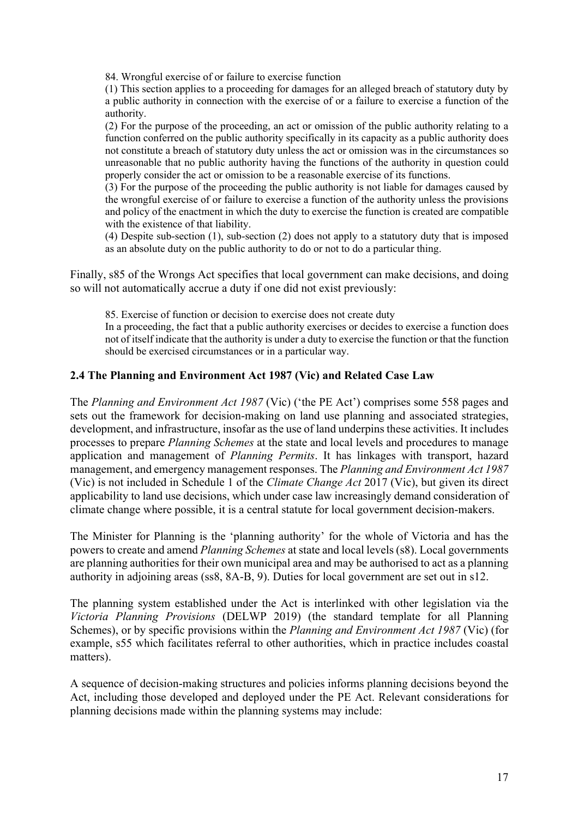84. Wrongful exercise of or failure to exercise function

(1) This section applies to a proceeding for damages for an alleged breach of statutory duty by a public authority in connection with the exercise of or a failure to exercise a function of the authority.

(2) For the purpose of the proceeding, an act or omission of the public authority relating to a function conferred on the public authority specifically in its capacity as a public authority does not constitute a breach of statutory duty unless the act or omission was in the circumstances so unreasonable that no public authority having the functions of the authority in question could properly consider the act or omission to be a reasonable exercise of its functions.

(3) For the purpose of the proceeding the public authority is not liable for damages caused by the wrongful exercise of or failure to exercise a function of the authority unless the provisions and policy of the enactment in which the duty to exercise the function is created are compatible with the existence of that liability.

(4) Despite sub-section (1), sub-section (2) does not apply to a statutory duty that is imposed as an absolute duty on the public authority to do or not to do a particular thing.

Finally, s85 of the Wrongs Act specifies that local government can make decisions, and doing so will not automatically accrue a duty if one did not exist previously:

85. Exercise of function or decision to exercise does not create duty

In a proceeding, the fact that a public authority exercises or decides to exercise a function does not of itself indicate that the authority is under a duty to exercise the function or that the function should be exercised circumstances or in a particular way.

#### **2.4 The Planning and Environment Act 1987 (Vic) and Related Case Law**

The *Planning and Environment Act 1987* (Vic) ('the PE Act') comprises some 558 pages and sets out the framework for decision-making on land use planning and associated strategies, development, and infrastructure, insofar as the use of land underpins these activities. It includes processes to prepare *Planning Schemes* at the state and local levels and procedures to manage application and management of *Planning Permits*. It has linkages with transport, hazard management, and emergency management responses. The *Planning and Environment Act 1987*  (Vic) is not included in Schedule 1 of the *Climate Change Act* 2017 (Vic), but given its direct applicability to land use decisions, which under case law increasingly demand consideration of climate change where possible, it is a central statute for local government decision-makers.

The Minister for Planning is the 'planning authority' for the whole of Victoria and has the powers to create and amend *Planning Schemes* at state and local levels (s8). Local governments are planning authorities for their own municipal area and may be authorised to act as a planning authority in adjoining areas (ss8, 8A-B, 9). Duties for local government are set out in s12.

The planning system established under the Act is interlinked with other legislation via the *Victoria Planning Provisions* (DELWP 2019) (the standard template for all Planning Schemes), or by specific provisions within the *Planning and Environment Act 1987* (Vic) (for example, s55 which facilitates referral to other authorities, which in practice includes coastal matters).

A sequence of decision-making structures and policies informs planning decisions beyond the Act, including those developed and deployed under the PE Act. Relevant considerations for planning decisions made within the planning systems may include: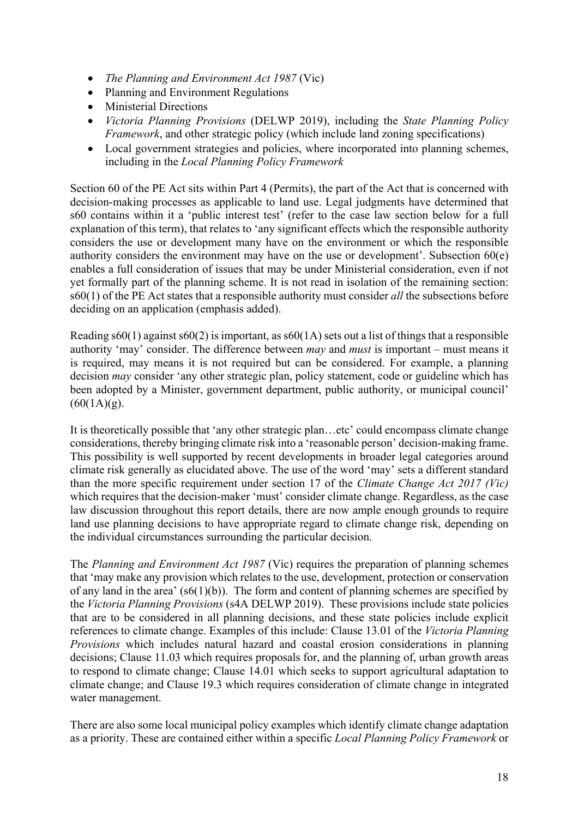- *The Planning and Environment Act 1987* (Vic)
- Planning and Environment Regulations
- Ministerial Directions
- *Victoria Planning Provisions* (DELWP 2019), including the *State Planning Policy Framework*, and other strategic policy (which include land zoning specifications)
- Local government strategies and policies, where incorporated into planning schemes, including in the *Local Planning Policy Framework*

Section 60 of the PE Act sits within Part 4 (Permits), the part of the Act that is concerned with decision-making processes as applicable to land use. Legal judgments have determined that s60 contains within it a 'public interest test' (refer to the case law section below for a full explanation of this term), that relates to 'any significant effects which the responsible authority considers the use or development many have on the environment or which the responsible authority considers the environment may have on the use or development'. Subsection 60(e) enables a full consideration of issues that may be under Ministerial consideration, even if not yet formally part of the planning scheme. It is not read in isolation of the remaining section: s60(1) of the PE Act states that a responsible authority must consider *all* the subsections before deciding on an application (emphasis added).

Reading  $s60(1)$  against  $s60(2)$  is important, as  $s60(1)$  sets out a list of things that a responsible authority 'may' consider. The difference between *may* and *must* is important – must means it is required, may means it is not required but can be considered. For example, a planning decision *may* consider 'any other strategic plan, policy statement, code or guideline which has been adopted by a Minister, government department, public authority, or municipal council'  $(60(1A)(g).$ 

It is theoretically possible that 'any other strategic plan…etc' could encompass climate change considerations, thereby bringing climate risk into a 'reasonable person' decision-making frame. This possibility is well supported by recent developments in broader legal categories around climate risk generally as elucidated above. The use of the word 'may' sets a different standard than the more specific requirement under section 17 of the *Climate Change Act 2017 (Vic)* which requires that the decision-maker 'must' consider climate change. Regardless, as the case law discussion throughout this report details, there are now ample enough grounds to require land use planning decisions to have appropriate regard to climate change risk, depending on the individual circumstances surrounding the particular decision.

The *Planning and Environment Act 1987* (Vic) requires the preparation of planning schemes that 'may make any provision which relates to the use, development, protection or conservation of any land in the area' (s6(1)(b)). The form and content of planning schemes are specified by the *Victoria Planning Provisions* (s4A DELWP 2019). These provisions include state policies that are to be considered in all planning decisions, and these state policies include explicit references to climate change. Examples of this include: Clause 13.01 of the *Victoria Planning Provisions* which includes natural hazard and coastal erosion considerations in planning decisions; Clause 11.03 which requires proposals for, and the planning of, urban growth areas to respond to climate change; Clause 14.01 which seeks to support agricultural adaptation to climate change; and Clause 19.3 which requires consideration of climate change in integrated water management.

There are also some local municipal policy examples which identify climate change adaptation as a priority. These are contained either within a specific *Local Planning Policy Framework* or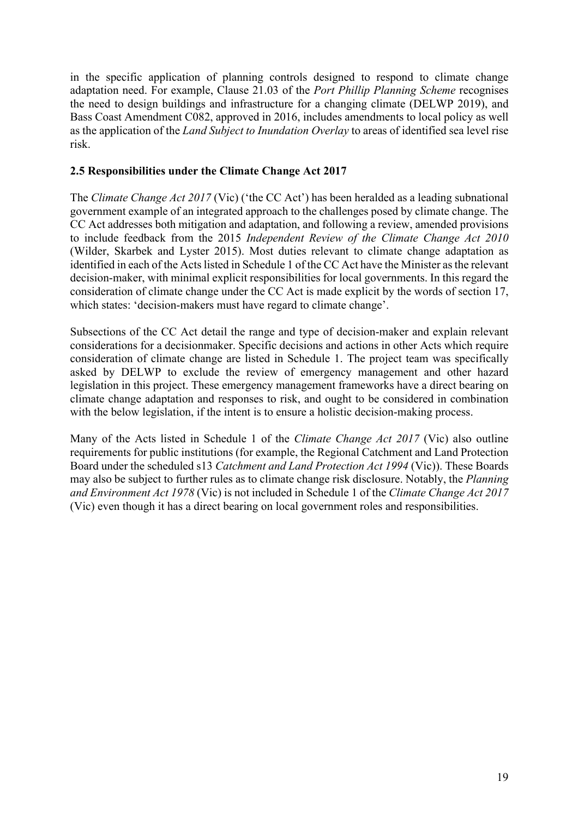in the specific application of planning controls designed to respond to climate change adaptation need. For example, Clause 21.03 of the *Port Phillip Planning Scheme* recognises the need to design buildings and infrastructure for a changing climate (DELWP 2019), and Bass Coast Amendment C082, approved in 2016, includes amendments to local policy as well as the application of the *Land Subject to Inundation Overlay* to areas of identified sea level rise risk.

# **2.5 Responsibilities under the Climate Change Act 2017**

The *Climate Change Act 2017* (Vic) ('the CC Act') has been heralded as a leading subnational government example of an integrated approach to the challenges posed by climate change. The CC Act addresses both mitigation and adaptation, and following a review, amended provisions to include feedback from the 2015 *Independent Review of the Climate Change Act 2010* (Wilder, Skarbek and Lyster 2015). Most duties relevant to climate change adaptation as identified in each of the Acts listed in Schedule 1 of the CC Act have the Minister as the relevant decision-maker, with minimal explicit responsibilities for local governments. In this regard the consideration of climate change under the CC Act is made explicit by the words of section 17, which states: 'decision-makers must have regard to climate change'.

Subsections of the CC Act detail the range and type of decision-maker and explain relevant considerations for a decisionmaker. Specific decisions and actions in other Acts which require consideration of climate change are listed in Schedule 1. The project team was specifically asked by DELWP to exclude the review of emergency management and other hazard legislation in this project. These emergency management frameworks have a direct bearing on climate change adaptation and responses to risk, and ought to be considered in combination with the below legislation, if the intent is to ensure a holistic decision-making process.

Many of the Acts listed in Schedule 1 of the *Climate Change Act 2017* (Vic) also outline requirements for public institutions (for example, the Regional Catchment and Land Protection Board under the scheduled s13 *Catchment and Land Protection Act 1994* (Vic)). These Boards may also be subject to further rules as to climate change risk disclosure. Notably, the *Planning and Environment Act 1978* (Vic) is not included in Schedule 1 of the *Climate Change Act 2017*  (Vic) even though it has a direct bearing on local government roles and responsibilities.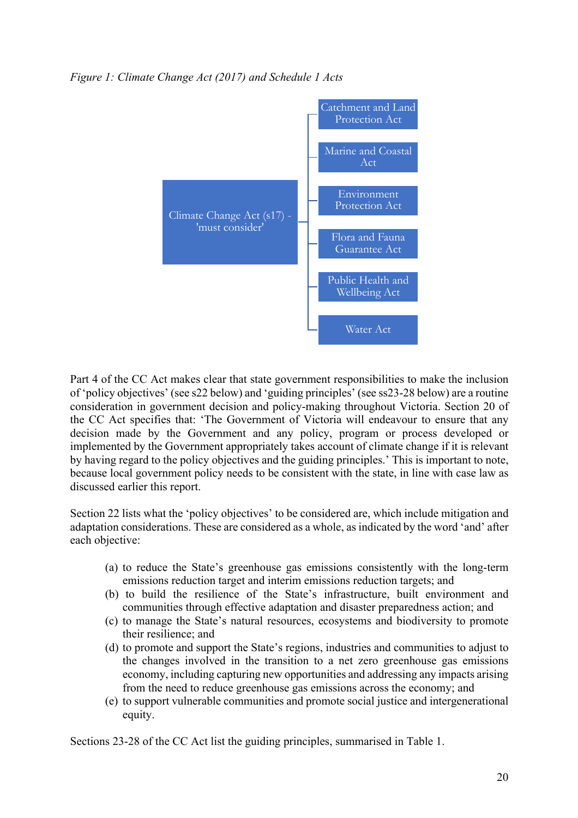*Figure 1: Climate Change Act (2017) and Schedule 1 Acts*



Part 4 of the CC Act makes clear that state government responsibilities to make the inclusion of 'policy objectives' (see s22 below) and 'guiding principles' (see ss23-28 below) are a routine consideration in government decision and policy-making throughout Victoria. Section 20 of the CC Act specifies that: 'The Government of Victoria will endeavour to ensure that any decision made by the Government and any policy, program or process developed or implemented by the Government appropriately takes account of climate change if it is relevant by having regard to the policy objectives and the guiding principles.' This is important to note, because local government policy needs to be consistent with the state, in line with case law as discussed earlier this report.

Section 22 lists what the 'policy objectives' to be considered are, which include mitigation and adaptation considerations. These are considered as a whole, as indicated by the word 'and' after each objective:

- (a) to reduce the State's greenhouse gas emissions consistently with the long-term emissions reduction target and interim emissions reduction targets; and
- (b) to build the resilience of the State's infrastructure, built environment and communities through effective adaptation and disaster preparedness action; and
- (c) to manage the State's natural resources, ecosystems and biodiversity to promote their resilience; and
- (d) to promote and support the State's regions, industries and communities to adjust to the changes involved in the transition to a net zero greenhouse gas emissions economy, including capturing new opportunities and addressing any impacts arising from the need to reduce greenhouse gas emissions across the economy; and
- (e) to support vulnerable communities and promote social justice and intergenerational equity.

Sections 23-28 of the CC Act list the guiding principles, summarised in Table 1.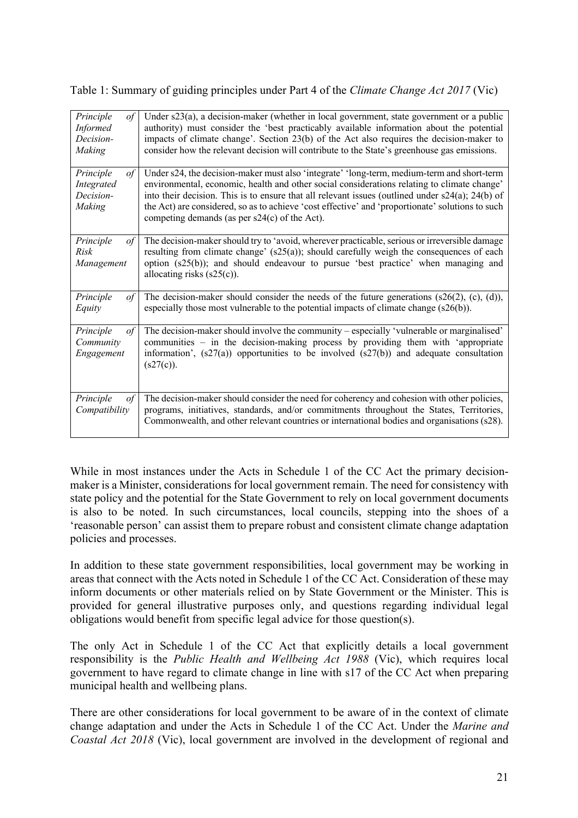Table 1: Summary of guiding principles under Part 4 of the *Climate Change Act 2017* (Vic)

| Principle<br>of<br><b>Informed</b><br>Decision-<br>Making | Under $s23(a)$ , a decision-maker (whether in local government, state government or a public<br>authority) must consider the 'best practicably available information about the potential<br>impacts of climate change'. Section 23(b) of the Act also requires the decision-maker to<br>consider how the relevant decision will contribute to the State's greenhouse gas emissions. |
|-----------------------------------------------------------|-------------------------------------------------------------------------------------------------------------------------------------------------------------------------------------------------------------------------------------------------------------------------------------------------------------------------------------------------------------------------------------|
| Principle                                                 | Under s24, the decision-maker must also 'integrate' 'long-term, medium-term and short-term                                                                                                                                                                                                                                                                                          |
| $\sigma f$                                                | environmental, economic, health and other social considerations relating to climate change'                                                                                                                                                                                                                                                                                         |
| Integrated                                                | into their decision. This is to ensure that all relevant issues (outlined under $s24(a)$ ; 24(b) of                                                                                                                                                                                                                                                                                 |
| Decision-                                                 | the Act) are considered, so as to achieve 'cost effective' and 'proportionate' solutions to such                                                                                                                                                                                                                                                                                    |
| Making                                                    | competing demands (as per $s24(c)$ of the Act).                                                                                                                                                                                                                                                                                                                                     |
| Principle                                                 | The decision-maker should try to 'avoid, wherever practicable, serious or irreversible damage                                                                                                                                                                                                                                                                                       |
| $\sigma f$                                                | resulting from climate change' (s25(a)); should carefully weigh the consequences of each                                                                                                                                                                                                                                                                                            |
| Risk                                                      | option $(s25(b))$ ; and should endeavour to pursue 'best practice' when managing and                                                                                                                                                                                                                                                                                                |
| Management                                                | allocating risks $(s25(c))$ .                                                                                                                                                                                                                                                                                                                                                       |
| Principle<br>$\sigma f$<br>Equity                         | The decision-maker should consider the needs of the future generations $(s26(2), (c), (d))$ ,<br>especially those most vulnerable to the potential impacts of climate change (s26(b)).                                                                                                                                                                                              |
| Principle                                                 | The decision-maker should involve the community - especially 'vulnerable or marginalised'                                                                                                                                                                                                                                                                                           |
| of                                                        | communities – in the decision-making process by providing them with 'appropriate                                                                                                                                                                                                                                                                                                    |
| Community                                                 | information', $(s27(a))$ opportunities to be involved $(s27(b))$ and adequate consultation                                                                                                                                                                                                                                                                                          |
| Engagement                                                | (s27(c)).                                                                                                                                                                                                                                                                                                                                                                           |
| Principle                                                 | The decision-maker should consider the need for coherency and cohesion with other policies,                                                                                                                                                                                                                                                                                         |
| of                                                        | programs, initiatives, standards, and/or commitments throughout the States, Territories,                                                                                                                                                                                                                                                                                            |
| Compatibility                                             | Commonwealth, and other relevant countries or international bodies and organisations (s28).                                                                                                                                                                                                                                                                                         |

While in most instances under the Acts in Schedule 1 of the CC Act the primary decisionmaker is a Minister, considerations for local government remain. The need for consistency with state policy and the potential for the State Government to rely on local government documents is also to be noted. In such circumstances, local councils, stepping into the shoes of a 'reasonable person' can assist them to prepare robust and consistent climate change adaptation policies and processes.

In addition to these state government responsibilities, local government may be working in areas that connect with the Acts noted in Schedule 1 of the CC Act. Consideration of these may inform documents or other materials relied on by State Government or the Minister. This is provided for general illustrative purposes only, and questions regarding individual legal obligations would benefit from specific legal advice for those question(s).

The only Act in Schedule 1 of the CC Act that explicitly details a local government responsibility is the *Public Health and Wellbeing Act 1988* (Vic), which requires local government to have regard to climate change in line with s17 of the CC Act when preparing municipal health and wellbeing plans.

There are other considerations for local government to be aware of in the context of climate change adaptation and under the Acts in Schedule 1 of the CC Act. Under the *Marine and Coastal Act 2018* (Vic), local government are involved in the development of regional and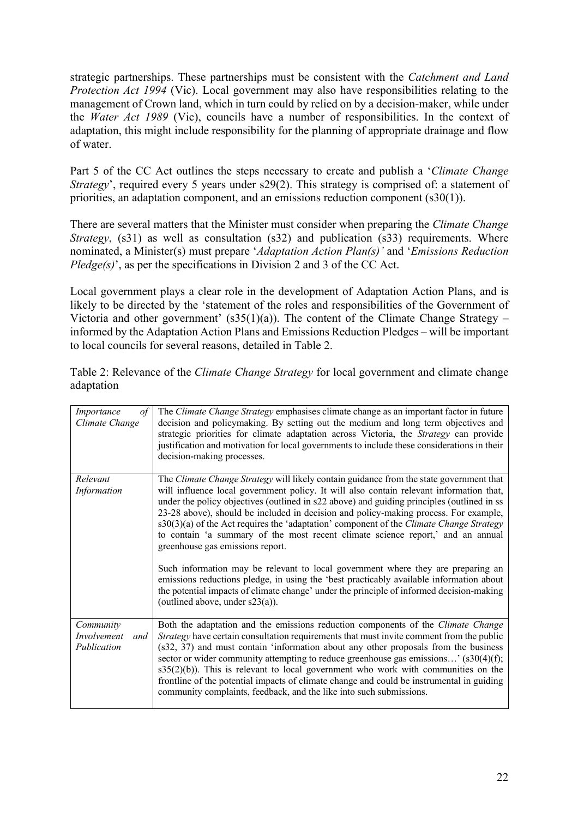strategic partnerships. These partnerships must be consistent with the *Catchment and Land Protection Act 1994* (Vic). Local government may also have responsibilities relating to the management of Crown land, which in turn could by relied on by a decision-maker, while under the *Water Act 1989* (Vic), councils have a number of responsibilities. In the context of adaptation, this might include responsibility for the planning of appropriate drainage and flow of water.

Part 5 of the CC Act outlines the steps necessary to create and publish a '*Climate Change Strategy*', required every 5 years under s29(2). This strategy is comprised of: a statement of priorities, an adaptation component, and an emissions reduction component (s30(1)).

There are several matters that the Minister must consider when preparing the *Climate Change Strategy*, (s31) as well as consultation (s32) and publication (s33) requirements. Where nominated, a Minister(s) must prepare '*Adaptation Action Plan(s)'* and '*Emissions Reduction Pledge(s)*, as per the specifications in Division 2 and 3 of the CC Act.

Local government plays a clear role in the development of Adaptation Action Plans, and is likely to be directed by the 'statement of the roles and responsibilities of the Government of Victoria and other government'  $(s35(1)(a))$ . The content of the Climate Change Strategy – informed by the Adaptation Action Plans and Emissions Reduction Pledges – will be important to local councils for several reasons, detailed in Table 2.

| Importance<br>of<br>Climate Change             | The Climate Change Strategy emphasises climate change as an important factor in future<br>decision and policymaking. By setting out the medium and long term objectives and<br>strategic priorities for climate adaptation across Victoria, the Strategy can provide<br>justification and motivation for local governments to include these considerations in their<br>decision-making processes.                                                                                                                                                                                                                         |
|------------------------------------------------|---------------------------------------------------------------------------------------------------------------------------------------------------------------------------------------------------------------------------------------------------------------------------------------------------------------------------------------------------------------------------------------------------------------------------------------------------------------------------------------------------------------------------------------------------------------------------------------------------------------------------|
| Relevant<br>Information                        | The Climate Change Strategy will likely contain guidance from the state government that<br>will influence local government policy. It will also contain relevant information that,<br>under the policy objectives (outlined in s22 above) and guiding principles (outlined in ss<br>23-28 above), should be included in decision and policy-making process. For example,<br>s30(3)(a) of the Act requires the 'adaptation' component of the Climate Change Strategy<br>to contain 'a summary of the most recent climate science report,' and an annual<br>greenhouse gas emissions report.                                |
|                                                | Such information may be relevant to local government where they are preparing an<br>emissions reductions pledge, in using the 'best practicably available information about<br>the potential impacts of climate change' under the principle of informed decision-making<br>(outlined above, under $s23(a)$ ).                                                                                                                                                                                                                                                                                                             |
| Community<br>Involvement<br>and<br>Publication | Both the adaptation and the emissions reduction components of the Climate Change<br>Strategy have certain consultation requirements that must invite comment from the public<br>(s32, 37) and must contain 'information about any other proposals from the business<br>sector or wider community attempting to reduce greenhouse gas emissions' $(s30(4)(f);$<br>$s35(2)(b)$ ). This is relevant to local government who work with communities on the<br>frontline of the potential impacts of climate change and could be instrumental in guiding<br>community complaints, feedback, and the like into such submissions. |

Table 2: Relevance of the *Climate Change Strategy* for local government and climate change adaptation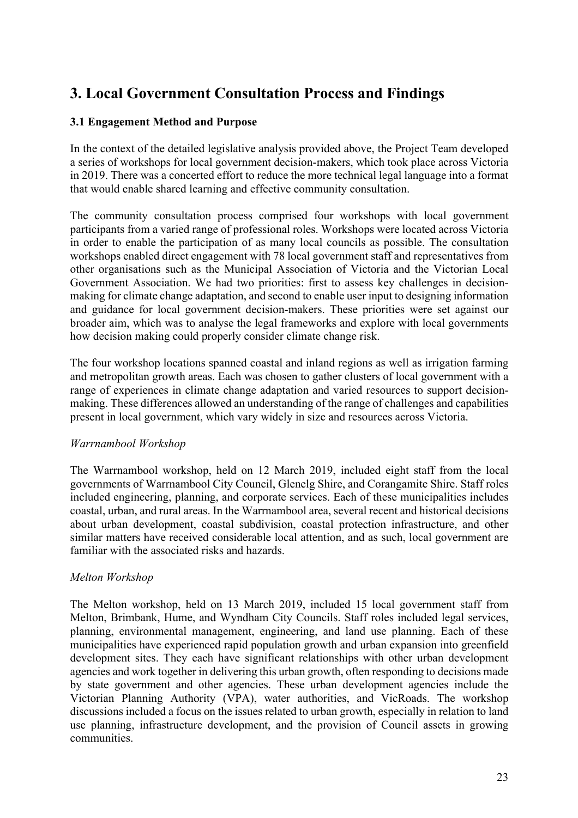# **3. Local Government Consultation Process and Findings**

# **3.1 Engagement Method and Purpose**

In the context of the detailed legislative analysis provided above, the Project Team developed a series of workshops for local government decision-makers, which took place across Victoria in 2019. There was a concerted effort to reduce the more technical legal language into a format that would enable shared learning and effective community consultation.

The community consultation process comprised four workshops with local government participants from a varied range of professional roles. Workshops were located across Victoria in order to enable the participation of as many local councils as possible. The consultation workshops enabled direct engagement with 78 local government staff and representatives from other organisations such as the Municipal Association of Victoria and the Victorian Local Government Association. We had two priorities: first to assess key challenges in decisionmaking for climate change adaptation, and second to enable user input to designing information and guidance for local government decision-makers. These priorities were set against our broader aim, which was to analyse the legal frameworks and explore with local governments how decision making could properly consider climate change risk.

The four workshop locations spanned coastal and inland regions as well as irrigation farming and metropolitan growth areas. Each was chosen to gather clusters of local government with a range of experiences in climate change adaptation and varied resources to support decisionmaking. These differences allowed an understanding of the range of challenges and capabilities present in local government, which vary widely in size and resources across Victoria.

# *Warrnambool Workshop*

The Warrnambool workshop, held on 12 March 2019, included eight staff from the local governments of Warrnambool City Council, Glenelg Shire, and Corangamite Shire. Staff roles included engineering, planning, and corporate services. Each of these municipalities includes coastal, urban, and rural areas. In the Warrnambool area, several recent and historical decisions about urban development, coastal subdivision, coastal protection infrastructure, and other similar matters have received considerable local attention, and as such, local government are familiar with the associated risks and hazards.

# *Melton Workshop*

The Melton workshop, held on 13 March 2019, included 15 local government staff from Melton, Brimbank, Hume, and Wyndham City Councils. Staff roles included legal services, planning, environmental management, engineering, and land use planning. Each of these municipalities have experienced rapid population growth and urban expansion into greenfield development sites. They each have significant relationships with other urban development agencies and work together in delivering this urban growth, often responding to decisions made by state government and other agencies. These urban development agencies include the Victorian Planning Authority (VPA), water authorities, and VicRoads. The workshop discussions included a focus on the issues related to urban growth, especially in relation to land use planning, infrastructure development, and the provision of Council assets in growing communities.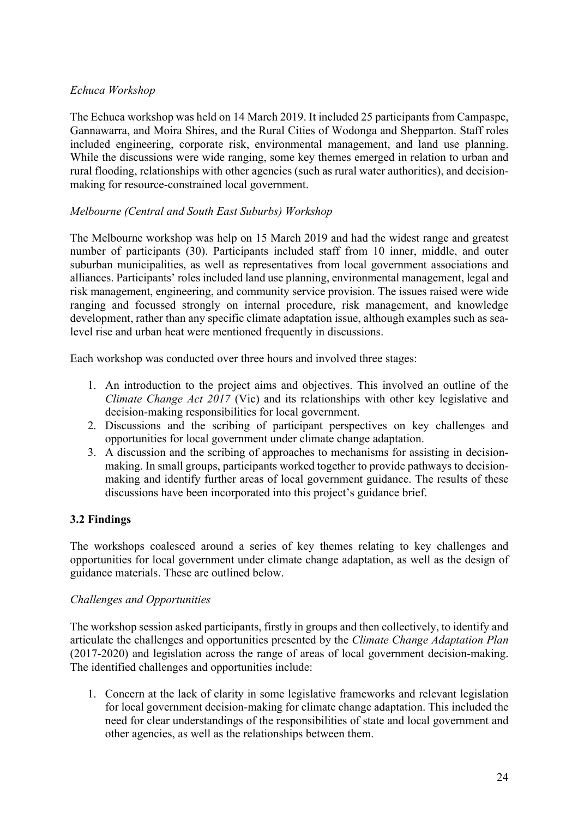# *Echuca Workshop*

The Echuca workshop was held on 14 March 2019. It included 25 participants from Campaspe, Gannawarra, and Moira Shires, and the Rural Cities of Wodonga and Shepparton. Staff roles included engineering, corporate risk, environmental management, and land use planning. While the discussions were wide ranging, some key themes emerged in relation to urban and rural flooding, relationships with other agencies (such as rural water authorities), and decisionmaking for resource-constrained local government.

# *Melbourne (Central and South East Suburbs) Workshop*

The Melbourne workshop was help on 15 March 2019 and had the widest range and greatest number of participants (30). Participants included staff from 10 inner, middle, and outer suburban municipalities, as well as representatives from local government associations and alliances. Participants' roles included land use planning, environmental management, legal and risk management, engineering, and community service provision. The issues raised were wide ranging and focussed strongly on internal procedure, risk management, and knowledge development, rather than any specific climate adaptation issue, although examples such as sealevel rise and urban heat were mentioned frequently in discussions.

Each workshop was conducted over three hours and involved three stages:

- 1. An introduction to the project aims and objectives. This involved an outline of the *Climate Change Act 2017* (Vic) and its relationships with other key legislative and decision-making responsibilities for local government.
- 2. Discussions and the scribing of participant perspectives on key challenges and opportunities for local government under climate change adaptation.
- 3. A discussion and the scribing of approaches to mechanisms for assisting in decisionmaking. In small groups, participants worked together to provide pathways to decisionmaking and identify further areas of local government guidance. The results of these discussions have been incorporated into this project's guidance brief.

# **3.2 Findings**

The workshops coalesced around a series of key themes relating to key challenges and opportunities for local government under climate change adaptation, as well as the design of guidance materials. These are outlined below.

# *Challenges and Opportunities*

The workshop session asked participants, firstly in groups and then collectively, to identify and articulate the challenges and opportunities presented by the *Climate Change Adaptation Plan* (2017-2020) and legislation across the range of areas of local government decision-making. The identified challenges and opportunities include:

1. Concern at the lack of clarity in some legislative frameworks and relevant legislation for local government decision-making for climate change adaptation. This included the need for clear understandings of the responsibilities of state and local government and other agencies, as well as the relationships between them.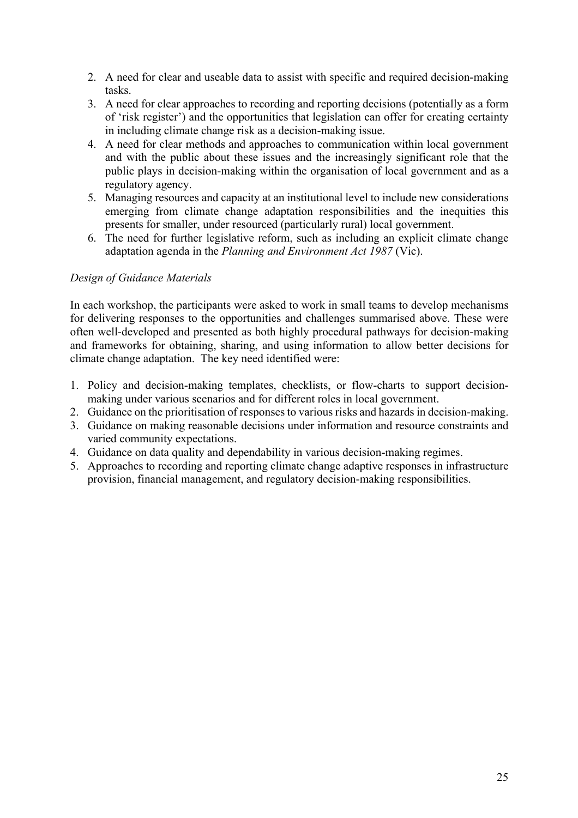- 2. A need for clear and useable data to assist with specific and required decision-making tasks.
- 3. A need for clear approaches to recording and reporting decisions (potentially as a form of 'risk register') and the opportunities that legislation can offer for creating certainty in including climate change risk as a decision-making issue.
- 4. A need for clear methods and approaches to communication within local government and with the public about these issues and the increasingly significant role that the public plays in decision-making within the organisation of local government and as a regulatory agency.
- 5. Managing resources and capacity at an institutional level to include new considerations emerging from climate change adaptation responsibilities and the inequities this presents for smaller, under resourced (particularly rural) local government.
- 6. The need for further legislative reform, such as including an explicit climate change adaptation agenda in the *Planning and Environment Act 1987* (Vic).

# *Design of Guidance Materials*

In each workshop, the participants were asked to work in small teams to develop mechanisms for delivering responses to the opportunities and challenges summarised above. These were often well-developed and presented as both highly procedural pathways for decision-making and frameworks for obtaining, sharing, and using information to allow better decisions for climate change adaptation. The key need identified were:

- 1. Policy and decision-making templates, checklists, or flow-charts to support decisionmaking under various scenarios and for different roles in local government.
- 2. Guidance on the prioritisation of responses to various risks and hazards in decision-making.
- 3. Guidance on making reasonable decisions under information and resource constraints and varied community expectations.
- 4. Guidance on data quality and dependability in various decision-making regimes.
- 5. Approaches to recording and reporting climate change adaptive responses in infrastructure provision, financial management, and regulatory decision-making responsibilities.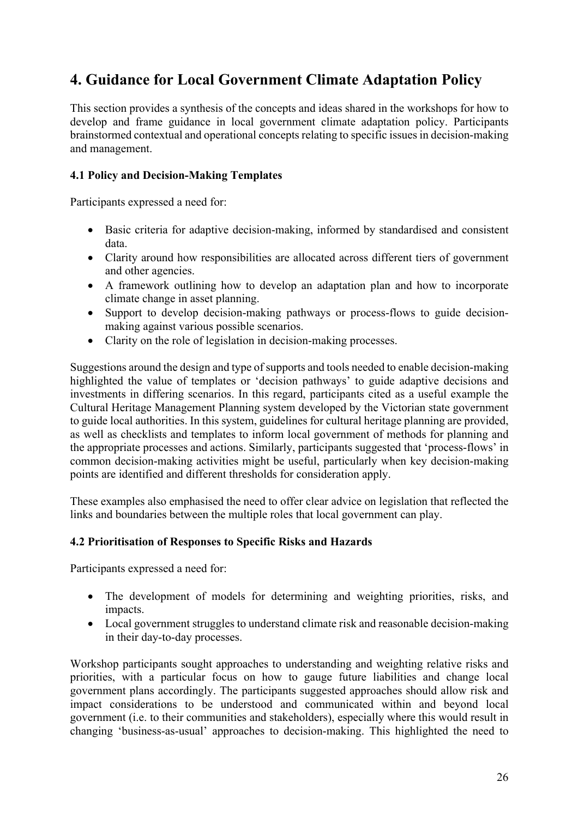# **4. Guidance for Local Government Climate Adaptation Policy**

This section provides a synthesis of the concepts and ideas shared in the workshops for how to develop and frame guidance in local government climate adaptation policy. Participants brainstormed contextual and operational concepts relating to specific issues in decision-making and management.

#### **4.1 Policy and Decision-Making Templates**

Participants expressed a need for:

- Basic criteria for adaptive decision-making, informed by standardised and consistent data.
- Clarity around how responsibilities are allocated across different tiers of government and other agencies.
- A framework outlining how to develop an adaptation plan and how to incorporate climate change in asset planning.
- Support to develop decision-making pathways or process-flows to guide decisionmaking against various possible scenarios.
- Clarity on the role of legislation in decision-making processes.

Suggestions around the design and type of supports and tools needed to enable decision-making highlighted the value of templates or 'decision pathways' to guide adaptive decisions and investments in differing scenarios. In this regard, participants cited as a useful example the Cultural Heritage Management Planning system developed by the Victorian state government to guide local authorities. In this system, guidelines for cultural heritage planning are provided, as well as checklists and templates to inform local government of methods for planning and the appropriate processes and actions. Similarly, participants suggested that 'process-flows' in common decision-making activities might be useful, particularly when key decision-making points are identified and different thresholds for consideration apply.

These examples also emphasised the need to offer clear advice on legislation that reflected the links and boundaries between the multiple roles that local government can play.

# **4.2 Prioritisation of Responses to Specific Risks and Hazards**

Participants expressed a need for:

- The development of models for determining and weighting priorities, risks, and impacts.
- Local government struggles to understand climate risk and reasonable decision-making in their day-to-day processes.

Workshop participants sought approaches to understanding and weighting relative risks and priorities, with a particular focus on how to gauge future liabilities and change local government plans accordingly. The participants suggested approaches should allow risk and impact considerations to be understood and communicated within and beyond local government (i.e. to their communities and stakeholders), especially where this would result in changing 'business-as-usual' approaches to decision-making. This highlighted the need to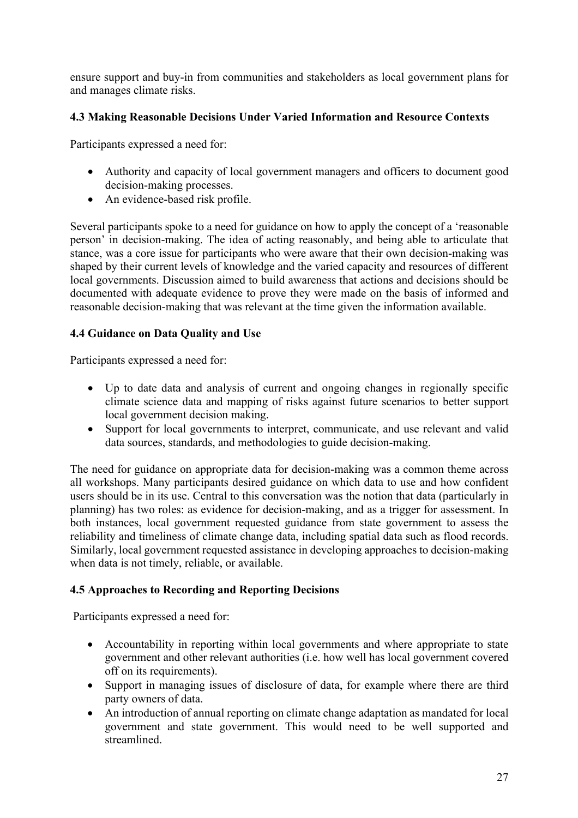ensure support and buy-in from communities and stakeholders as local government plans for and manages climate risks.

# **4.3 Making Reasonable Decisions Under Varied Information and Resource Contexts**

Participants expressed a need for:

- Authority and capacity of local government managers and officers to document good decision-making processes.
- An evidence-based risk profile.

Several participants spoke to a need for guidance on how to apply the concept of a 'reasonable person' in decision-making. The idea of acting reasonably, and being able to articulate that stance, was a core issue for participants who were aware that their own decision-making was shaped by their current levels of knowledge and the varied capacity and resources of different local governments. Discussion aimed to build awareness that actions and decisions should be documented with adequate evidence to prove they were made on the basis of informed and reasonable decision-making that was relevant at the time given the information available.

# **4.4 Guidance on Data Quality and Use**

Participants expressed a need for:

- Up to date data and analysis of current and ongoing changes in regionally specific climate science data and mapping of risks against future scenarios to better support local government decision making.
- Support for local governments to interpret, communicate, and use relevant and valid data sources, standards, and methodologies to guide decision-making.

The need for guidance on appropriate data for decision-making was a common theme across all workshops. Many participants desired guidance on which data to use and how confident users should be in its use. Central to this conversation was the notion that data (particularly in planning) has two roles: as evidence for decision-making, and as a trigger for assessment. In both instances, local government requested guidance from state government to assess the reliability and timeliness of climate change data, including spatial data such as flood records. Similarly, local government requested assistance in developing approaches to decision-making when data is not timely, reliable, or available.

# **4.5 Approaches to Recording and Reporting Decisions**

Participants expressed a need for:

- Accountability in reporting within local governments and where appropriate to state government and other relevant authorities (i.e. how well has local government covered off on its requirements).
- Support in managing issues of disclosure of data, for example where there are third party owners of data.
- An introduction of annual reporting on climate change adaptation as mandated for local government and state government. This would need to be well supported and streamlined.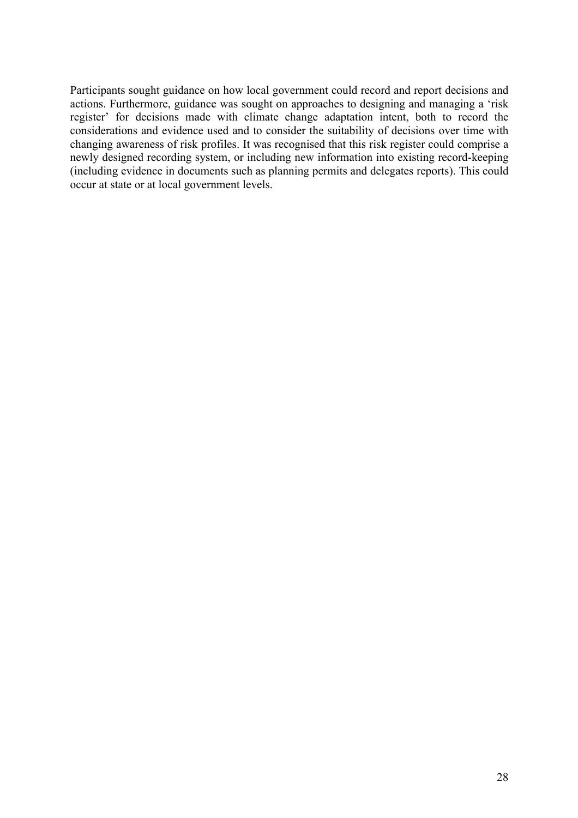Participants sought guidance on how local government could record and report decisions and actions. Furthermore, guidance was sought on approaches to designing and managing a 'risk register' for decisions made with climate change adaptation intent, both to record the considerations and evidence used and to consider the suitability of decisions over time with changing awareness of risk profiles. It was recognised that this risk register could comprise a newly designed recording system, or including new information into existing record-keeping (including evidence in documents such as planning permits and delegates reports). This could occur at state or at local government levels.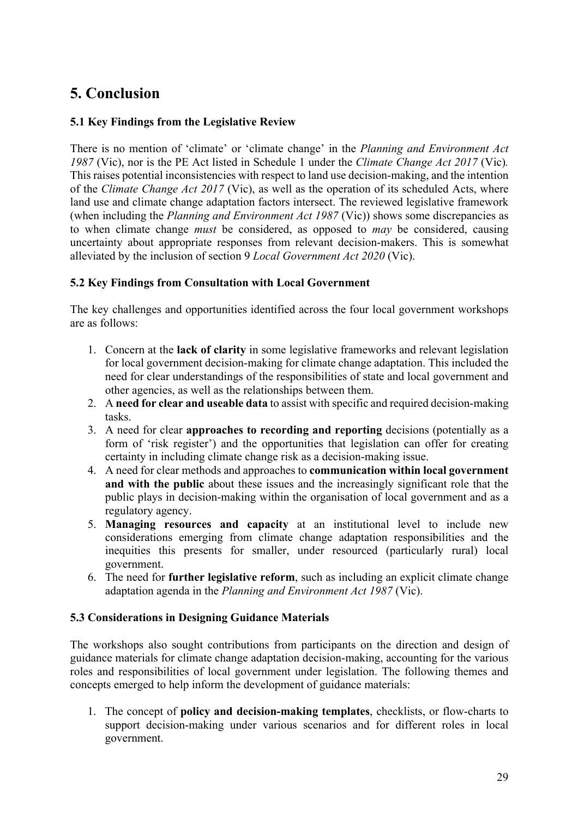# **5. Conclusion**

# **5.1 Key Findings from the Legislative Review**

There is no mention of 'climate' or 'climate change' in the *Planning and Environment Act 1987* (Vic), nor is the PE Act listed in Schedule 1 under the *Climate Change Act 2017* (Vic)*.*  This raises potential inconsistencies with respect to land use decision-making, and the intention of the *Climate Change Act 2017* (Vic), as well as the operation of its scheduled Acts, where land use and climate change adaptation factors intersect. The reviewed legislative framework (when including the *Planning and Environment Act 1987* (Vic)) shows some discrepancies as to when climate change *must* be considered, as opposed to *may* be considered, causing uncertainty about appropriate responses from relevant decision-makers. This is somewhat alleviated by the inclusion of section 9 *Local Government Act 2020* (Vic).

# **5.2 Key Findings from Consultation with Local Government**

The key challenges and opportunities identified across the four local government workshops are as follows:

- 1. Concern at the **lack of clarity** in some legislative frameworks and relevant legislation for local government decision-making for climate change adaptation. This included the need for clear understandings of the responsibilities of state and local government and other agencies, as well as the relationships between them.
- 2. A **need for clear and useable data** to assist with specific and required decision-making tasks.
- 3. A need for clear **approaches to recording and reporting** decisions (potentially as a form of 'risk register') and the opportunities that legislation can offer for creating certainty in including climate change risk as a decision-making issue.
- 4. A need for clear methods and approaches to **communication within local government and with the public** about these issues and the increasingly significant role that the public plays in decision-making within the organisation of local government and as a regulatory agency.
- 5. **Managing resources and capacity** at an institutional level to include new considerations emerging from climate change adaptation responsibilities and the inequities this presents for smaller, under resourced (particularly rural) local government.
- 6. The need for **further legislative reform**, such as including an explicit climate change adaptation agenda in the *Planning and Environment Act 1987* (Vic).

# **5.3 Considerations in Designing Guidance Materials**

The workshops also sought contributions from participants on the direction and design of guidance materials for climate change adaptation decision-making, accounting for the various roles and responsibilities of local government under legislation. The following themes and concepts emerged to help inform the development of guidance materials:

1. The concept of **policy and decision-making templates**, checklists, or flow-charts to support decision-making under various scenarios and for different roles in local government.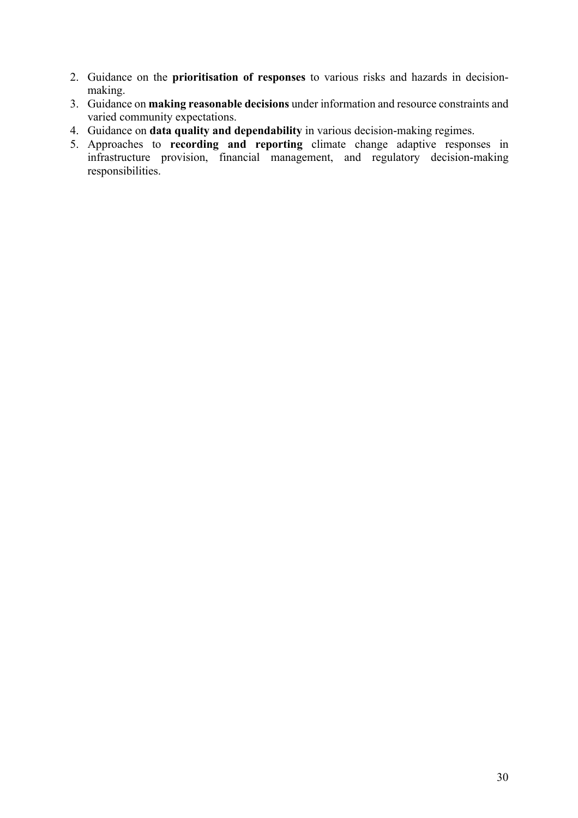- 2. Guidance on the **prioritisation of responses** to various risks and hazards in decisionmaking.
- 3. Guidance on **making reasonable decisions** under information and resource constraints and varied community expectations.
- 4. Guidance on **data quality and dependability** in various decision-making regimes.
- 5. Approaches to **recording and reporting** climate change adaptive responses in infrastructure provision, financial management, and regulatory decision-making responsibilities.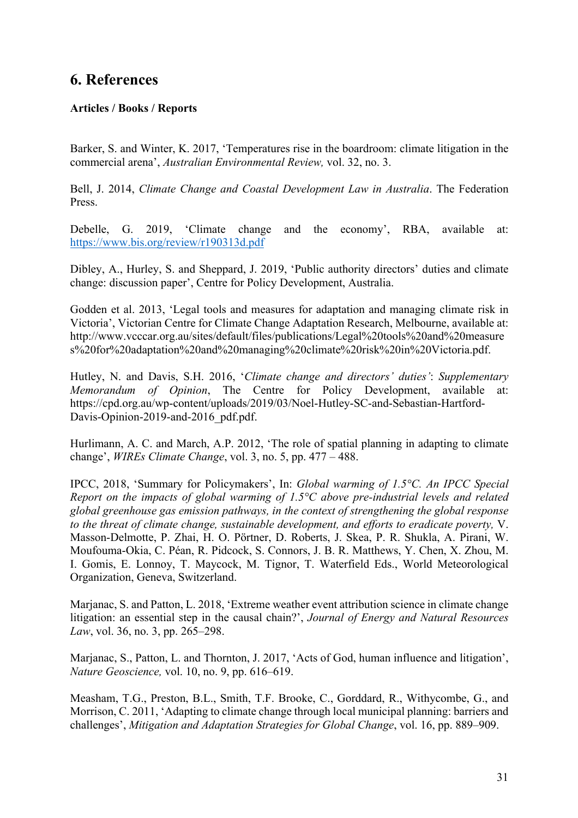# **6. References**

#### **Articles / Books / Reports**

Barker, S. and Winter, K. 2017, 'Temperatures rise in the boardroom: climate litigation in the commercial arena', *Australian Environmental Review,* vol. 32, no. 3.

Bell, J. 2014, *Climate Change and Coastal Development Law in Australia*. The Federation Press.

Debelle, G. 2019, 'Climate change and the economy', RBA, available at: https://www.bis.org/review/r190313d.pdf

Dibley, A., Hurley, S. and Sheppard, J. 2019, 'Public authority directors' duties and climate change: discussion paper', Centre for Policy Development, Australia.

Godden et al. 2013, 'Legal tools and measures for adaptation and managing climate risk in Victoria', Victorian Centre for Climate Change Adaptation Research, Melbourne, available at: http://www.vcccar.org.au/sites/default/files/publications/Legal%20tools%20and%20measure s%20for%20adaptation%20and%20managing%20climate%20risk%20in%20Victoria.pdf.

Hutley, N. and Davis, S.H. 2016, '*Climate change and directors' duties'*: *Supplementary Memorandum of Opinion*, The Centre for Policy Development, available at: https://cpd.org.au/wp-content/uploads/2019/03/Noel-Hutley-SC-and-Sebastian-Hartford-Davis-Opinion-2019-and-2016 pdf.pdf.

Hurlimann, A. C. and March, A.P. 2012, 'The role of spatial planning in adapting to climate change', *WIREs Climate Change*, vol. 3, no. 5, pp. 477 – 488.

IPCC, 2018, 'Summary for Policymakers', In: *Global warming of 1.5°C. An IPCC Special Report on the impacts of global warming of 1.5°C above pre-industrial levels and related global greenhouse gas emission pathways, in the context of strengthening the global response to the threat of climate change, sustainable development, and efforts to eradicate poverty,* V. Masson-Delmotte, P. Zhai, H. O. Pörtner, D. Roberts, J. Skea, P. R. Shukla, A. Pirani, W. Moufouma-Okia, C. Péan, R. Pidcock, S. Connors, J. B. R. Matthews, Y. Chen, X. Zhou, M. I. Gomis, E. Lonnoy, T. Maycock, M. Tignor, T. Waterfield Eds., World Meteorological Organization, Geneva, Switzerland.

Marjanac, S. and Patton, L. 2018, 'Extreme weather event attribution science in climate change litigation: an essential step in the causal chain?', *Journal of Energy and Natural Resources Law*, vol. 36, no. 3, pp. 265–298.

Marjanac, S., Patton, L. and Thornton, J. 2017, 'Acts of God, human influence and litigation', *Nature Geoscience,* vol. 10, no. 9, pp. 616–619.

Measham, T.G., Preston, B.L., Smith, T.F. Brooke, C., Gorddard, R., Withycombe, G., and Morrison, C. 2011, 'Adapting to climate change through local municipal planning: barriers and challenges', *Mitigation and Adaptation Strategies for Global Change*, vol. 16, pp. 889–909.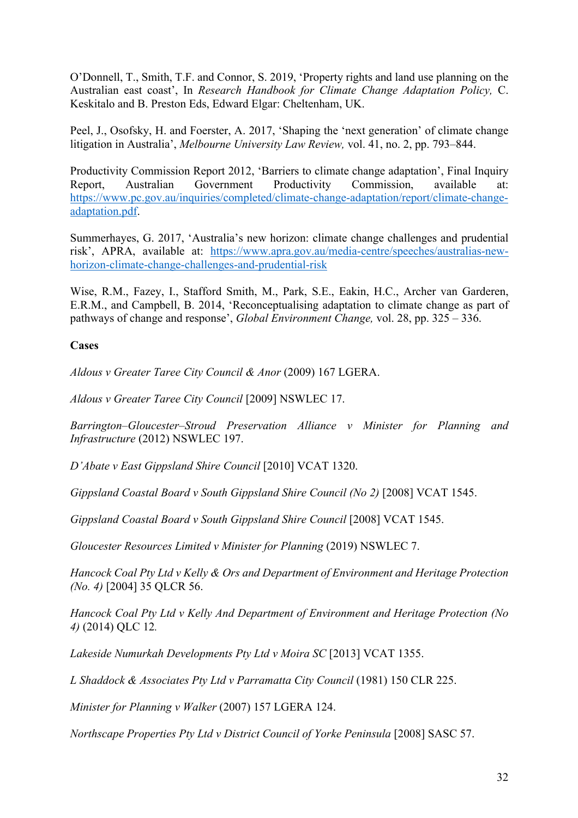O'Donnell, T., Smith, T.F. and Connor, S. 2019, 'Property rights and land use planning on the Australian east coast', In *Research Handbook for Climate Change Adaptation Policy,* C. Keskitalo and B. Preston Eds, Edward Elgar: Cheltenham, UK.

Peel, J., Osofsky, H. and Foerster, A. 2017, 'Shaping the 'next generation' of climate change litigation in Australia', *Melbourne University Law Review,* vol. 41, no. 2, pp. 793–844.

Productivity Commission Report 2012, 'Barriers to climate change adaptation', Final Inquiry Report, Australian Government Productivity Commission, available at: https://www.pc.gov.au/inquiries/completed/climate-change-adaptation/report/climate-changeadaptation.pdf.

Summerhayes, G. 2017, 'Australia's new horizon: climate change challenges and prudential risk', APRA, available at: https://www.apra.gov.au/media-centre/speeches/australias-newhorizon-climate-change-challenges-and-prudential-risk

Wise, R.M., Fazey, I., Stafford Smith, M., Park, S.E., Eakin, H.C., Archer van Garderen, E.R.M., and Campbell, B. 2014, 'Reconceptualising adaptation to climate change as part of pathways of change and response', *Global Environment Change,* vol. 28, pp. 325 – 336.

#### **Cases**

*Aldous v Greater Taree City Council & Anor* (2009) 167 LGERA.

*Aldous v Greater Taree City Council* [2009] NSWLEC 17.

*Barrington–Gloucester–Stroud Preservation Alliance v Minister for Planning and Infrastructure* (2012) NSWLEC 197.

*D'Abate v East Gippsland Shire Council* [2010] VCAT 1320.

*Gippsland Coastal Board v South Gippsland Shire Council (No 2)* [2008] VCAT 1545.

*Gippsland Coastal Board v South Gippsland Shire Council* [2008] VCAT 1545.

*Gloucester Resources Limited v Minister for Planning (2019) NSWLEC 7.* 

*Hancock Coal Pty Ltd v Kelly & Ors and Department of Environment and Heritage Protection (No. 4)* [2004] 35 QLCR 56.

*Hancock Coal Pty Ltd v Kelly And Department of Environment and Heritage Protection (No 4)* (2014) QLC 12*.*

*Lakeside Numurkah Developments Pty Ltd v Moira SC* [2013] VCAT 1355.

*L Shaddock & Associates Pty Ltd v Parramatta City Council* (1981) 150 CLR 225.

*Minister for Planning v Walker* (2007) 157 LGERA 124.

*Northscape Properties Pty Ltd v District Council of Yorke Peninsula* [2008] SASC 57.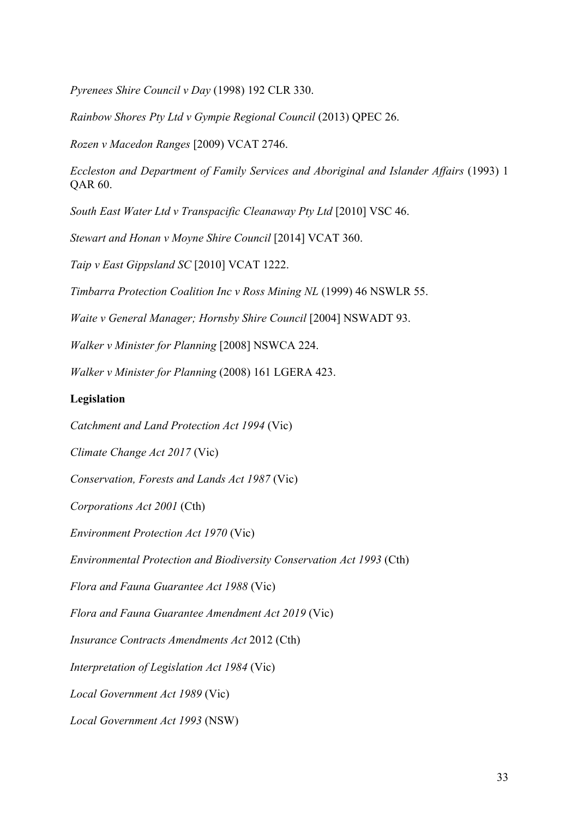*Pyrenees Shire Council v Day* (1998) 192 CLR 330.

*Rainbow Shores Pty Ltd v Gympie Regional Council* (2013) QPEC 26.

*Rozen v Macedon Ranges* [2009) VCAT 2746.

*Eccleston and Department of Family Services and Aboriginal and Islander Affairs* (1993) 1 QAR 60.

*South East Water Ltd v Transpacific Cleanaway Pty Ltd* [2010] VSC 46.

*Stewart and Honan v Moyne Shire Council* [2014] VCAT 360.

*Taip v East Gippsland SC* [2010] VCAT 1222.

*Timbarra Protection Coalition Inc v Ross Mining NL* (1999) 46 NSWLR 55.

*Waite v General Manager; Hornsby Shire Council* [2004] NSWADT 93.

*Walker v Minister for Planning* [2008] NSWCA 224.

*Walker v Minister for Planning* (2008) 161 LGERA 423.

#### **Legislation**

*Catchment and Land Protection Act 1994* (Vic)

*Climate Change Act 2017* (Vic)

*Conservation, Forests and Lands Act 1987* (Vic)

*Corporations Act 2001* (Cth)

*Environment Protection Act 1970* (Vic)

*Environmental Protection and Biodiversity Conservation Act 1993* (Cth)

*Flora and Fauna Guarantee Act 1988* (Vic)

*Flora and Fauna Guarantee Amendment Act 2019* (Vic)

*Insurance Contracts Amendments Act* 2012 (Cth)

*Interpretation of Legislation Act 1984* (Vic)

*Local Government Act 1989* (Vic)

*Local Government Act 1993* (NSW)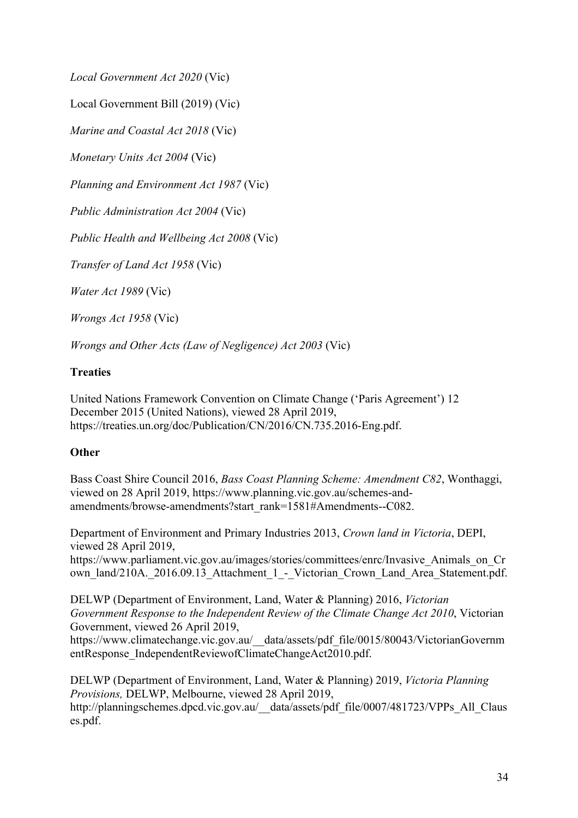*Local Government Act 2020* (Vic)

Local Government Bill (2019) (Vic)

*Marine and Coastal Act 2018* (Vic)

*Monetary Units Act 2004* (Vic)

*Planning and Environment Act 1987* (Vic)

*Public Administration Act 2004* (Vic)

*Public Health and Wellbeing Act 2008* (Vic)

*Transfer of Land Act 1958* (Vic)

*Water Act 1989* (Vic)

*Wrongs Act 1958* (Vic)

*Wrongs and Other Acts (Law of Negligence) Act 2003* (Vic)

# **Treaties**

United Nations Framework Convention on Climate Change ('Paris Agreement') 12 December 2015 (United Nations), viewed 28 April 2019, https://treaties.un.org/doc/Publication/CN/2016/CN.735.2016-Eng.pdf.

# **Other**

Bass Coast Shire Council 2016, *Bass Coast Planning Scheme: Amendment C82*, Wonthaggi, viewed on 28 April 2019, https://www.planning.vic.gov.au/schemes-andamendments/browse-amendments?start\_rank=1581#Amendments--C082.

Department of Environment and Primary Industries 2013, *Crown land in Victoria*, DEPI, viewed 28 April 2019,

https://www.parliament.vic.gov.au/images/stories/committees/enrc/Invasive\_Animals\_on\_Cr own\_land/210A. 2016.09.13\_Attachment\_1\_-\_Victorian\_Crown\_Land\_Area\_Statement.pdf.

DELWP (Department of Environment, Land, Water & Planning) 2016, *Victorian Government Response to the Independent Review of the Climate Change Act 2010*, Victorian Government, viewed 26 April 2019,

https://www.climatechange.vic.gov.au/\_\_data/assets/pdf\_file/0015/80043/VictorianGovernm entResponse\_IndependentReviewofClimateChangeAct2010.pdf.

DELWP (Department of Environment, Land, Water & Planning) 2019, *Victoria Planning Provisions,* DELWP, Melbourne, viewed 28 April 2019, http://planningschemes.dpcd.vic.gov.au/\_\_data/assets/pdf\_file/0007/481723/VPPs\_All\_Claus es.pdf.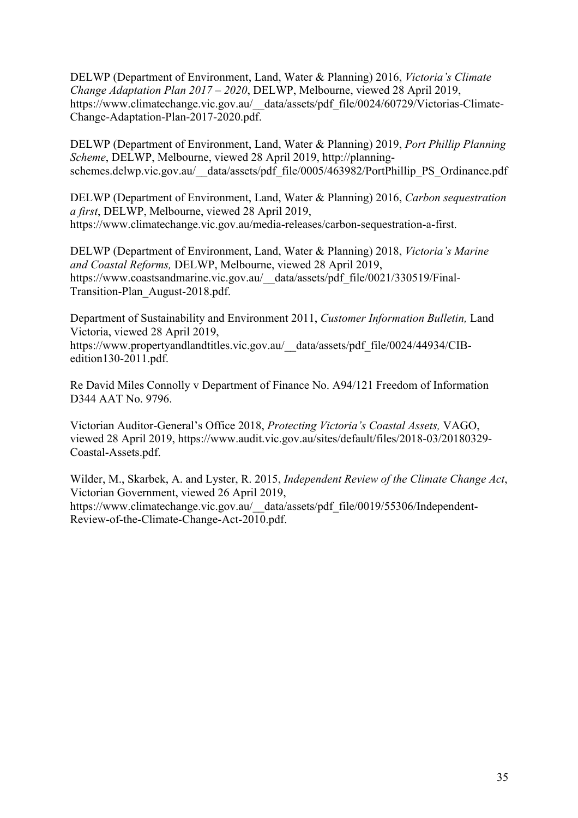DELWP (Department of Environment, Land, Water & Planning) 2016, *Victoria's Climate Change Adaptation Plan 2017 – 2020*, DELWP, Melbourne, viewed 28 April 2019, https://www.climatechange.vic.gov.au/\_\_data/assets/pdf\_file/0024/60729/Victorias-Climate-Change-Adaptation-Plan-2017-2020.pdf.

DELWP (Department of Environment, Land, Water & Planning) 2019, *Port Phillip Planning Scheme*, DELWP, Melbourne, viewed 28 April 2019, http://planningschemes.delwp.vic.gov.au/ data/assets/pdf file/0005/463982/PortPhillip PS Ordinance.pdf

DELWP (Department of Environment, Land, Water & Planning) 2016, *Carbon sequestration a first*, DELWP, Melbourne, viewed 28 April 2019, https://www.climatechange.vic.gov.au/media-releases/carbon-sequestration-a-first.

DELWP (Department of Environment, Land, Water & Planning) 2018, *Victoria's Marine and Coastal Reforms,* DELWP, Melbourne, viewed 28 April 2019, https://www.coastsandmarine.vic.gov.au/\_\_data/assets/pdf\_file/0021/330519/Final-Transition-Plan\_August-2018.pdf.

Department of Sustainability and Environment 2011, *Customer Information Bulletin,* Land Victoria, viewed 28 April 2019,

https://www.propertyandlandtitles.vic.gov.au/\_\_data/assets/pdf\_file/0024/44934/CIBedition130-2011.pdf.

Re David Miles Connolly v Department of Finance No. A94/121 Freedom of Information D344 AAT No. 9796.

Victorian Auditor-General's Office 2018, *Protecting Victoria's Coastal Assets,* VAGO, viewed 28 April 2019, https://www.audit.vic.gov.au/sites/default/files/2018-03/20180329- Coastal-Assets.pdf.

Wilder, M., Skarbek, A. and Lyster, R. 2015, *Independent Review of the Climate Change Act*, Victorian Government, viewed 26 April 2019, https://www.climatechange.vic.gov.au/\_\_data/assets/pdf\_file/0019/55306/Independent-Review-of-the-Climate-Change-Act-2010.pdf.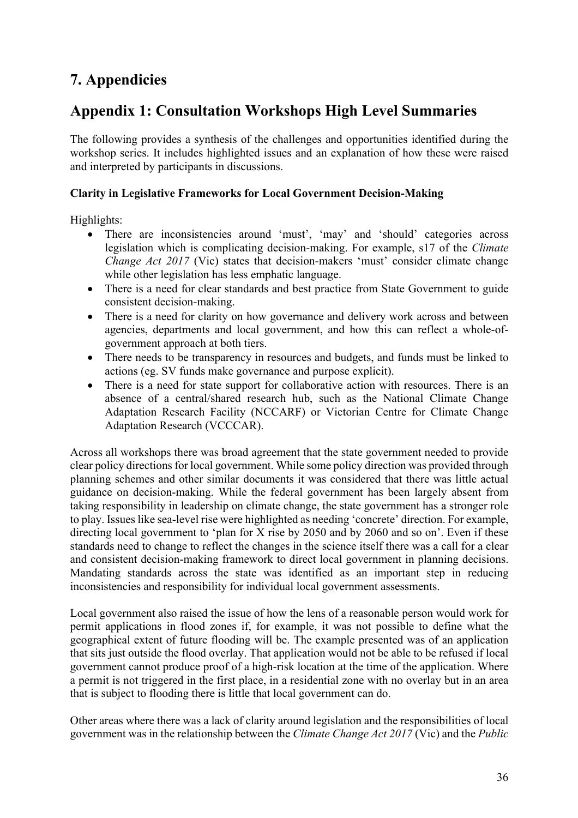# **7. Appendicies**

# **Appendix 1: Consultation Workshops High Level Summaries**

The following provides a synthesis of the challenges and opportunities identified during the workshop series. It includes highlighted issues and an explanation of how these were raised and interpreted by participants in discussions.

# **Clarity in Legislative Frameworks for Local Government Decision-Making**

Highlights:

- There are inconsistencies around 'must', 'may' and 'should' categories across legislation which is complicating decision-making. For example, s17 of the *Climate Change Act 2017 (Vic)* states that decision-makers 'must' consider climate change while other legislation has less emphatic language.
- There is a need for clear standards and best practice from State Government to guide consistent decision-making.
- There is a need for clarity on how governance and delivery work across and between agencies, departments and local government, and how this can reflect a whole-ofgovernment approach at both tiers.
- There needs to be transparency in resources and budgets, and funds must be linked to actions (eg. SV funds make governance and purpose explicit).
- There is a need for state support for collaborative action with resources. There is an absence of a central/shared research hub, such as the National Climate Change Adaptation Research Facility (NCCARF) or Victorian Centre for Climate Change Adaptation Research (VCCCAR).

Across all workshops there was broad agreement that the state government needed to provide clear policy directions for local government. While some policy direction was provided through planning schemes and other similar documents it was considered that there was little actual guidance on decision-making. While the federal government has been largely absent from taking responsibility in leadership on climate change, the state government has a stronger role to play. Issues like sea-level rise were highlighted as needing 'concrete' direction. For example, directing local government to 'plan for X rise by 2050 and by 2060 and so on'. Even if these standards need to change to reflect the changes in the science itself there was a call for a clear and consistent decision-making framework to direct local government in planning decisions. Mandating standards across the state was identified as an important step in reducing inconsistencies and responsibility for individual local government assessments.

Local government also raised the issue of how the lens of a reasonable person would work for permit applications in flood zones if, for example, it was not possible to define what the geographical extent of future flooding will be. The example presented was of an application that sits just outside the flood overlay. That application would not be able to be refused if local government cannot produce proof of a high-risk location at the time of the application. Where a permit is not triggered in the first place, in a residential zone with no overlay but in an area that is subject to flooding there is little that local government can do.

Other areas where there was a lack of clarity around legislation and the responsibilities of local government was in the relationship between the *Climate Change Act 2017* (Vic) and the *Public*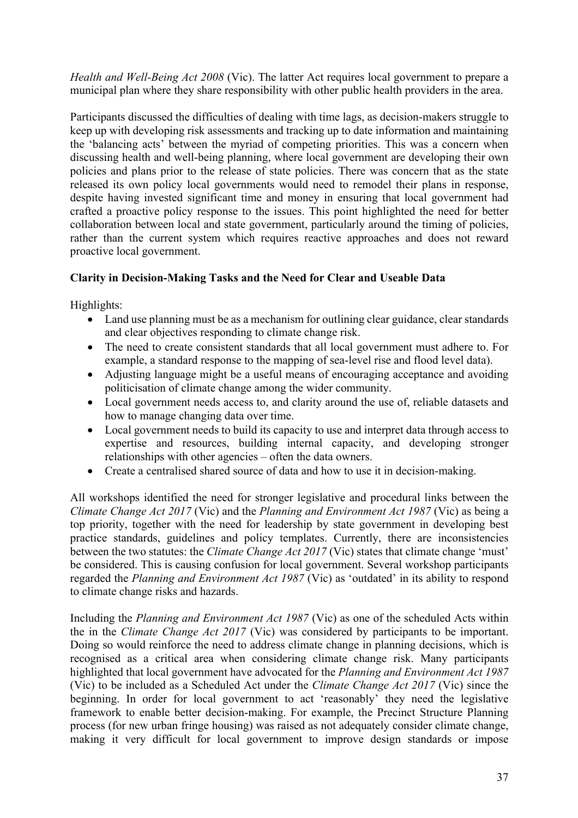*Health and Well-Being Act 2008* (Vic). The latter Act requires local government to prepare a municipal plan where they share responsibility with other public health providers in the area.

Participants discussed the difficulties of dealing with time lags, as decision-makers struggle to keep up with developing risk assessments and tracking up to date information and maintaining the 'balancing acts' between the myriad of competing priorities. This was a concern when discussing health and well-being planning, where local government are developing their own policies and plans prior to the release of state policies. There was concern that as the state released its own policy local governments would need to remodel their plans in response, despite having invested significant time and money in ensuring that local government had crafted a proactive policy response to the issues. This point highlighted the need for better collaboration between local and state government, particularly around the timing of policies, rather than the current system which requires reactive approaches and does not reward proactive local government.

# **Clarity in Decision-Making Tasks and the Need for Clear and Useable Data**

Highlights:

- Land use planning must be as a mechanism for outlining clear guidance, clear standards and clear objectives responding to climate change risk.
- The need to create consistent standards that all local government must adhere to. For example, a standard response to the mapping of sea-level rise and flood level data).
- Adjusting language might be a useful means of encouraging acceptance and avoiding politicisation of climate change among the wider community.
- Local government needs access to, and clarity around the use of, reliable datasets and how to manage changing data over time.
- Local government needs to build its capacity to use and interpret data through access to expertise and resources, building internal capacity, and developing stronger relationships with other agencies – often the data owners.
- Create a centralised shared source of data and how to use it in decision-making.

All workshops identified the need for stronger legislative and procedural links between the *Climate Change Act 2017* (Vic) and the *Planning and Environment Act 1987* (Vic) as being a top priority, together with the need for leadership by state government in developing best practice standards, guidelines and policy templates. Currently, there are inconsistencies between the two statutes: the *Climate Change Act 2017* (Vic) states that climate change 'must' be considered. This is causing confusion for local government. Several workshop participants regarded the *Planning and Environment Act 1987* (Vic) as 'outdated' in its ability to respond to climate change risks and hazards.

Including the *Planning and Environment Act 1987* (Vic) as one of the scheduled Acts within the in the *Climate Change Act 2017* (Vic) was considered by participants to be important. Doing so would reinforce the need to address climate change in planning decisions, which is recognised as a critical area when considering climate change risk. Many participants highlighted that local government have advocated for the *Planning and Environment Act 1987*  (Vic) to be included as a Scheduled Act under the *Climate Change Act 2017* (Vic) since the beginning. In order for local government to act 'reasonably' they need the legislative framework to enable better decision-making. For example, the Precinct Structure Planning process (for new urban fringe housing) was raised as not adequately consider climate change, making it very difficult for local government to improve design standards or impose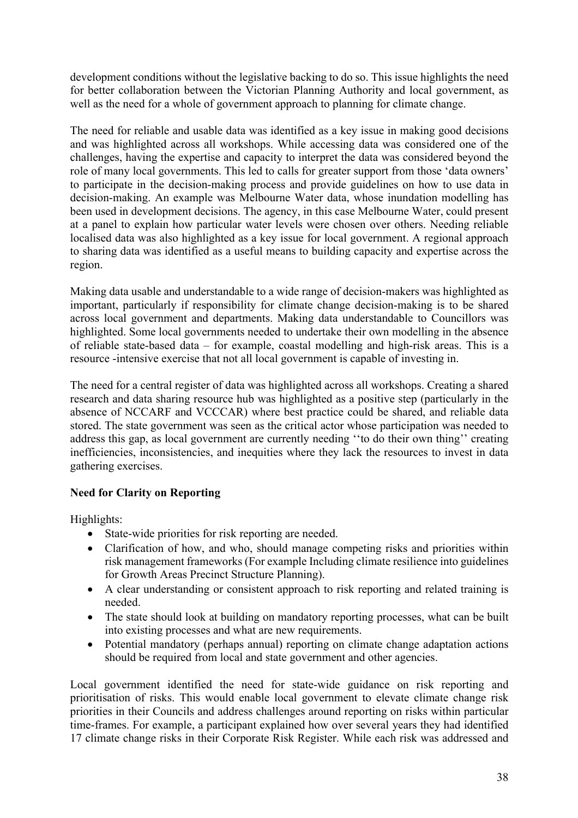development conditions without the legislative backing to do so. This issue highlights the need for better collaboration between the Victorian Planning Authority and local government, as well as the need for a whole of government approach to planning for climate change.

The need for reliable and usable data was identified as a key issue in making good decisions and was highlighted across all workshops. While accessing data was considered one of the challenges, having the expertise and capacity to interpret the data was considered beyond the role of many local governments. This led to calls for greater support from those 'data owners' to participate in the decision-making process and provide guidelines on how to use data in decision-making. An example was Melbourne Water data, whose inundation modelling has been used in development decisions. The agency, in this case Melbourne Water, could present at a panel to explain how particular water levels were chosen over others. Needing reliable localised data was also highlighted as a key issue for local government. A regional approach to sharing data was identified as a useful means to building capacity and expertise across the region.

Making data usable and understandable to a wide range of decision-makers was highlighted as important, particularly if responsibility for climate change decision-making is to be shared across local government and departments. Making data understandable to Councillors was highlighted. Some local governments needed to undertake their own modelling in the absence of reliable state-based data – for example, coastal modelling and high-risk areas. This is a resource -intensive exercise that not all local government is capable of investing in.

The need for a central register of data was highlighted across all workshops. Creating a shared research and data sharing resource hub was highlighted as a positive step (particularly in the absence of NCCARF and VCCCAR) where best practice could be shared, and reliable data stored. The state government was seen as the critical actor whose participation was needed to address this gap, as local government are currently needing ''to do their own thing'' creating inefficiencies, inconsistencies, and inequities where they lack the resources to invest in data gathering exercises.

# **Need for Clarity on Reporting**

Highlights:

- State-wide priorities for risk reporting are needed.
- Clarification of how, and who, should manage competing risks and priorities within risk management frameworks (For example Including climate resilience into guidelines for Growth Areas Precinct Structure Planning).
- A clear understanding or consistent approach to risk reporting and related training is needed.
- The state should look at building on mandatory reporting processes, what can be built into existing processes and what are new requirements.
- Potential mandatory (perhaps annual) reporting on climate change adaptation actions should be required from local and state government and other agencies.

Local government identified the need for state-wide guidance on risk reporting and prioritisation of risks. This would enable local government to elevate climate change risk priorities in their Councils and address challenges around reporting on risks within particular time-frames. For example, a participant explained how over several years they had identified 17 climate change risks in their Corporate Risk Register. While each risk was addressed and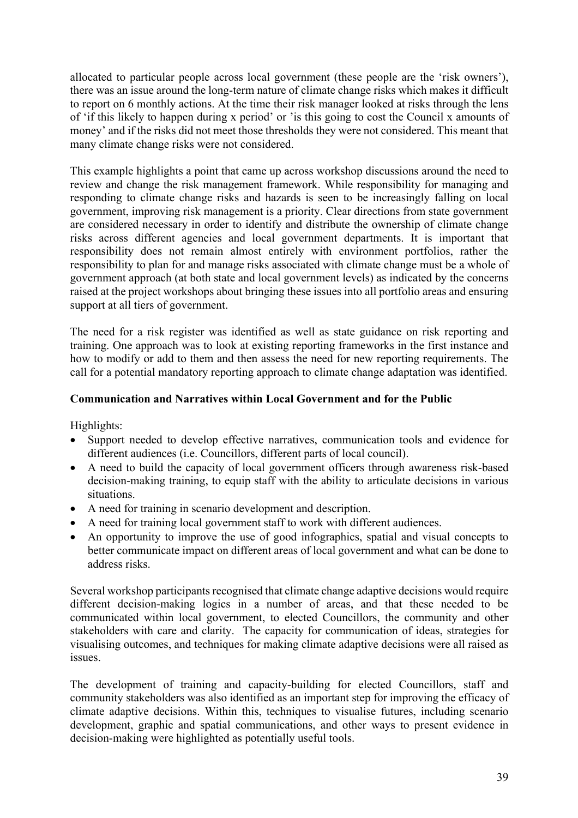allocated to particular people across local government (these people are the 'risk owners'), there was an issue around the long-term nature of climate change risks which makes it difficult to report on 6 monthly actions. At the time their risk manager looked at risks through the lens of 'if this likely to happen during x period' or 'is this going to cost the Council x amounts of money' and if the risks did not meet those thresholds they were not considered. This meant that many climate change risks were not considered.

This example highlights a point that came up across workshop discussions around the need to review and change the risk management framework. While responsibility for managing and responding to climate change risks and hazards is seen to be increasingly falling on local government, improving risk management is a priority. Clear directions from state government are considered necessary in order to identify and distribute the ownership of climate change risks across different agencies and local government departments. It is important that responsibility does not remain almost entirely with environment portfolios, rather the responsibility to plan for and manage risks associated with climate change must be a whole of government approach (at both state and local government levels) as indicated by the concerns raised at the project workshops about bringing these issues into all portfolio areas and ensuring support at all tiers of government.

The need for a risk register was identified as well as state guidance on risk reporting and training. One approach was to look at existing reporting frameworks in the first instance and how to modify or add to them and then assess the need for new reporting requirements. The call for a potential mandatory reporting approach to climate change adaptation was identified.

# **Communication and Narratives within Local Government and for the Public**

Highlights:

- Support needed to develop effective narratives, communication tools and evidence for different audiences (i.e. Councillors, different parts of local council).
- A need to build the capacity of local government officers through awareness risk-based decision-making training, to equip staff with the ability to articulate decisions in various situations.
- A need for training in scenario development and description.
- A need for training local government staff to work with different audiences.
- An opportunity to improve the use of good infographics, spatial and visual concepts to better communicate impact on different areas of local government and what can be done to address risks.

Several workshop participants recognised that climate change adaptive decisions would require different decision-making logics in a number of areas, and that these needed to be communicated within local government, to elected Councillors, the community and other stakeholders with care and clarity. The capacity for communication of ideas, strategies for visualising outcomes, and techniques for making climate adaptive decisions were all raised as issues.

The development of training and capacity-building for elected Councillors, staff and community stakeholders was also identified as an important step for improving the efficacy of climate adaptive decisions. Within this, techniques to visualise futures, including scenario development, graphic and spatial communications, and other ways to present evidence in decision-making were highlighted as potentially useful tools.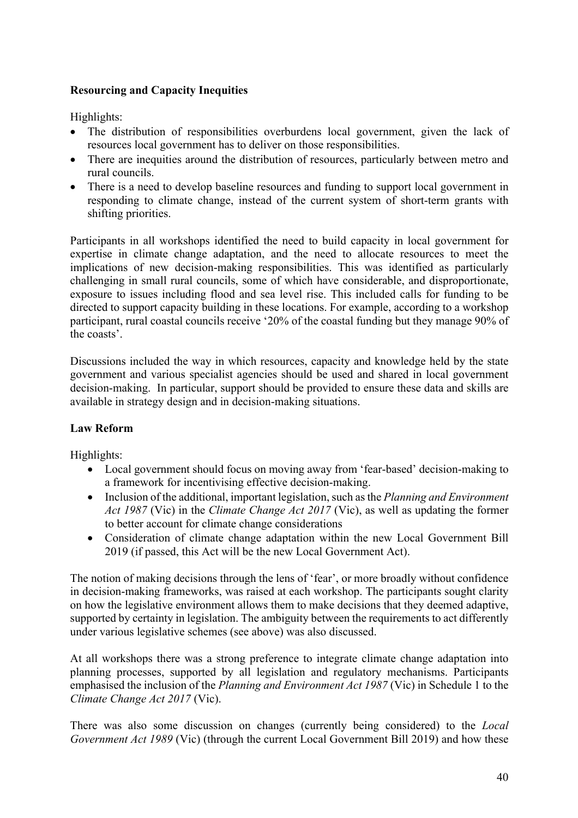# **Resourcing and Capacity Inequities**

Highlights:

- The distribution of responsibilities overburdens local government, given the lack of resources local government has to deliver on those responsibilities.
- There are inequities around the distribution of resources, particularly between metro and rural councils.
- There is a need to develop baseline resources and funding to support local government in responding to climate change, instead of the current system of short-term grants with shifting priorities.

Participants in all workshops identified the need to build capacity in local government for expertise in climate change adaptation, and the need to allocate resources to meet the implications of new decision-making responsibilities. This was identified as particularly challenging in small rural councils, some of which have considerable, and disproportionate, exposure to issues including flood and sea level rise. This included calls for funding to be directed to support capacity building in these locations. For example, according to a workshop participant, rural coastal councils receive '20% of the coastal funding but they manage 90% of the coasts'.

Discussions included the way in which resources, capacity and knowledge held by the state government and various specialist agencies should be used and shared in local government decision-making. In particular, support should be provided to ensure these data and skills are available in strategy design and in decision-making situations.

# **Law Reform**

Highlights:

- Local government should focus on moving away from 'fear-based' decision-making to a framework for incentivising effective decision-making.
- Inclusion of the additional, important legislation, such as the *Planning and Environment Act 1987* (Vic) in the *Climate Change Act 2017* (Vic), as well as updating the former to better account for climate change considerations
- Consideration of climate change adaptation within the new Local Government Bill 2019 (if passed, this Act will be the new Local Government Act).

The notion of making decisions through the lens of 'fear', or more broadly without confidence in decision-making frameworks, was raised at each workshop. The participants sought clarity on how the legislative environment allows them to make decisions that they deemed adaptive, supported by certainty in legislation. The ambiguity between the requirements to act differently under various legislative schemes (see above) was also discussed.

At all workshops there was a strong preference to integrate climate change adaptation into planning processes, supported by all legislation and regulatory mechanisms. Participants emphasised the inclusion of the *Planning and Environment Act 1987* (Vic) in Schedule 1 to the *Climate Change Act 2017* (Vic).

There was also some discussion on changes (currently being considered) to the *Local Government Act 1989* (Vic) (through the current Local Government Bill 2019) and how these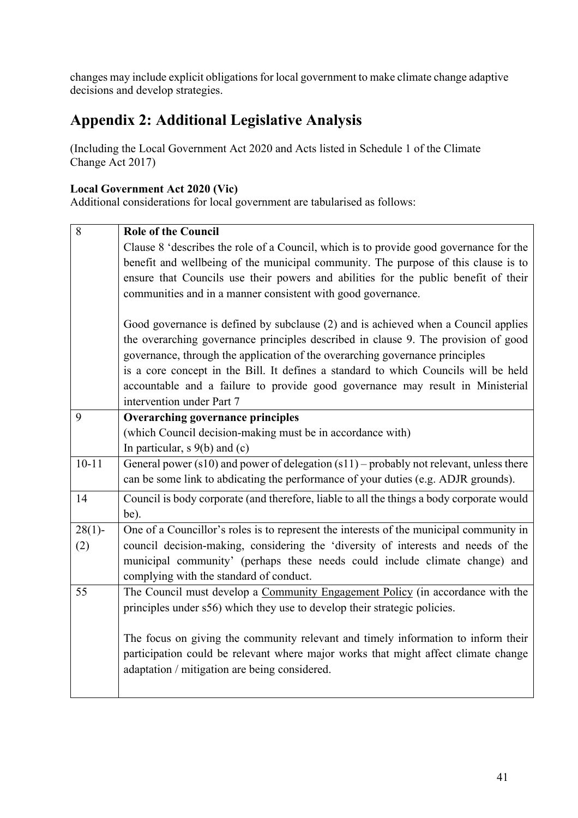changes may include explicit obligations for local government to make climate change adaptive decisions and develop strategies.

# **Appendix 2: Additional Legislative Analysis**

(Including the Local Government Act 2020 and Acts listed in Schedule 1 of the Climate Change Act 2017)

# **Local Government Act 2020 (Vic)**

Additional considerations for local government are tabularised as follows:

| 8         | <b>Role of the Council</b>                                                                    |
|-----------|-----------------------------------------------------------------------------------------------|
|           |                                                                                               |
|           | Clause 8 'describes the role of a Council, which is to provide good governance for the        |
|           | benefit and wellbeing of the municipal community. The purpose of this clause is to            |
|           | ensure that Councils use their powers and abilities for the public benefit of their           |
|           | communities and in a manner consistent with good governance.                                  |
|           |                                                                                               |
|           | Good governance is defined by subclause (2) and is achieved when a Council applies            |
|           | the overarching governance principles described in clause 9. The provision of good            |
|           | governance, through the application of the overarching governance principles                  |
|           | is a core concept in the Bill. It defines a standard to which Councils will be held           |
|           | accountable and a failure to provide good governance may result in Ministerial                |
|           | intervention under Part 7                                                                     |
| 9         | Overarching governance principles                                                             |
|           | (which Council decision-making must be in accordance with)                                    |
|           | In particular, $s \theta(b)$ and (c)                                                          |
| $10 - 11$ | General power ( $s10$ ) and power of delegation $(s11)$ – probably not relevant, unless there |
|           | can be some link to abdicating the performance of your duties (e.g. ADJR grounds).            |
| 14        | Council is body corporate (and therefore, liable to all the things a body corporate would     |
|           | be).                                                                                          |
| $28(1)$ - | One of a Councillor's roles is to represent the interests of the municipal community in       |
| (2)       | council decision-making, considering the 'diversity of interests and needs of the             |
|           | municipal community' (perhaps these needs could include climate change) and                   |
|           | complying with the standard of conduct.                                                       |
| 55        | The Council must develop a Community Engagement Policy (in accordance with the                |
|           | principles under s56) which they use to develop their strategic policies.                     |
|           |                                                                                               |
|           | The focus on giving the community relevant and timely information to inform their             |
|           | participation could be relevant where major works that might affect climate change            |
|           | adaptation / mitigation are being considered.                                                 |
|           |                                                                                               |
|           |                                                                                               |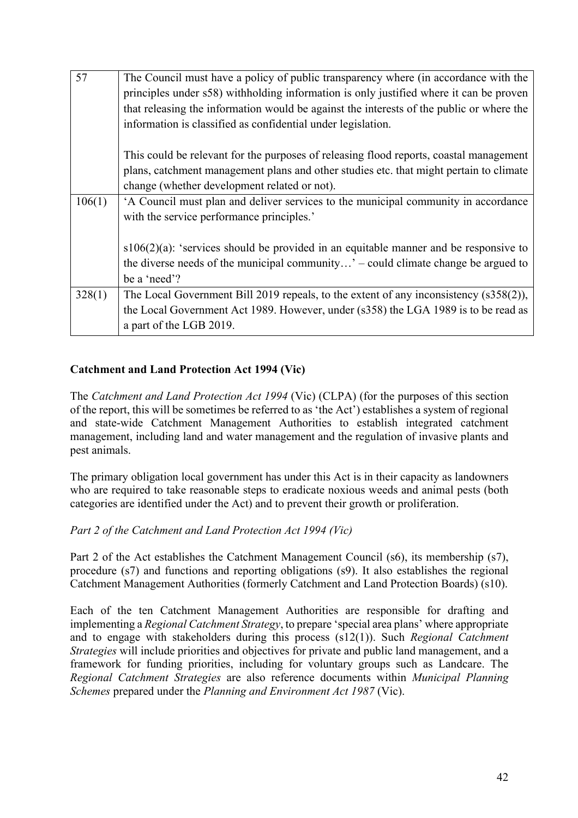| 57     | The Council must have a policy of public transparency where (in accordance with the      |
|--------|------------------------------------------------------------------------------------------|
|        | principles under s58) withholding information is only justified where it can be proven   |
|        | that releasing the information would be against the interests of the public or where the |
|        | information is classified as confidential under legislation.                             |
|        |                                                                                          |
|        | This could be relevant for the purposes of releasing flood reports, coastal management   |
|        | plans, catchment management plans and other studies etc. that might pertain to climate   |
|        | change (whether development related or not).                                             |
| 106(1) | 'A Council must plan and deliver services to the municipal community in accordance       |
|        | with the service performance principles.'                                                |
|        |                                                                                          |
|        | $s106(2)(a)$ : 'services should be provided in an equitable manner and be responsive to  |
|        | the diverse needs of the municipal community' – could climate change be argued to        |
|        | be a 'need'?                                                                             |
| 328(1) | The Local Government Bill 2019 repeals, to the extent of any inconsistency $(s358(2))$ , |
|        | the Local Government Act 1989. However, under (s358) the LGA 1989 is to be read as       |
|        | a part of the LGB 2019.                                                                  |

# **Catchment and Land Protection Act 1994 (Vic)**

The *Catchment and Land Protection Act 1994* (Vic) (CLPA) (for the purposes of this section of the report, this will be sometimes be referred to as 'the Act') establishes a system of regional and state-wide Catchment Management Authorities to establish integrated catchment management, including land and water management and the regulation of invasive plants and pest animals.

The primary obligation local government has under this Act is in their capacity as landowners who are required to take reasonable steps to eradicate noxious weeds and animal pests (both categories are identified under the Act) and to prevent their growth or proliferation.

#### *Part 2 of the Catchment and Land Protection Act 1994 (Vic)*

Part 2 of the Act establishes the Catchment Management Council (s6), its membership (s7), procedure (s7) and functions and reporting obligations (s9). It also establishes the regional Catchment Management Authorities (formerly Catchment and Land Protection Boards) (s10).

Each of the ten Catchment Management Authorities are responsible for drafting and implementing a *Regional Catchment Strategy*, to prepare 'special area plans' where appropriate and to engage with stakeholders during this process (s12(1)). Such *Regional Catchment Strategies* will include priorities and objectives for private and public land management, and a framework for funding priorities, including for voluntary groups such as Landcare. The *Regional Catchment Strategies* are also reference documents within *Municipal Planning Schemes* prepared under the *Planning and Environment Act 1987* (Vic).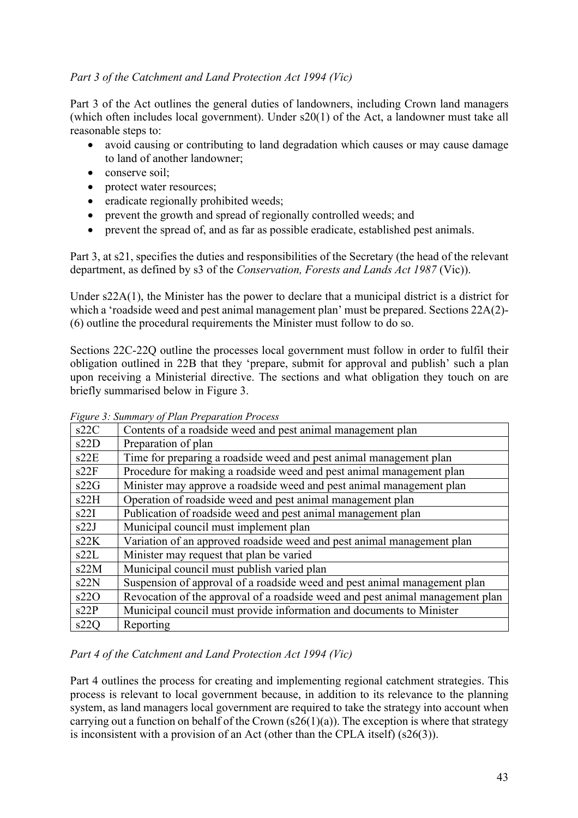# *Part 3 of the Catchment and Land Protection Act 1994 (Vic)*

Part 3 of the Act outlines the general duties of landowners, including Crown land managers (which often includes local government). Under s20(1) of the Act, a landowner must take all reasonable steps to:

- avoid causing or contributing to land degradation which causes or may cause damage to land of another landowner;
- conserve soil:
- protect water resources;
- eradicate regionally prohibited weeds:
- prevent the growth and spread of regionally controlled weeds; and
- prevent the spread of, and as far as possible eradicate, established pest animals.

Part 3, at s21, specifies the duties and responsibilities of the Secretary (the head of the relevant department, as defined by s3 of the *Conservation, Forests and Lands Act 1987* (Vic)).

Under s22A(1), the Minister has the power to declare that a municipal district is a district for which a 'roadside weed and pest animal management plan' must be prepared. Sections 22A(2)- (6) outline the procedural requirements the Minister must follow to do so.

Sections 22C-22Q outline the processes local government must follow in order to fulfil their obligation outlined in 22B that they 'prepare, submit for approval and publish' such a plan upon receiving a Ministerial directive. The sections and what obligation they touch on are briefly summarised below in Figure 3.

| s22C | Contents of a roadside weed and pest animal management plan                   |
|------|-------------------------------------------------------------------------------|
| s22D | Preparation of plan                                                           |
| s22E | Time for preparing a roadside weed and pest animal management plan            |
| s22F | Procedure for making a roadside weed and pest animal management plan          |
| s22G | Minister may approve a roadside weed and pest animal management plan          |
| s22H | Operation of roadside weed and pest animal management plan                    |
| s22I | Publication of roadside weed and pest animal management plan                  |
| s22J | Municipal council must implement plan                                         |
| s22K | Variation of an approved roadside weed and pest animal management plan        |
| s22L | Minister may request that plan be varied                                      |
| s22M | Municipal council must publish varied plan                                    |
| s22N | Suspension of approval of a roadside weed and pest animal management plan     |
| s22O | Revocation of the approval of a roadside weed and pest animal management plan |
| s22P | Municipal council must provide information and documents to Minister          |
| s22Q | Reporting                                                                     |

*Figure 3: Summary of Plan Preparation Process*

# *Part 4 of the Catchment and Land Protection Act 1994 (Vic)*

Part 4 outlines the process for creating and implementing regional catchment strategies. This process is relevant to local government because, in addition to its relevance to the planning system, as land managers local government are required to take the strategy into account when carrying out a function on behalf of the Crown  $(s26(1)(a))$ . The exception is where that strategy is inconsistent with a provision of an Act (other than the CPLA itself) (s26(3)).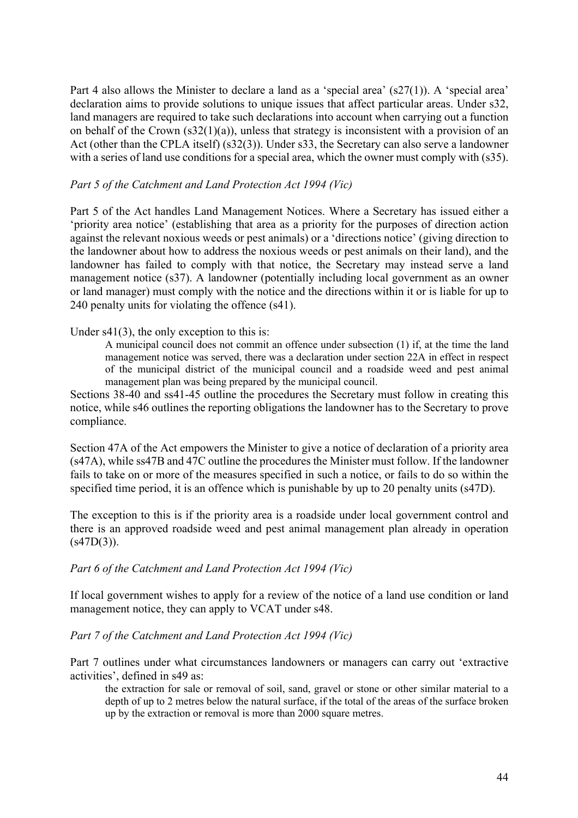Part 4 also allows the Minister to declare a land as a 'special area' (s27(1)). A 'special area' declaration aims to provide solutions to unique issues that affect particular areas. Under s32, land managers are required to take such declarations into account when carrying out a function on behalf of the Crown  $(s32(1)(a))$ , unless that strategy is inconsistent with a provision of an Act (other than the CPLA itself) (s32(3)). Under s33, the Secretary can also serve a landowner with a series of land use conditions for a special area, which the owner must comply with (s35).

#### *Part 5 of the Catchment and Land Protection Act 1994 (Vic)*

Part 5 of the Act handles Land Management Notices. Where a Secretary has issued either a 'priority area notice' (establishing that area as a priority for the purposes of direction action against the relevant noxious weeds or pest animals) or a 'directions notice' (giving direction to the landowner about how to address the noxious weeds or pest animals on their land), and the landowner has failed to comply with that notice, the Secretary may instead serve a land management notice (s37). A landowner (potentially including local government as an owner or land manager) must comply with the notice and the directions within it or is liable for up to 240 penalty units for violating the offence (s41).

#### Under s41(3), the only exception to this is:

A municipal council does not commit an offence under subsection (1) if, at the time the land management notice was served, there was a declaration under section 22A in effect in respect of the municipal district of the municipal council and a roadside weed and pest animal management plan was being prepared by the municipal council.

Sections 38-40 and ss41-45 outline the procedures the Secretary must follow in creating this notice, while s46 outlines the reporting obligations the landowner has to the Secretary to prove compliance.

Section 47A of the Act empowers the Minister to give a notice of declaration of a priority area (s47A), while ss47B and 47C outline the procedures the Minister must follow. If the landowner fails to take on or more of the measures specified in such a notice, or fails to do so within the specified time period, it is an offence which is punishable by up to 20 penalty units (s47D).

The exception to this is if the priority area is a roadside under local government control and there is an approved roadside weed and pest animal management plan already in operation  $(s47D(3))$ .

#### *Part 6 of the Catchment and Land Protection Act 1994 (Vic)*

If local government wishes to apply for a review of the notice of a land use condition or land management notice, they can apply to VCAT under s48.

# *Part 7 of the Catchment and Land Protection Act 1994 (Vic)*

Part 7 outlines under what circumstances landowners or managers can carry out 'extractive activities', defined in s49 as:

the extraction for sale or removal of soil, sand, gravel or stone or other similar material to a depth of up to 2 metres below the natural surface, if the total of the areas of the surface broken up by the extraction or removal is more than 2000 square metres.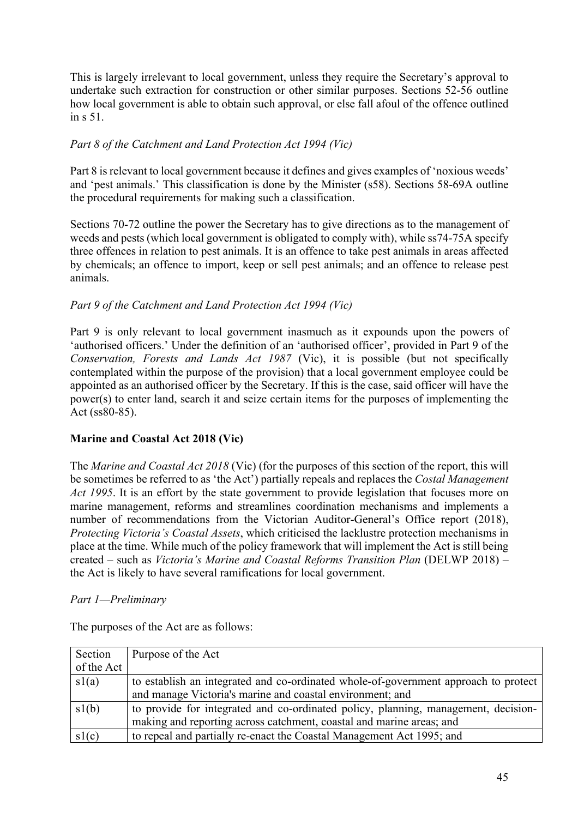This is largely irrelevant to local government, unless they require the Secretary's approval to undertake such extraction for construction or other similar purposes. Sections 52-56 outline how local government is able to obtain such approval, or else fall afoul of the offence outlined in s 51.

# *Part 8 of the Catchment and Land Protection Act 1994 (Vic)*

Part 8 is relevant to local government because it defines and gives examples of 'noxious weeds' and 'pest animals.' This classification is done by the Minister (s58). Sections 58-69A outline the procedural requirements for making such a classification.

Sections 70-72 outline the power the Secretary has to give directions as to the management of weeds and pests (which local government is obligated to comply with), while ss74-75A specify three offences in relation to pest animals. It is an offence to take pest animals in areas affected by chemicals; an offence to import, keep or sell pest animals; and an offence to release pest animals.

# *Part 9 of the Catchment and Land Protection Act 1994 (Vic)*

Part 9 is only relevant to local government inasmuch as it expounds upon the powers of 'authorised officers.' Under the definition of an 'authorised officer', provided in Part 9 of the *Conservation, Forests and Lands Act 1987* (Vic), it is possible (but not specifically contemplated within the purpose of the provision) that a local government employee could be appointed as an authorised officer by the Secretary. If this is the case, said officer will have the power(s) to enter land, search it and seize certain items for the purposes of implementing the Act (ss80-85).

# **Marine and Coastal Act 2018 (Vic)**

The *Marine and Coastal Act 2018* (Vic) (for the purposes of this section of the report, this will be sometimes be referred to as 'the Act') partially repeals and replaces the *Costal Management Act 1995*. It is an effort by the state government to provide legislation that focuses more on marine management, reforms and streamlines coordination mechanisms and implements a number of recommendations from the Victorian Auditor-General's Office report (2018), *Protecting Victoria's Coastal Assets*, which criticised the lacklustre protection mechanisms in place at the time. While much of the policy framework that will implement the Act is still being created – such as *Victoria's Marine and Coastal Reforms Transition Plan* (DELWP 2018) – the Act is likely to have several ramifications for local government.

# *Part 1—Preliminary*

The purposes of the Act are as follows:

| Section    | Purpose of the Act                                                                  |
|------------|-------------------------------------------------------------------------------------|
| of the Act |                                                                                     |
| sl(a)      | to establish an integrated and co-ordinated whole-of-government approach to protect |
|            | and manage Victoria's marine and coastal environment; and                           |
| sl(b)      | to provide for integrated and co-ordinated policy, planning, management, decision-  |
|            | making and reporting across catchment, coastal and marine areas; and                |
| sl(c)      | to repeal and partially re-enact the Coastal Management Act 1995; and               |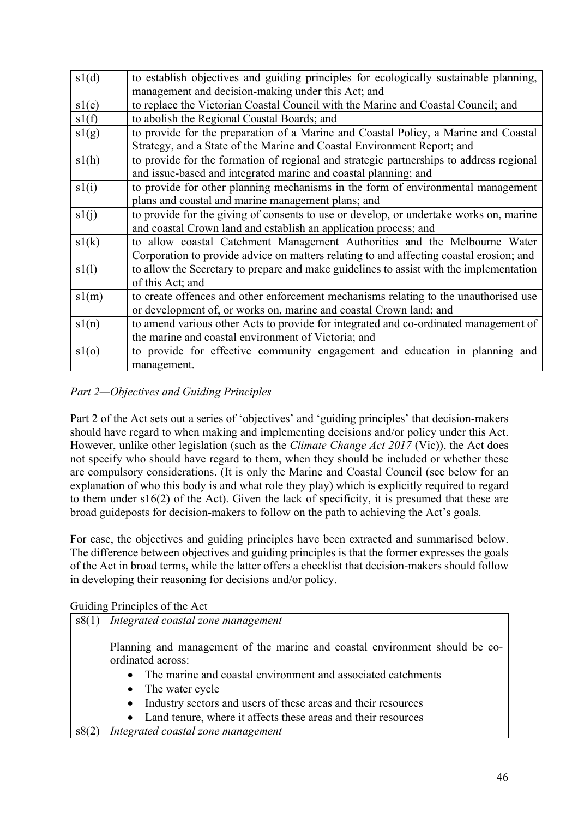| sl(d) | to establish objectives and guiding principles for ecologically sustainable planning,   |
|-------|-----------------------------------------------------------------------------------------|
|       | management and decision-making under this Act; and                                      |
| sl(e) | to replace the Victorian Coastal Council with the Marine and Coastal Council; and       |
| sl(f) | to abolish the Regional Coastal Boards; and                                             |
| sl(g) | to provide for the preparation of a Marine and Coastal Policy, a Marine and Coastal     |
|       | Strategy, and a State of the Marine and Coastal Environment Report; and                 |
| sl(h) | to provide for the formation of regional and strategic partnerships to address regional |
|       | and issue-based and integrated marine and coastal planning; and                         |
| sl(i) | to provide for other planning mechanisms in the form of environmental management        |
|       | plans and coastal and marine management plans; and                                      |
| s1(j) | to provide for the giving of consents to use or develop, or undertake works on, marine  |
|       | and coastal Crown land and establish an application process; and                        |
| s1(k) | to allow coastal Catchment Management Authorities and the Melbourne Water               |
|       | Corporation to provide advice on matters relating to and affecting coastal erosion; and |
| s1(l) | to allow the Secretary to prepare and make guidelines to assist with the implementation |
|       | of this Act; and                                                                        |
| sl(m) | to create offences and other enforcement mechanisms relating to the unauthorised use    |
|       | or development of, or works on, marine and coastal Crown land; and                      |
| sl(n) | to amend various other Acts to provide for integrated and co-ordinated management of    |
|       | the marine and coastal environment of Victoria; and                                     |
| sl(o) | to provide for effective community engagement and education in planning and             |
|       | management.                                                                             |

# *Part 2—Objectives and Guiding Principles*

Part 2 of the Act sets out a series of 'objectives' and 'guiding principles' that decision-makers should have regard to when making and implementing decisions and/or policy under this Act. However, unlike other legislation (such as the *Climate Change Act 2017* (Vic)), the Act does not specify who should have regard to them, when they should be included or whether these are compulsory considerations. (It is only the Marine and Coastal Council (see below for an explanation of who this body is and what role they play) which is explicitly required to regard to them under s16(2) of the Act). Given the lack of specificity, it is presumed that these are broad guideposts for decision-makers to follow on the path to achieving the Act's goals.

For ease, the objectives and guiding principles have been extracted and summarised below. The difference between objectives and guiding principles is that the former expresses the goals of the Act in broad terms, while the latter offers a checklist that decision-makers should follow in developing their reasoning for decisions and/or policy.

| s8(1) | Integrated coastal zone management                                          |
|-------|-----------------------------------------------------------------------------|
|       |                                                                             |
|       | Planning and management of the marine and coastal environment should be co- |
|       | ordinated across:                                                           |
|       | The marine and coastal environment and associated catchments<br>$\bullet$   |
|       | • The water cycle                                                           |
|       | Industry sectors and users of these areas and their resources<br>$\bullet$  |
|       | Land tenure, where it affects these areas and their resources<br>$\bullet$  |
| s8(2) | Integrated coastal zone management                                          |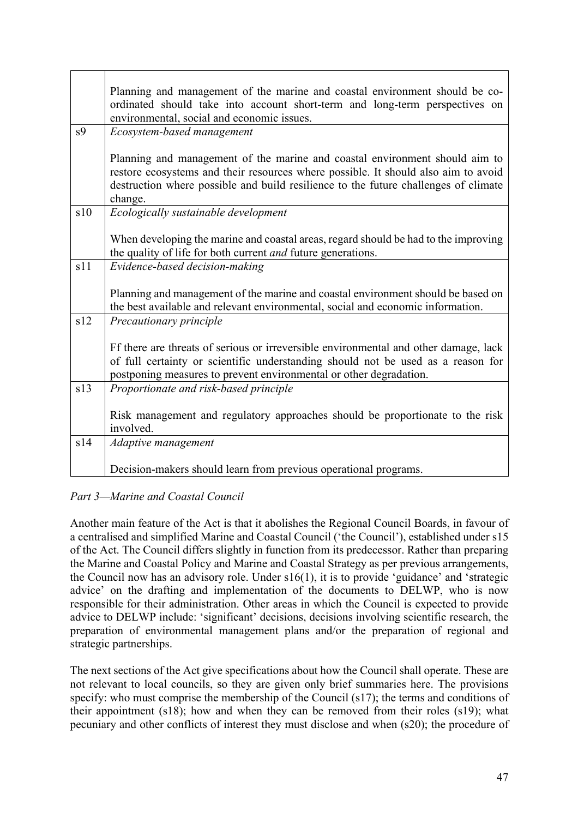|                | Planning and management of the marine and coastal environment should be co-<br>ordinated should take into account short-term and long-term perspectives on<br>environmental, social and economic issues.                                                            |
|----------------|---------------------------------------------------------------------------------------------------------------------------------------------------------------------------------------------------------------------------------------------------------------------|
| s <sub>9</sub> | Ecosystem-based management                                                                                                                                                                                                                                          |
|                | Planning and management of the marine and coastal environment should aim to<br>restore ecosystems and their resources where possible. It should also aim to avoid<br>destruction where possible and build resilience to the future challenges of climate<br>change. |
| s10            | Ecologically sustainable development                                                                                                                                                                                                                                |
|                | When developing the marine and coastal areas, regard should be had to the improving<br>the quality of life for both current and future generations.                                                                                                                 |
| s11            | Evidence-based decision-making                                                                                                                                                                                                                                      |
|                | Planning and management of the marine and coastal environment should be based on<br>the best available and relevant environmental, social and economic information.                                                                                                 |
| s12            | Precautionary principle                                                                                                                                                                                                                                             |
|                | Ff there are threats of serious or irreversible environmental and other damage, lack<br>of full certainty or scientific understanding should not be used as a reason for<br>postponing measures to prevent environmental or other degradation.                      |
| s13            | Proportionate and risk-based principle                                                                                                                                                                                                                              |
|                | Risk management and regulatory approaches should be proportionate to the risk<br>involved.                                                                                                                                                                          |
| s14            | Adaptive management                                                                                                                                                                                                                                                 |
|                | Decision-makers should learn from previous operational programs.                                                                                                                                                                                                    |

# *Part 3—Marine and Coastal Council*

Another main feature of the Act is that it abolishes the Regional Council Boards, in favour of a centralised and simplified Marine and Coastal Council ('the Council'), established under s15 of the Act. The Council differs slightly in function from its predecessor. Rather than preparing the Marine and Coastal Policy and Marine and Coastal Strategy as per previous arrangements, the Council now has an advisory role. Under s16(1), it is to provide 'guidance' and 'strategic advice' on the drafting and implementation of the documents to DELWP, who is now responsible for their administration. Other areas in which the Council is expected to provide advice to DELWP include: 'significant' decisions, decisions involving scientific research, the preparation of environmental management plans and/or the preparation of regional and strategic partnerships.

The next sections of the Act give specifications about how the Council shall operate. These are not relevant to local councils, so they are given only brief summaries here. The provisions specify: who must comprise the membership of the Council (s17); the terms and conditions of their appointment (s18); how and when they can be removed from their roles (s19); what pecuniary and other conflicts of interest they must disclose and when (s20); the procedure of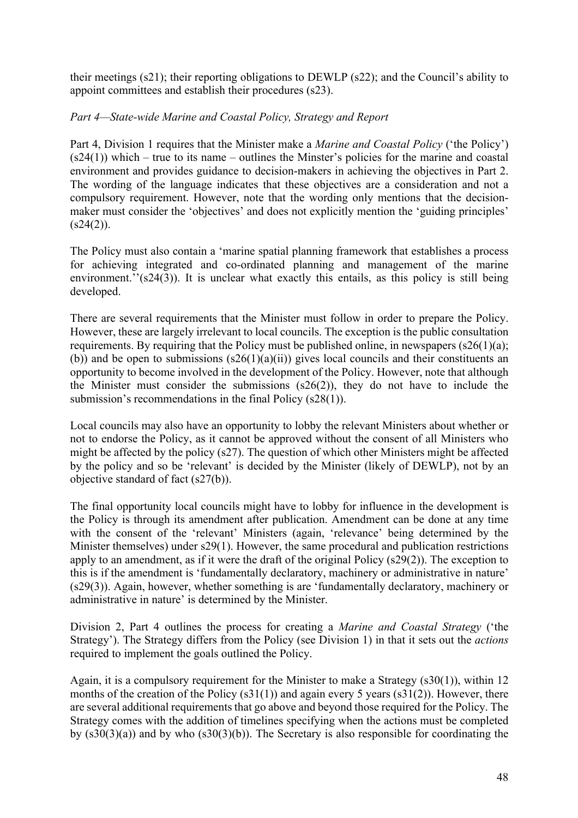their meetings (s21); their reporting obligations to DEWLP (s22); and the Council's ability to appoint committees and establish their procedures (s23).

# *Part 4—State-wide Marine and Coastal Policy, Strategy and Report*

Part 4, Division 1 requires that the Minister make a *Marine and Coastal Policy* ('the Policy')  $(s24(1))$  which – true to its name – outlines the Minster's policies for the marine and coastal environment and provides guidance to decision-makers in achieving the objectives in Part 2. The wording of the language indicates that these objectives are a consideration and not a compulsory requirement. However, note that the wording only mentions that the decisionmaker must consider the 'objectives' and does not explicitly mention the 'guiding principles'  $(s24(2))$ .

The Policy must also contain a 'marine spatial planning framework that establishes a process for achieving integrated and co-ordinated planning and management of the marine environment.''(s24( $\overline{3}$ )). It is unclear what exactly this entails, as this policy is still being developed.

There are several requirements that the Minister must follow in order to prepare the Policy. However, these are largely irrelevant to local councils. The exception is the public consultation requirements. By requiring that the Policy must be published online, in newspapers  $(s26(1)(a))$ ; (b)) and be open to submissions  $(s26(1)(a)(ii))$  gives local councils and their constituents an opportunity to become involved in the development of the Policy. However, note that although the Minister must consider the submissions (s26(2)), they do not have to include the submission's recommendations in the final Policy (s28(1)).

Local councils may also have an opportunity to lobby the relevant Ministers about whether or not to endorse the Policy, as it cannot be approved without the consent of all Ministers who might be affected by the policy (s27). The question of which other Ministers might be affected by the policy and so be 'relevant' is decided by the Minister (likely of DEWLP), not by an objective standard of fact (s27(b)).

The final opportunity local councils might have to lobby for influence in the development is the Policy is through its amendment after publication. Amendment can be done at any time with the consent of the 'relevant' Ministers (again, 'relevance' being determined by the Minister themselves) under s29(1). However, the same procedural and publication restrictions apply to an amendment, as if it were the draft of the original Policy (s29(2)). The exception to this is if the amendment is 'fundamentally declaratory, machinery or administrative in nature' (s29(3)). Again, however, whether something is are 'fundamentally declaratory, machinery or administrative in nature' is determined by the Minister.

Division 2, Part 4 outlines the process for creating a *Marine and Coastal Strategy* ('the Strategy'). The Strategy differs from the Policy (see Division 1) in that it sets out the *actions* required to implement the goals outlined the Policy.

Again, it is a compulsory requirement for the Minister to make a Strategy (s30(1)), within 12 months of the creation of the Policy  $(s31(1))$  and again every 5 years  $(s31(2))$ . However, there are several additional requirements that go above and beyond those required for the Policy. The Strategy comes with the addition of timelines specifying when the actions must be completed by  $(s30(3)(a))$  and by who  $(s30(3)(b))$ . The Secretary is also responsible for coordinating the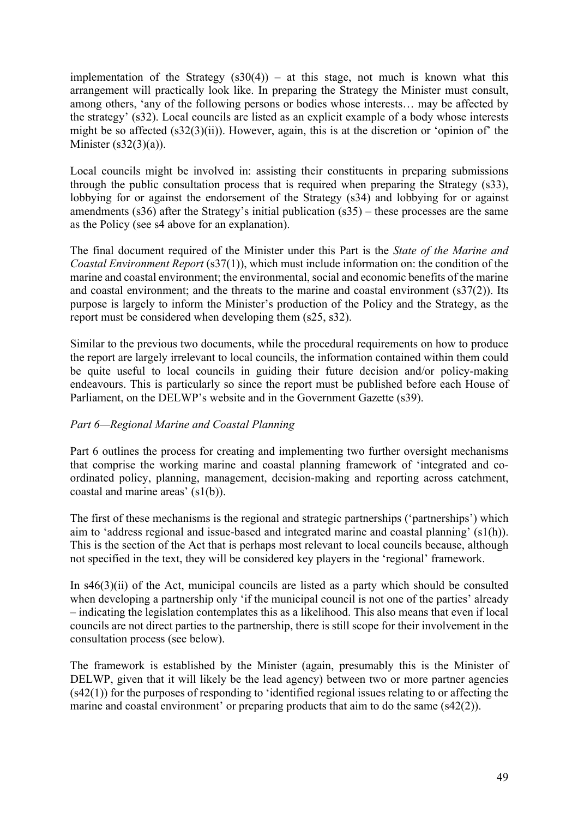implementation of the Strategy  $(s30(4))$  – at this stage, not much is known what this arrangement will practically look like. In preparing the Strategy the Minister must consult, among others, 'any of the following persons or bodies whose interests… may be affected by the strategy' (s32). Local councils are listed as an explicit example of a body whose interests might be so affected (s32(3)(ii)). However, again, this is at the discretion or 'opinion of' the Minister (s32(3)(a)).

Local councils might be involved in: assisting their constituents in preparing submissions through the public consultation process that is required when preparing the Strategy (s33), lobbying for or against the endorsement of the Strategy (s34) and lobbying for or against amendments (s36) after the Strategy's initial publication (s35) – these processes are the same as the Policy (see s4 above for an explanation).

The final document required of the Minister under this Part is the *State of the Marine and Coastal Environment Report* (s37(1)), which must include information on: the condition of the marine and coastal environment; the environmental, social and economic benefits of the marine and coastal environment; and the threats to the marine and coastal environment (s37(2)). Its purpose is largely to inform the Minister's production of the Policy and the Strategy, as the report must be considered when developing them (s25, s32).

Similar to the previous two documents, while the procedural requirements on how to produce the report are largely irrelevant to local councils, the information contained within them could be quite useful to local councils in guiding their future decision and/or policy-making endeavours. This is particularly so since the report must be published before each House of Parliament, on the DELWP's website and in the Government Gazette (s39).

# *Part 6—Regional Marine and Coastal Planning*

Part 6 outlines the process for creating and implementing two further oversight mechanisms that comprise the working marine and coastal planning framework of 'integrated and coordinated policy, planning, management, decision-making and reporting across catchment, coastal and marine areas' (s1(b)).

The first of these mechanisms is the regional and strategic partnerships ('partnerships') which aim to 'address regional and issue-based and integrated marine and coastal planning' (s1(h)). This is the section of the Act that is perhaps most relevant to local councils because, although not specified in the text, they will be considered key players in the 'regional' framework.

In  $s46(3)(ii)$  of the Act, municipal councils are listed as a party which should be consulted when developing a partnership only 'if the municipal council is not one of the parties' already – indicating the legislation contemplates this as a likelihood. This also means that even if local councils are not direct parties to the partnership, there is still scope for their involvement in the consultation process (see below).

The framework is established by the Minister (again, presumably this is the Minister of DELWP, given that it will likely be the lead agency) between two or more partner agencies  $(s42(1))$  for the purposes of responding to 'identified regional issues relating to or affecting the marine and coastal environment' or preparing products that aim to do the same (s42(2)).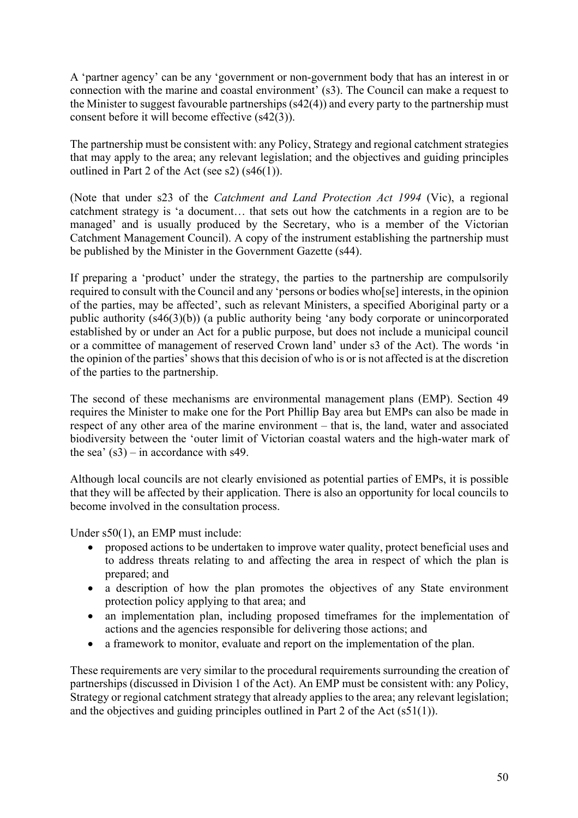A 'partner agency' can be any 'government or non-government body that has an interest in or connection with the marine and coastal environment' (s3). The Council can make a request to the Minister to suggest favourable partnerships (s42(4)) and every party to the partnership must consent before it will become effective (s42(3)).

The partnership must be consistent with: any Policy, Strategy and regional catchment strategies that may apply to the area; any relevant legislation; and the objectives and guiding principles outlined in Part 2 of the Act (see s2) (s46(1)).

(Note that under s23 of the *Catchment and Land Protection Act 1994* (Vic), a regional catchment strategy is 'a document… that sets out how the catchments in a region are to be managed' and is usually produced by the Secretary, who is a member of the Victorian Catchment Management Council). A copy of the instrument establishing the partnership must be published by the Minister in the Government Gazette (s44).

If preparing a 'product' under the strategy, the parties to the partnership are compulsorily required to consult with the Council and any 'persons or bodies who[se] interests, in the opinion of the parties, may be affected', such as relevant Ministers, a specified Aboriginal party or a public authority (s46(3)(b)) (a public authority being 'any body corporate or unincorporated established by or under an Act for a public purpose, but does not include a municipal council or a committee of management of reserved Crown land' under s3 of the Act). The words 'in the opinion of the parties' shows that this decision of who is or is not affected is at the discretion of the parties to the partnership.

The second of these mechanisms are environmental management plans (EMP). Section 49 requires the Minister to make one for the Port Phillip Bay area but EMPs can also be made in respect of any other area of the marine environment – that is, the land, water and associated biodiversity between the 'outer limit of Victorian coastal waters and the high-water mark of the sea'  $(s3)$  – in accordance with s49.

Although local councils are not clearly envisioned as potential parties of EMPs, it is possible that they will be affected by their application. There is also an opportunity for local councils to become involved in the consultation process.

Under s50(1), an EMP must include:

- proposed actions to be undertaken to improve water quality, protect beneficial uses and to address threats relating to and affecting the area in respect of which the plan is prepared; and
- a description of how the plan promotes the objectives of any State environment protection policy applying to that area; and
- an implementation plan, including proposed timeframes for the implementation of actions and the agencies responsible for delivering those actions; and
- a framework to monitor, evaluate and report on the implementation of the plan.

These requirements are very similar to the procedural requirements surrounding the creation of partnerships (discussed in Division 1 of the Act). An EMP must be consistent with: any Policy, Strategy or regional catchment strategy that already applies to the area; any relevant legislation; and the objectives and guiding principles outlined in Part 2 of the Act (s51(1)).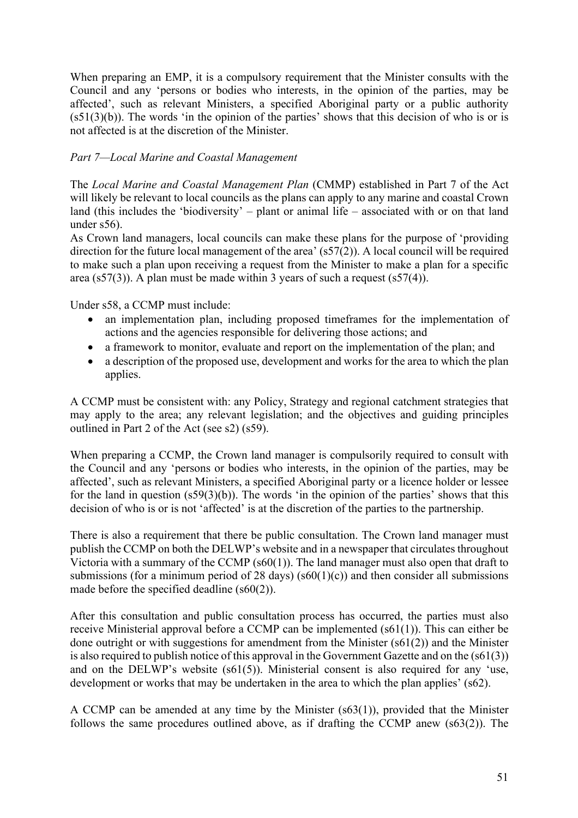When preparing an EMP, it is a compulsory requirement that the Minister consults with the Council and any 'persons or bodies who interests, in the opinion of the parties, may be affected', such as relevant Ministers, a specified Aboriginal party or a public authority  $(s51(3)(b))$ . The words 'in the opinion of the parties' shows that this decision of who is or is not affected is at the discretion of the Minister.

# *Part 7—Local Marine and Coastal Management*

The *Local Marine and Coastal Management Plan* (CMMP) established in Part 7 of the Act will likely be relevant to local councils as the plans can apply to any marine and coastal Crown land (this includes the 'biodiversity' – plant or animal life – associated with or on that land under s56).

As Crown land managers, local councils can make these plans for the purpose of 'providing direction for the future local management of the area' (s57(2)). A local council will be required to make such a plan upon receiving a request from the Minister to make a plan for a specific area (s57(3)). A plan must be made within 3 years of such a request (s57(4)).

Under s58, a CCMP must include:

- an implementation plan, including proposed timeframes for the implementation of actions and the agencies responsible for delivering those actions; and
- a framework to monitor, evaluate and report on the implementation of the plan; and
- a description of the proposed use, development and works for the area to which the plan applies.

A CCMP must be consistent with: any Policy, Strategy and regional catchment strategies that may apply to the area; any relevant legislation; and the objectives and guiding principles outlined in Part 2 of the Act (see s2) (s59).

When preparing a CCMP, the Crown land manager is compulsorily required to consult with the Council and any 'persons or bodies who interests, in the opinion of the parties, may be affected', such as relevant Ministers, a specified Aboriginal party or a licence holder or lessee for the land in question (s59(3)(b)). The words 'in the opinion of the parties' shows that this decision of who is or is not 'affected' is at the discretion of the parties to the partnership.

There is also a requirement that there be public consultation. The Crown land manager must publish the CCMP on both the DELWP's website and in a newspaper that circulates throughout Victoria with a summary of the CCMP (s60(1)). The land manager must also open that draft to submissions (for a minimum period of 28 days) ( $s60(1)(c)$ ) and then consider all submissions made before the specified deadline (s60(2)).

After this consultation and public consultation process has occurred, the parties must also receive Ministerial approval before a CCMP can be implemented (s61(1)). This can either be done outright or with suggestions for amendment from the Minister (s61(2)) and the Minister is also required to publish notice of this approval in the Government Gazette and on the (s61(3)) and on the DELWP's website (s61(5)). Ministerial consent is also required for any 'use, development or works that may be undertaken in the area to which the plan applies' (s62).

A CCMP can be amended at any time by the Minister (s63(1)), provided that the Minister follows the same procedures outlined above, as if drafting the CCMP anew (s63(2)). The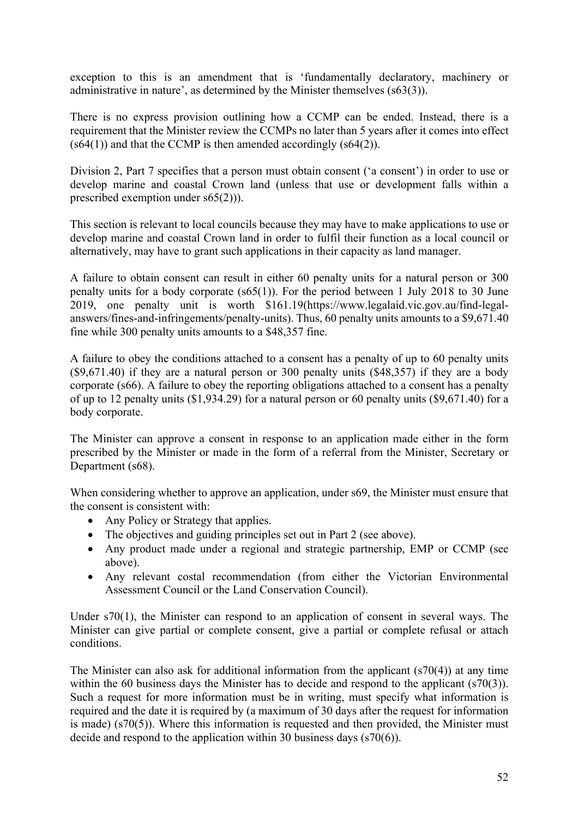exception to this is an amendment that is 'fundamentally declaratory, machinery or administrative in nature', as determined by the Minister themselves (s63(3)).

There is no express provision outlining how a CCMP can be ended. Instead, there is a requirement that the Minister review the CCMPs no later than 5 years after it comes into effect  $(s64(1))$  and that the CCMP is then amended accordingly  $(s64(2))$ .

Division 2, Part 7 specifies that a person must obtain consent ('a consent') in order to use or develop marine and coastal Crown land (unless that use or development falls within a prescribed exemption under s65(2))).

This section is relevant to local councils because they may have to make applications to use or develop marine and coastal Crown land in order to fulfil their function as a local council or alternatively, may have to grant such applications in their capacity as land manager.

A failure to obtain consent can result in either 60 penalty units for a natural person or 300 penalty units for a body corporate (s65(1)). For the period between 1 July 2018 to 30 June 2019, one penalty unit is worth \$161.19(https://www.legalaid.vic.gov.au/find-legalanswers/fines-and-infringements/penalty-units). Thus, 60 penalty units amounts to a \$9,671.40 fine while 300 penalty units amounts to a \$48,357 fine.

A failure to obey the conditions attached to a consent has a penalty of up to 60 penalty units (\$9,671.40) if they are a natural person or 300 penalty units (\$48,357) if they are a body corporate (s66). A failure to obey the reporting obligations attached to a consent has a penalty of up to 12 penalty units (\$1,934.29) for a natural person or 60 penalty units (\$9,671.40) for a body corporate.

The Minister can approve a consent in response to an application made either in the form prescribed by the Minister or made in the form of a referral from the Minister, Secretary or Department (s68).

When considering whether to approve an application, under s69, the Minister must ensure that the consent is consistent with:

- Any Policy or Strategy that applies.
- The objectives and guiding principles set out in Part 2 (see above).
- Any product made under a regional and strategic partnership, EMP or CCMP (see above).
- Any relevant costal recommendation (from either the Victorian Environmental Assessment Council or the Land Conservation Council).

Under s70(1), the Minister can respond to an application of consent in several ways. The Minister can give partial or complete consent, give a partial or complete refusal or attach conditions.

The Minister can also ask for additional information from the applicant (s70(4)) at any time within the 60 business days the Minister has to decide and respond to the applicant (s70(3)). Such a request for more information must be in writing, must specify what information is required and the date it is required by (a maximum of 30 days after the request for information is made) (s70(5)). Where this information is requested and then provided, the Minister must decide and respond to the application within 30 business days (s70(6)).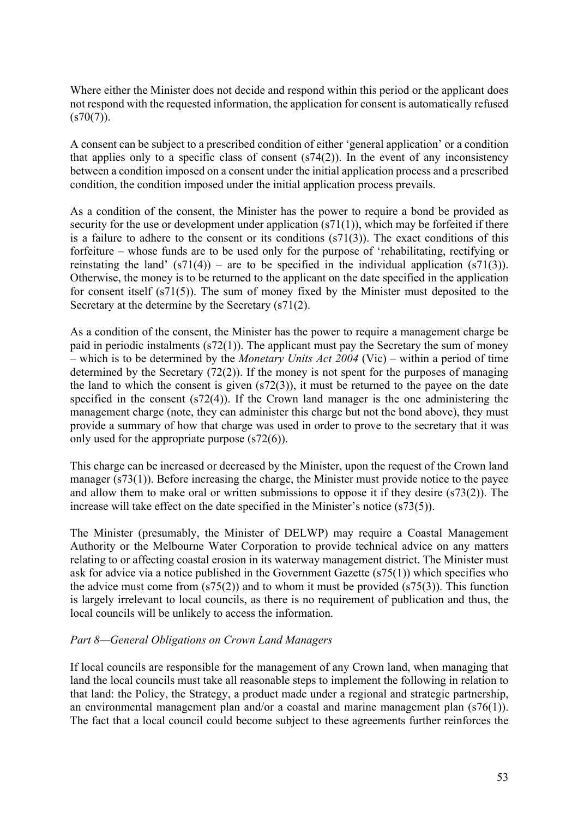Where either the Minister does not decide and respond within this period or the applicant does not respond with the requested information, the application for consent is automatically refused  $(s70(7))$ .

A consent can be subject to a prescribed condition of either 'general application' or a condition that applies only to a specific class of consent  $(s74(2))$ . In the event of any inconsistency between a condition imposed on a consent under the initial application process and a prescribed condition, the condition imposed under the initial application process prevails.

As a condition of the consent, the Minister has the power to require a bond be provided as security for the use or development under application (s71(1)), which may be forfeited if there is a failure to adhere to the consent or its conditions  $(s71(3))$ . The exact conditions of this forfeiture – whose funds are to be used only for the purpose of 'rehabilitating, rectifying or reinstating the land'  $(s71(4))$  – are to be specified in the individual application  $(s71(3))$ . Otherwise, the money is to be returned to the applicant on the date specified in the application for consent itself (s71(5)). The sum of money fixed by the Minister must deposited to the Secretary at the determine by the Secretary (s71(2).

As a condition of the consent, the Minister has the power to require a management charge be paid in periodic instalments (s72(1)). The applicant must pay the Secretary the sum of money – which is to be determined by the *Monetary Units Act 2004* (Vic) – within a period of time determined by the Secretary (72(2)). If the money is not spent for the purposes of managing the land to which the consent is given (s72(3)), it must be returned to the payee on the date specified in the consent (s72(4)). If the Crown land manager is the one administering the management charge (note, they can administer this charge but not the bond above), they must provide a summary of how that charge was used in order to prove to the secretary that it was only used for the appropriate purpose (s72(6)).

This charge can be increased or decreased by the Minister, upon the request of the Crown land manager (s73(1)). Before increasing the charge, the Minister must provide notice to the payee and allow them to make oral or written submissions to oppose it if they desire (s73(2)). The increase will take effect on the date specified in the Minister's notice (s73(5)).

The Minister (presumably, the Minister of DELWP) may require a Coastal Management Authority or the Melbourne Water Corporation to provide technical advice on any matters relating to or affecting coastal erosion in its waterway management district. The Minister must ask for advice via a notice published in the Government Gazette (s75(1)) which specifies who the advice must come from  $(s75(2))$  and to whom it must be provided  $(s75(3))$ . This function is largely irrelevant to local councils, as there is no requirement of publication and thus, the local councils will be unlikely to access the information.

# *Part 8—General Obligations on Crown Land Managers*

If local councils are responsible for the management of any Crown land, when managing that land the local councils must take all reasonable steps to implement the following in relation to that land: the Policy, the Strategy, a product made under a regional and strategic partnership, an environmental management plan and/or a coastal and marine management plan (s76(1)). The fact that a local council could become subject to these agreements further reinforces the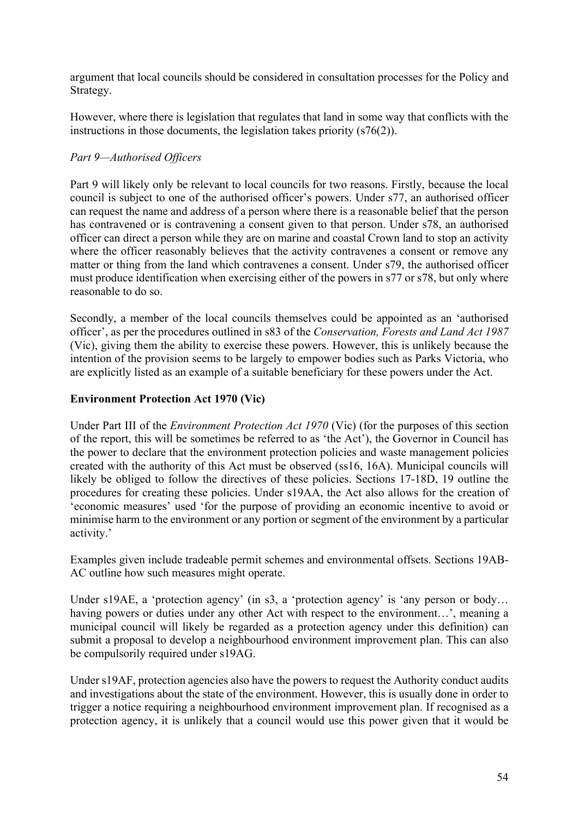argument that local councils should be considered in consultation processes for the Policy and Strategy.

However, where there is legislation that regulates that land in some way that conflicts with the instructions in those documents, the legislation takes priority (s76(2)).

# *Part 9—Authorised Officers*

Part 9 will likely only be relevant to local councils for two reasons. Firstly, because the local council is subject to one of the authorised officer's powers. Under s77, an authorised officer can request the name and address of a person where there is a reasonable belief that the person has contravened or is contravening a consent given to that person. Under s78, an authorised officer can direct a person while they are on marine and coastal Crown land to stop an activity where the officer reasonably believes that the activity contravenes a consent or remove any matter or thing from the land which contravenes a consent. Under s79, the authorised officer must produce identification when exercising either of the powers in s77 or s78, but only where reasonable to do so.

Secondly, a member of the local councils themselves could be appointed as an 'authorised officer', as per the procedures outlined in s83 of the *Conservation, Forests and Land Act 1987*  (Vic), giving them the ability to exercise these powers. However, this is unlikely because the intention of the provision seems to be largely to empower bodies such as Parks Victoria, who are explicitly listed as an example of a suitable beneficiary for these powers under the Act.

# **Environment Protection Act 1970 (Vic)**

Under Part III of the *Environment Protection Act 1970* (Vic) (for the purposes of this section of the report, this will be sometimes be referred to as 'the Act'), the Governor in Council has the power to declare that the environment protection policies and waste management policies created with the authority of this Act must be observed (ss16, 16A). Municipal councils will likely be obliged to follow the directives of these policies. Sections 17-18D, 19 outline the procedures for creating these policies. Under s19AA, the Act also allows for the creation of 'economic measures' used 'for the purpose of providing an economic incentive to avoid or minimise harm to the environment or any portion or segment of the environment by a particular activity.'

Examples given include tradeable permit schemes and environmental offsets. Sections 19AB-AC outline how such measures might operate.

Under s19AE, a 'protection agency' (in s3, a 'protection agency' is 'any person or body... having powers or duties under any other Act with respect to the environment...', meaning a municipal council will likely be regarded as a protection agency under this definition) can submit a proposal to develop a neighbourhood environment improvement plan. This can also be compulsorily required under s19AG.

Under s19AF, protection agencies also have the powers to request the Authority conduct audits and investigations about the state of the environment. However, this is usually done in order to trigger a notice requiring a neighbourhood environment improvement plan. If recognised as a protection agency, it is unlikely that a council would use this power given that it would be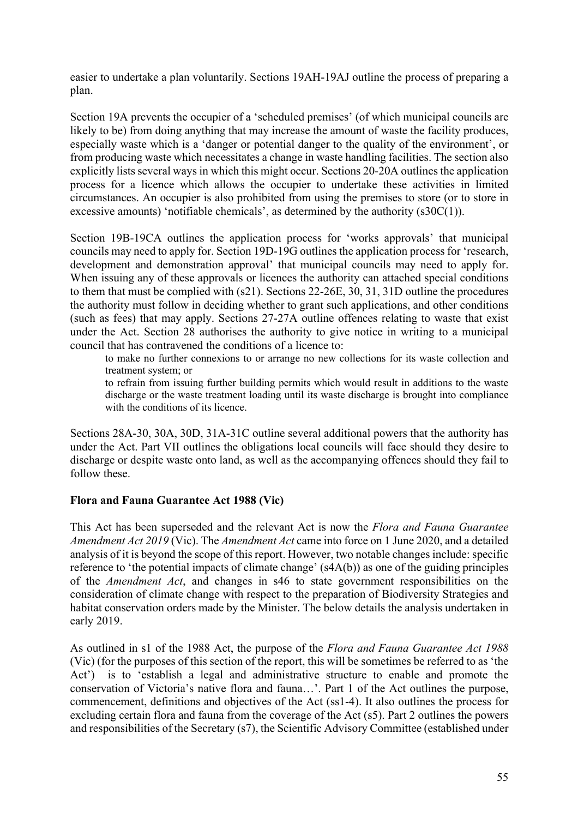easier to undertake a plan voluntarily. Sections 19AH-19AJ outline the process of preparing a plan.

Section 19A prevents the occupier of a 'scheduled premises' (of which municipal councils are likely to be) from doing anything that may increase the amount of waste the facility produces, especially waste which is a 'danger or potential danger to the quality of the environment', or from producing waste which necessitates a change in waste handling facilities. The section also explicitly lists several ways in which this might occur. Sections 20-20A outlines the application process for a licence which allows the occupier to undertake these activities in limited circumstances. An occupier is also prohibited from using the premises to store (or to store in excessive amounts) 'notifiable chemicals', as determined by the authority (s30C(1)).

Section 19B-19CA outlines the application process for 'works approvals' that municipal councils may need to apply for. Section 19D-19G outlines the application process for 'research, development and demonstration approval' that municipal councils may need to apply for. When issuing any of these approvals or licences the authority can attached special conditions to them that must be complied with (s21). Sections 22-26E, 30, 31, 31D outline the procedures the authority must follow in deciding whether to grant such applications, and other conditions (such as fees) that may apply. Sections 27-27A outline offences relating to waste that exist under the Act. Section 28 authorises the authority to give notice in writing to a municipal council that has contravened the conditions of a licence to:

to make no further connexions to or arrange no new collections for its waste collection and treatment system; or

to refrain from issuing further building permits which would result in additions to the waste discharge or the waste treatment loading until its waste discharge is brought into compliance with the conditions of its licence.

Sections 28A-30, 30A, 30D, 31A-31C outline several additional powers that the authority has under the Act. Part VII outlines the obligations local councils will face should they desire to discharge or despite waste onto land, as well as the accompanying offences should they fail to follow these.

# **Flora and Fauna Guarantee Act 1988 (Vic)**

This Act has been superseded and the relevant Act is now the *Flora and Fauna Guarantee Amendment Act 2019* (Vic). The *Amendment Act* came into force on 1 June 2020, and a detailed analysis of it is beyond the scope of this report. However, two notable changes include: specific reference to 'the potential impacts of climate change' (s4A(b)) as one of the guiding principles of the *Amendment Act*, and changes in s46 to state government responsibilities on the consideration of climate change with respect to the preparation of Biodiversity Strategies and habitat conservation orders made by the Minister. The below details the analysis undertaken in early 2019.

As outlined in s1 of the 1988 Act, the purpose of the *Flora and Fauna Guarantee Act 1988*  (Vic) (for the purposes of this section of the report, this will be sometimes be referred to as 'the Act') is to 'establish a legal and administrative structure to enable and promote the conservation of Victoria's native flora and fauna…'. Part 1 of the Act outlines the purpose, commencement, definitions and objectives of the Act (ss1-4). It also outlines the process for excluding certain flora and fauna from the coverage of the Act (s5). Part 2 outlines the powers and responsibilities of the Secretary (s7), the Scientific Advisory Committee (established under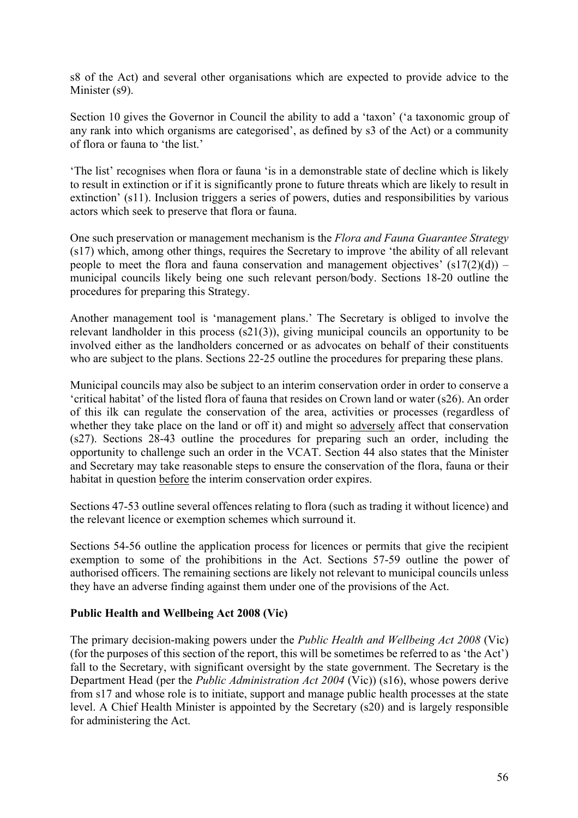s8 of the Act) and several other organisations which are expected to provide advice to the Minister (s9).

Section 10 gives the Governor in Council the ability to add a 'taxon' ('a taxonomic group of any rank into which organisms are categorised', as defined by s3 of the Act) or a community of flora or fauna to 'the list.'

'The list' recognises when flora or fauna 'is in a demonstrable state of decline which is likely to result in extinction or if it is significantly prone to future threats which are likely to result in extinction' (s11). Inclusion triggers a series of powers, duties and responsibilities by various actors which seek to preserve that flora or fauna.

One such preservation or management mechanism is the *Flora and Fauna Guarantee Strategy* (s17) which, among other things, requires the Secretary to improve 'the ability of all relevant people to meet the flora and fauna conservation and management objectives'  $(s17(2)(d))$  – municipal councils likely being one such relevant person/body. Sections 18-20 outline the procedures for preparing this Strategy.

Another management tool is 'management plans.' The Secretary is obliged to involve the relevant landholder in this process (s21(3)), giving municipal councils an opportunity to be involved either as the landholders concerned or as advocates on behalf of their constituents who are subject to the plans. Sections 22-25 outline the procedures for preparing these plans.

Municipal councils may also be subject to an interim conservation order in order to conserve a 'critical habitat' of the listed flora of fauna that resides on Crown land or water (s26). An order of this ilk can regulate the conservation of the area, activities or processes (regardless of whether they take place on the land or off it) and might so adversely affect that conservation (s27). Sections 28-43 outline the procedures for preparing such an order, including the opportunity to challenge such an order in the VCAT. Section 44 also states that the Minister and Secretary may take reasonable steps to ensure the conservation of the flora, fauna or their habitat in question before the interim conservation order expires.

Sections 47-53 outline several offences relating to flora (such as trading it without licence) and the relevant licence or exemption schemes which surround it.

Sections 54-56 outline the application process for licences or permits that give the recipient exemption to some of the prohibitions in the Act. Sections 57-59 outline the power of authorised officers. The remaining sections are likely not relevant to municipal councils unless they have an adverse finding against them under one of the provisions of the Act.

# **Public Health and Wellbeing Act 2008 (Vic)**

The primary decision-making powers under the *Public Health and Wellbeing Act 2008* (Vic) (for the purposes of this section of the report, this will be sometimes be referred to as 'the Act') fall to the Secretary, with significant oversight by the state government. The Secretary is the Department Head (per the *Public Administration Act 2004* (Vic)) (s16), whose powers derive from s17 and whose role is to initiate, support and manage public health processes at the state level. A Chief Health Minister is appointed by the Secretary (s20) and is largely responsible for administering the Act.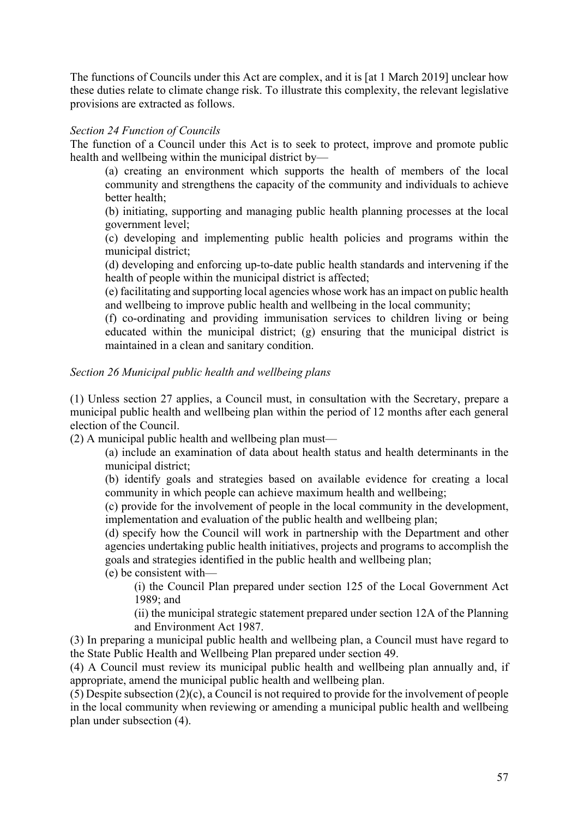The functions of Councils under this Act are complex, and it is [at 1 March 2019] unclear how these duties relate to climate change risk. To illustrate this complexity, the relevant legislative provisions are extracted as follows.

#### *Section 24 Function of Councils*

The function of a Council under this Act is to seek to protect, improve and promote public health and wellbeing within the municipal district by—

(a) creating an environment which supports the health of members of the local community and strengthens the capacity of the community and individuals to achieve better health;

(b) initiating, supporting and managing public health planning processes at the local government level;

(c) developing and implementing public health policies and programs within the municipal district;

(d) developing and enforcing up-to-date public health standards and intervening if the health of people within the municipal district is affected;

(e) facilitating and supporting local agencies whose work has an impact on public health and wellbeing to improve public health and wellbeing in the local community;

(f) co-ordinating and providing immunisation services to children living or being educated within the municipal district; (g) ensuring that the municipal district is maintained in a clean and sanitary condition.

#### *Section 26 Municipal public health and wellbeing plans*

(1) Unless section 27 applies, a Council must, in consultation with the Secretary, prepare a municipal public health and wellbeing plan within the period of 12 months after each general election of the Council.

(2) A municipal public health and wellbeing plan must—

(a) include an examination of data about health status and health determinants in the municipal district;

(b) identify goals and strategies based on available evidence for creating a local community in which people can achieve maximum health and wellbeing;

(c) provide for the involvement of people in the local community in the development, implementation and evaluation of the public health and wellbeing plan;

(d) specify how the Council will work in partnership with the Department and other agencies undertaking public health initiatives, projects and programs to accomplish the goals and strategies identified in the public health and wellbeing plan;

(e) be consistent with—

(i) the Council Plan prepared under section 125 of the Local Government Act 1989; and

(ii) the municipal strategic statement prepared under section 12A of the Planning and Environment Act 1987.

(3) In preparing a municipal public health and wellbeing plan, a Council must have regard to the State Public Health and Wellbeing Plan prepared under section 49.

(4) A Council must review its municipal public health and wellbeing plan annually and, if appropriate, amend the municipal public health and wellbeing plan.

(5) Despite subsection (2)(c), a Council is not required to provide for the involvement of people in the local community when reviewing or amending a municipal public health and wellbeing plan under subsection (4).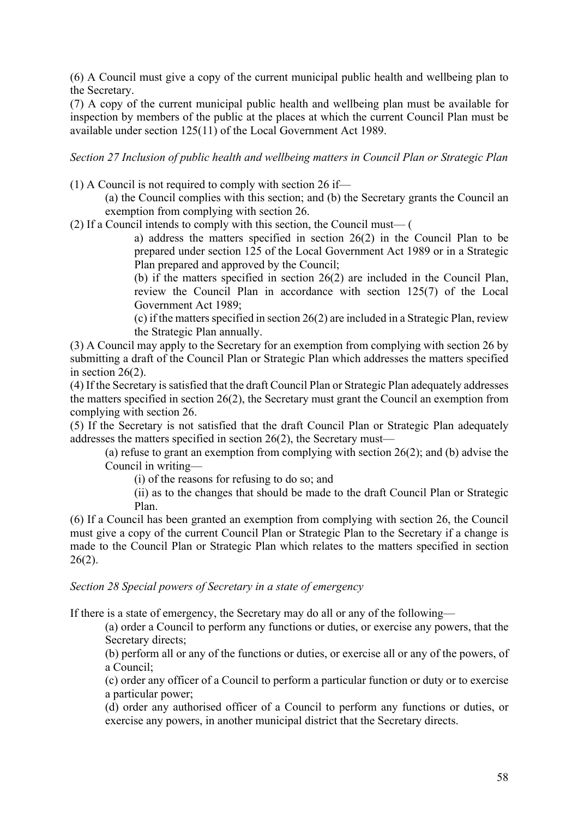(6) A Council must give a copy of the current municipal public health and wellbeing plan to the Secretary.

(7) A copy of the current municipal public health and wellbeing plan must be available for inspection by members of the public at the places at which the current Council Plan must be available under section 125(11) of the Local Government Act 1989.

*Section 27 Inclusion of public health and wellbeing matters in Council Plan or Strategic Plan* 

(1) A Council is not required to comply with section 26 if—

(a) the Council complies with this section; and (b) the Secretary grants the Council an exemption from complying with section 26.

(2) If a Council intends to comply with this section, the Council must— (

a) address the matters specified in section 26(2) in the Council Plan to be prepared under section 125 of the Local Government Act 1989 or in a Strategic Plan prepared and approved by the Council;

(b) if the matters specified in section 26(2) are included in the Council Plan, review the Council Plan in accordance with section 125(7) of the Local Government Act 1989;

(c) if the matters specified in section 26(2) are included in a Strategic Plan, review the Strategic Plan annually.

(3) A Council may apply to the Secretary for an exemption from complying with section 26 by submitting a draft of the Council Plan or Strategic Plan which addresses the matters specified in section 26(2).

(4) If the Secretary is satisfied that the draft Council Plan or Strategic Plan adequately addresses the matters specified in section 26(2), the Secretary must grant the Council an exemption from complying with section 26.

(5) If the Secretary is not satisfied that the draft Council Plan or Strategic Plan adequately addresses the matters specified in section 26(2), the Secretary must—

(a) refuse to grant an exemption from complying with section 26(2); and (b) advise the Council in writing—

(i) of the reasons for refusing to do so; and

(ii) as to the changes that should be made to the draft Council Plan or Strategic Plan.

(6) If a Council has been granted an exemption from complying with section 26, the Council must give a copy of the current Council Plan or Strategic Plan to the Secretary if a change is made to the Council Plan or Strategic Plan which relates to the matters specified in section  $26(2)$ .

*Section 28 Special powers of Secretary in a state of emergency* 

If there is a state of emergency, the Secretary may do all or any of the following—

(a) order a Council to perform any functions or duties, or exercise any powers, that the Secretary directs;

(b) perform all or any of the functions or duties, or exercise all or any of the powers, of a Council;

(c) order any officer of a Council to perform a particular function or duty or to exercise a particular power;

(d) order any authorised officer of a Council to perform any functions or duties, or exercise any powers, in another municipal district that the Secretary directs.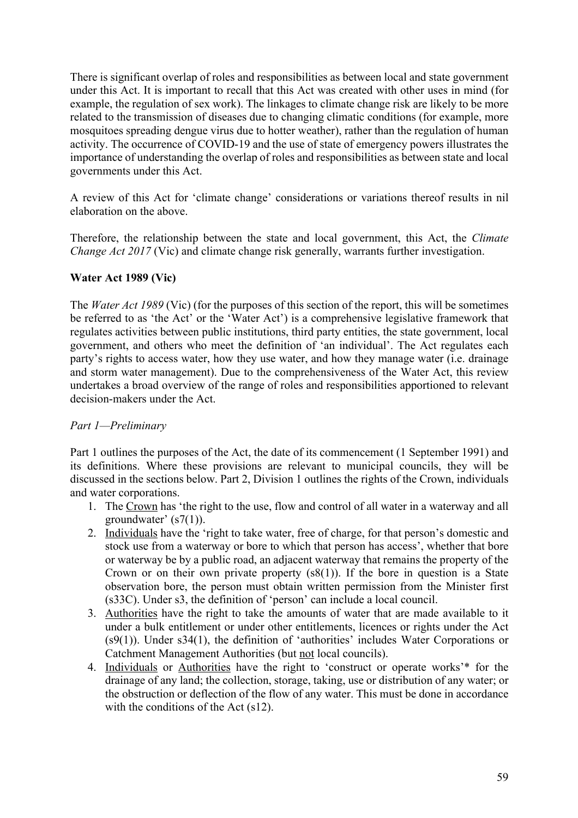There is significant overlap of roles and responsibilities as between local and state government under this Act. It is important to recall that this Act was created with other uses in mind (for example, the regulation of sex work). The linkages to climate change risk are likely to be more related to the transmission of diseases due to changing climatic conditions (for example, more mosquitoes spreading dengue virus due to hotter weather), rather than the regulation of human activity. The occurrence of COVID-19 and the use of state of emergency powers illustrates the importance of understanding the overlap of roles and responsibilities as between state and local governments under this Act.

A review of this Act for 'climate change' considerations or variations thereof results in nil elaboration on the above.

Therefore, the relationship between the state and local government, this Act, the *Climate Change Act 2017* (Vic) and climate change risk generally, warrants further investigation.

# **Water Act 1989 (Vic)**

The *Water Act 1989* (Vic) (for the purposes of this section of the report, this will be sometimes be referred to as 'the Act' or the 'Water Act') is a comprehensive legislative framework that regulates activities between public institutions, third party entities, the state government, local government, and others who meet the definition of 'an individual'. The Act regulates each party's rights to access water, how they use water, and how they manage water (i.e. drainage and storm water management). Due to the comprehensiveness of the Water Act, this review undertakes a broad overview of the range of roles and responsibilities apportioned to relevant decision-makers under the Act.

# *Part 1—Preliminary*

Part 1 outlines the purposes of the Act, the date of its commencement (1 September 1991) and its definitions. Where these provisions are relevant to municipal councils, they will be discussed in the sections below. Part 2, Division 1 outlines the rights of the Crown, individuals and water corporations.

- 1. The Crown has 'the right to the use, flow and control of all water in a waterway and all groundwater' (s7(1)).
- 2. Individuals have the 'right to take water, free of charge, for that person's domestic and stock use from a waterway or bore to which that person has access', whether that bore or waterway be by a public road, an adjacent waterway that remains the property of the Crown or on their own private property  $(s(8)(1))$ . If the bore in question is a State observation bore, the person must obtain written permission from the Minister first (s33C). Under s3, the definition of 'person' can include a local council.
- 3. Authorities have the right to take the amounts of water that are made available to it under a bulk entitlement or under other entitlements, licences or rights under the Act (s9(1)). Under s34(1), the definition of 'authorities' includes Water Corporations or Catchment Management Authorities (but not local councils).
- 4. Individuals or Authorities have the right to 'construct or operate works'\* for the drainage of any land; the collection, storage, taking, use or distribution of any water; or the obstruction or deflection of the flow of any water. This must be done in accordance with the conditions of the Act (s12).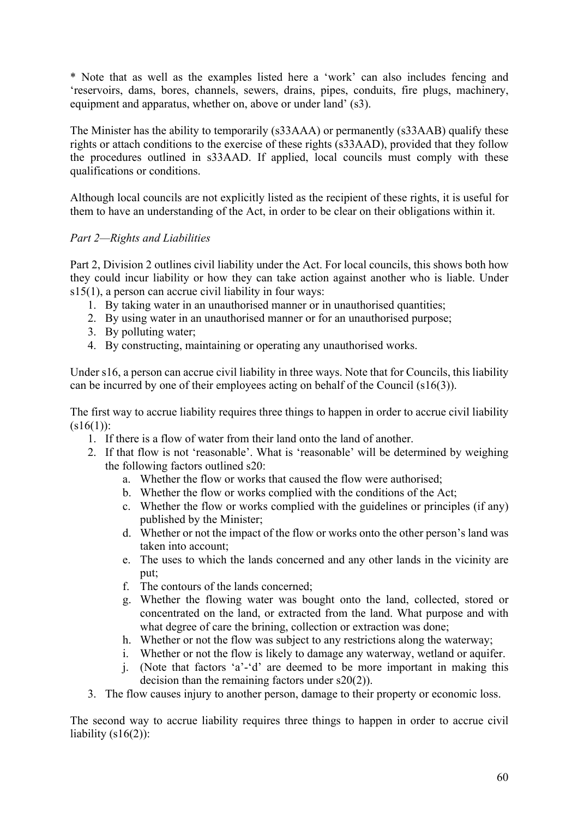\* Note that as well as the examples listed here a 'work' can also includes fencing and 'reservoirs, dams, bores, channels, sewers, drains, pipes, conduits, fire plugs, machinery, equipment and apparatus, whether on, above or under land' (s3).

The Minister has the ability to temporarily (s33AAA) or permanently (s33AAB) qualify these rights or attach conditions to the exercise of these rights (s33AAD), provided that they follow the procedures outlined in s33AAD. If applied, local councils must comply with these qualifications or conditions.

Although local councils are not explicitly listed as the recipient of these rights, it is useful for them to have an understanding of the Act, in order to be clear on their obligations within it.

# *Part 2—Rights and Liabilities*

Part 2, Division 2 outlines civil liability under the Act. For local councils, this shows both how they could incur liability or how they can take action against another who is liable. Under s15(1), a person can accrue civil liability in four ways:

- 1. By taking water in an unauthorised manner or in unauthorised quantities;
- 2. By using water in an unauthorised manner or for an unauthorised purpose;
- 3. By polluting water;
- 4. By constructing, maintaining or operating any unauthorised works.

Under s16, a person can accrue civil liability in three ways. Note that for Councils, this liability can be incurred by one of their employees acting on behalf of the Council (s16(3)).

The first way to accrue liability requires three things to happen in order to accrue civil liability  $(s16(1))$ :

- 1. If there is a flow of water from their land onto the land of another.
- 2. If that flow is not 'reasonable'. What is 'reasonable' will be determined by weighing the following factors outlined s20:
	- a. Whether the flow or works that caused the flow were authorised;
	- b. Whether the flow or works complied with the conditions of the Act;
	- c. Whether the flow or works complied with the guidelines or principles (if any) published by the Minister;
	- d. Whether or not the impact of the flow or works onto the other person's land was taken into account;
	- e. The uses to which the lands concerned and any other lands in the vicinity are put;
	- f. The contours of the lands concerned;
	- g. Whether the flowing water was bought onto the land, collected, stored or concentrated on the land, or extracted from the land. What purpose and with what degree of care the brining, collection or extraction was done;
	- h. Whether or not the flow was subject to any restrictions along the waterway;
	- i. Whether or not the flow is likely to damage any waterway, wetland or aquifer.
	- j. (Note that factors 'a'-'d' are deemed to be more important in making this decision than the remaining factors under s20(2)).
- 3. The flow causes injury to another person, damage to their property or economic loss.

The second way to accrue liability requires three things to happen in order to accrue civil liability  $(s16(2))$ :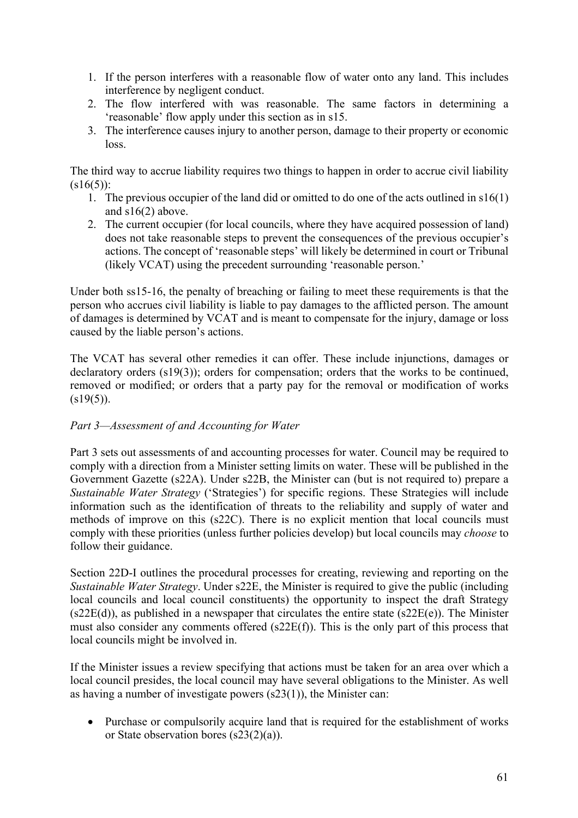- 1. If the person interferes with a reasonable flow of water onto any land. This includes interference by negligent conduct.
- 2. The flow interfered with was reasonable. The same factors in determining a 'reasonable' flow apply under this section as in s15.
- 3. The interference causes injury to another person, damage to their property or economic loss.

The third way to accrue liability requires two things to happen in order to accrue civil liability  $(s16(5))$ :

- 1. The previous occupier of the land did or omitted to do one of the acts outlined in s16(1) and s16(2) above.
- 2. The current occupier (for local councils, where they have acquired possession of land) does not take reasonable steps to prevent the consequences of the previous occupier's actions. The concept of 'reasonable steps' will likely be determined in court or Tribunal (likely VCAT) using the precedent surrounding 'reasonable person.'

Under both ss15-16, the penalty of breaching or failing to meet these requirements is that the person who accrues civil liability is liable to pay damages to the afflicted person. The amount of damages is determined by VCAT and is meant to compensate for the injury, damage or loss caused by the liable person's actions.

The VCAT has several other remedies it can offer. These include injunctions, damages or declaratory orders (s19(3)); orders for compensation; orders that the works to be continued, removed or modified; or orders that a party pay for the removal or modification of works  $(s19(5))$ .

# *Part 3—Assessment of and Accounting for Water*

Part 3 sets out assessments of and accounting processes for water. Council may be required to comply with a direction from a Minister setting limits on water. These will be published in the Government Gazette (s22A). Under s22B, the Minister can (but is not required to) prepare a *Sustainable Water Strategy* ('Strategies') for specific regions. These Strategies will include information such as the identification of threats to the reliability and supply of water and methods of improve on this (s22C). There is no explicit mention that local councils must comply with these priorities (unless further policies develop) but local councils may *choose* to follow their guidance.

Section 22D-I outlines the procedural processes for creating, reviewing and reporting on the *Sustainable Water Strategy*. Under s22E, the Minister is required to give the public (including local councils and local council constituents) the opportunity to inspect the draft Strategy  $(s22E(d))$ , as published in a newspaper that circulates the entire state  $(s22E(e))$ . The Minister must also consider any comments offered (s22E(f)). This is the only part of this process that local councils might be involved in.

If the Minister issues a review specifying that actions must be taken for an area over which a local council presides, the local council may have several obligations to the Minister. As well as having a number of investigate powers (s23(1)), the Minister can:

• Purchase or compulsorily acquire land that is required for the establishment of works or State observation bores (s23(2)(a)).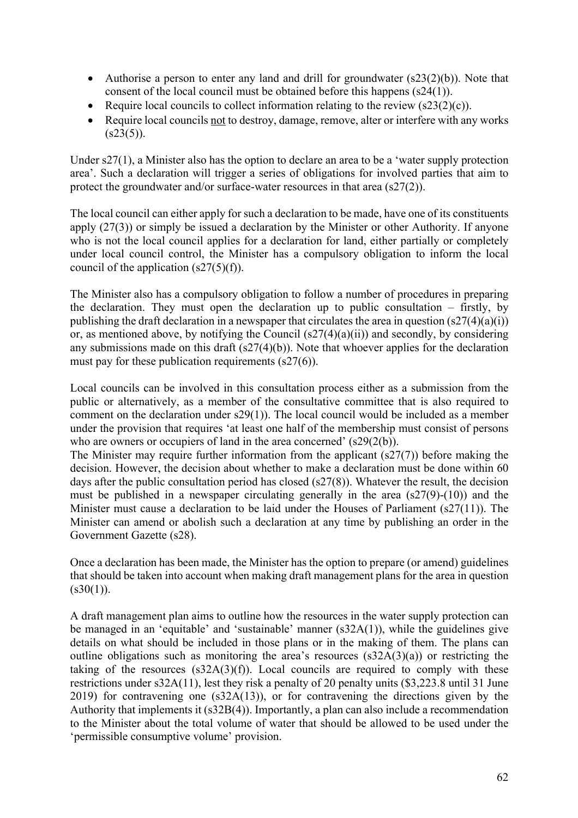- Authorise a person to enter any land and drill for groundwater  $(s23(2)(b))$ . Note that consent of the local council must be obtained before this happens (s24(1)).
- Require local councils to collect information relating to the review  $(s23(2)(c))$ .
- Require local councils not to destroy, damage, remove, alter or interfere with any works  $(s23(5))$ .

Under s27(1), a Minister also has the option to declare an area to be a 'water supply protection area'. Such a declaration will trigger a series of obligations for involved parties that aim to protect the groundwater and/or surface-water resources in that area (s27(2)).

The local council can either apply for such a declaration to be made, have one of its constituents apply (27(3)) or simply be issued a declaration by the Minister or other Authority. If anyone who is not the local council applies for a declaration for land, either partially or completely under local council control, the Minister has a compulsory obligation to inform the local council of the application  $(s27(5)(f))$ .

The Minister also has a compulsory obligation to follow a number of procedures in preparing the declaration. They must open the declaration up to public consultation – firstly, by publishing the draft declaration in a newspaper that circulates the area in question  $(s27(4)(a)(i))$ or, as mentioned above, by notifying the Council  $(s27(4)(a)(ii))$  and secondly, by considering any submissions made on this draft  $(s27(4)(b))$ . Note that whoever applies for the declaration must pay for these publication requirements (s27(6)).

Local councils can be involved in this consultation process either as a submission from the public or alternatively, as a member of the consultative committee that is also required to comment on the declaration under s29(1)). The local council would be included as a member under the provision that requires 'at least one half of the membership must consist of persons who are owners or occupiers of land in the area concerned' (s29(2(b)).

The Minister may require further information from the applicant (s27(7)) before making the decision. However, the decision about whether to make a declaration must be done within 60 days after the public consultation period has closed (s27(8)). Whatever the result, the decision must be published in a newspaper circulating generally in the area (s27(9)-(10)) and the Minister must cause a declaration to be laid under the Houses of Parliament (s27(11)). The Minister can amend or abolish such a declaration at any time by publishing an order in the Government Gazette (s28).

Once a declaration has been made, the Minister has the option to prepare (or amend) guidelines that should be taken into account when making draft management plans for the area in question  $(s30(1))$ .

A draft management plan aims to outline how the resources in the water supply protection can be managed in an 'equitable' and 'sustainable' manner (s32A(1)), while the guidelines give details on what should be included in those plans or in the making of them. The plans can outline obligations such as monitoring the area's resources  $(s32A(3)(a))$  or restricting the taking of the resources  $(s32A(3)(f))$ . Local councils are required to comply with these restrictions under s32A(11), lest they risk a penalty of 20 penalty units (\$3,223.8 until 31 June 2019) for contravening one (s32A(13)), or for contravening the directions given by the Authority that implements it (s32B(4)). Importantly, a plan can also include a recommendation to the Minister about the total volume of water that should be allowed to be used under the 'permissible consumptive volume' provision.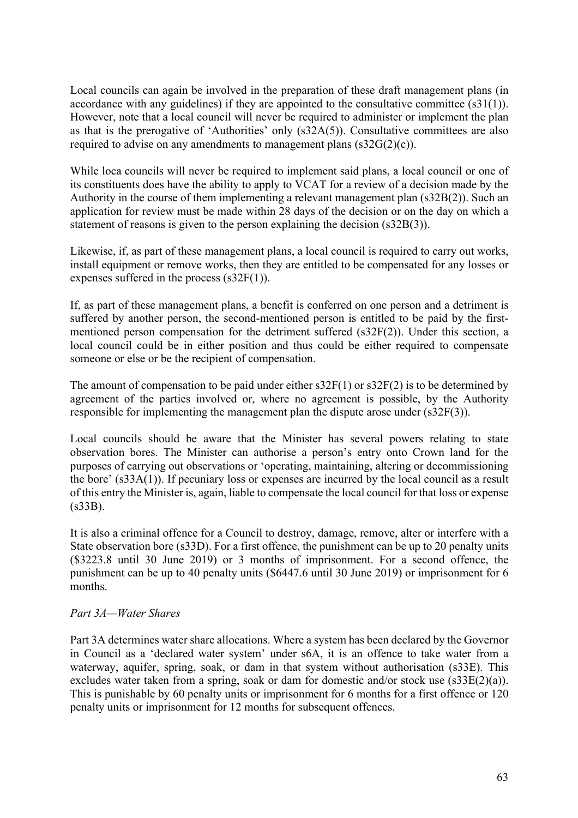Local councils can again be involved in the preparation of these draft management plans (in accordance with any guidelines) if they are appointed to the consultative committee (s31(1)). However, note that a local council will never be required to administer or implement the plan as that is the prerogative of 'Authorities' only (s32A(5)). Consultative committees are also required to advise on any amendments to management plans  $(s32G(2)(c))$ .

While loca councils will never be required to implement said plans, a local council or one of its constituents does have the ability to apply to VCAT for a review of a decision made by the Authority in the course of them implementing a relevant management plan (s32B(2)). Such an application for review must be made within 28 days of the decision or on the day on which a statement of reasons is given to the person explaining the decision (s32B(3)).

Likewise, if, as part of these management plans, a local council is required to carry out works, install equipment or remove works, then they are entitled to be compensated for any losses or expenses suffered in the process (s32F(1)).

If, as part of these management plans, a benefit is conferred on one person and a detriment is suffered by another person, the second-mentioned person is entitled to be paid by the firstmentioned person compensation for the detriment suffered (s32F(2)). Under this section, a local council could be in either position and thus could be either required to compensate someone or else or be the recipient of compensation.

The amount of compensation to be paid under either  $s32F(1)$  or  $s32F(2)$  is to be determined by agreement of the parties involved or, where no agreement is possible, by the Authority responsible for implementing the management plan the dispute arose under (s32F(3)).

Local councils should be aware that the Minister has several powers relating to state observation bores. The Minister can authorise a person's entry onto Crown land for the purposes of carrying out observations or 'operating, maintaining, altering or decommissioning the bore' (s33A(1)). If pecuniary loss or expenses are incurred by the local council as a result of this entry the Minister is, again, liable to compensate the local council for that loss or expense (s33B).

It is also a criminal offence for a Council to destroy, damage, remove, alter or interfere with a State observation bore (s33D). For a first offence, the punishment can be up to 20 penalty units (\$3223.8 until 30 June 2019) or 3 months of imprisonment. For a second offence, the punishment can be up to 40 penalty units (\$6447.6 until 30 June 2019) or imprisonment for 6 months.

# *Part 3A—Water Shares*

Part 3A determines water share allocations. Where a system has been declared by the Governor in Council as a 'declared water system' under s6A, it is an offence to take water from a waterway, aquifer, spring, soak, or dam in that system without authorisation (s33E). This excludes water taken from a spring, soak or dam for domestic and/or stock use (s33E(2)(a)). This is punishable by 60 penalty units or imprisonment for 6 months for a first offence or 120 penalty units or imprisonment for 12 months for subsequent offences.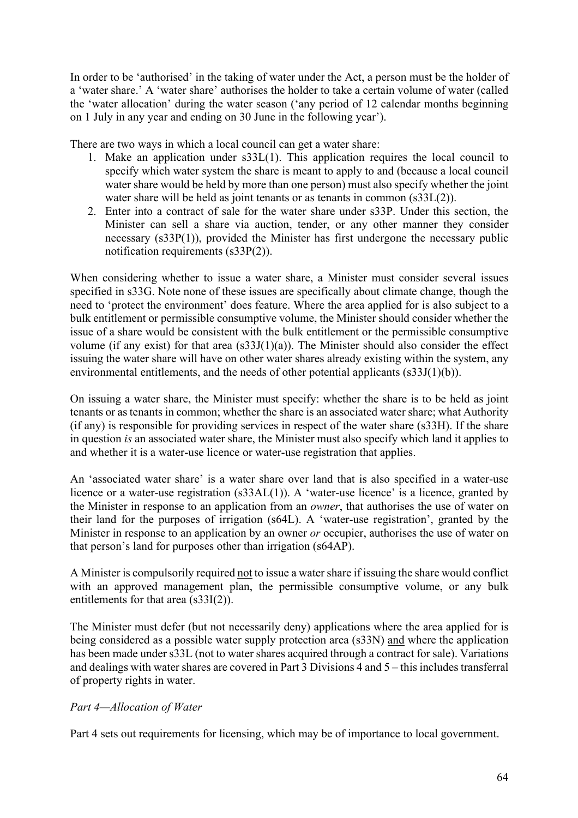In order to be 'authorised' in the taking of water under the Act, a person must be the holder of a 'water share.' A 'water share' authorises the holder to take a certain volume of water (called the 'water allocation' during the water season ('any period of 12 calendar months beginning on 1 July in any year and ending on 30 June in the following year').

There are two ways in which a local council can get a water share:

- 1. Make an application under s33L(1). This application requires the local council to specify which water system the share is meant to apply to and (because a local council water share would be held by more than one person) must also specify whether the joint water share will be held as joint tenants or as tenants in common (s33L(2)).
- 2. Enter into a contract of sale for the water share under s33P. Under this section, the Minister can sell a share via auction, tender, or any other manner they consider necessary (s33P(1)), provided the Minister has first undergone the necessary public notification requirements (s33P(2)).

When considering whether to issue a water share, a Minister must consider several issues specified in s33G. Note none of these issues are specifically about climate change, though the need to 'protect the environment' does feature. Where the area applied for is also subject to a bulk entitlement or permissible consumptive volume, the Minister should consider whether the issue of a share would be consistent with the bulk entitlement or the permissible consumptive volume (if any exist) for that area  $(s33J(1)(a))$ . The Minister should also consider the effect issuing the water share will have on other water shares already existing within the system, any environmental entitlements, and the needs of other potential applicants (s33J(1)(b)).

On issuing a water share, the Minister must specify: whether the share is to be held as joint tenants or as tenants in common; whether the share is an associated water share; what Authority (if any) is responsible for providing services in respect of the water share (s33H). If the share in question *is* an associated water share, the Minister must also specify which land it applies to and whether it is a water-use licence or water-use registration that applies.

An 'associated water share' is a water share over land that is also specified in a water-use licence or a water-use registration (s33AL(1)). A 'water-use licence' is a licence, granted by the Minister in response to an application from an *owner*, that authorises the use of water on their land for the purposes of irrigation (s64L). A 'water-use registration', granted by the Minister in response to an application by an owner *or* occupier, authorises the use of water on that person's land for purposes other than irrigation (s64AP).

A Minister is compulsorily required not to issue a watershare if issuing the share would conflict with an approved management plan, the permissible consumptive volume, or any bulk entitlements for that area (s33I(2)).

The Minister must defer (but not necessarily deny) applications where the area applied for is being considered as a possible water supply protection area (s33N) and where the application has been made under s33L (not to water shares acquired through a contract for sale). Variations and dealings with water shares are covered in Part 3 Divisions 4 and 5 – this includes transferral of property rights in water.

# *Part 4—Allocation of Water*

Part 4 sets out requirements for licensing, which may be of importance to local government.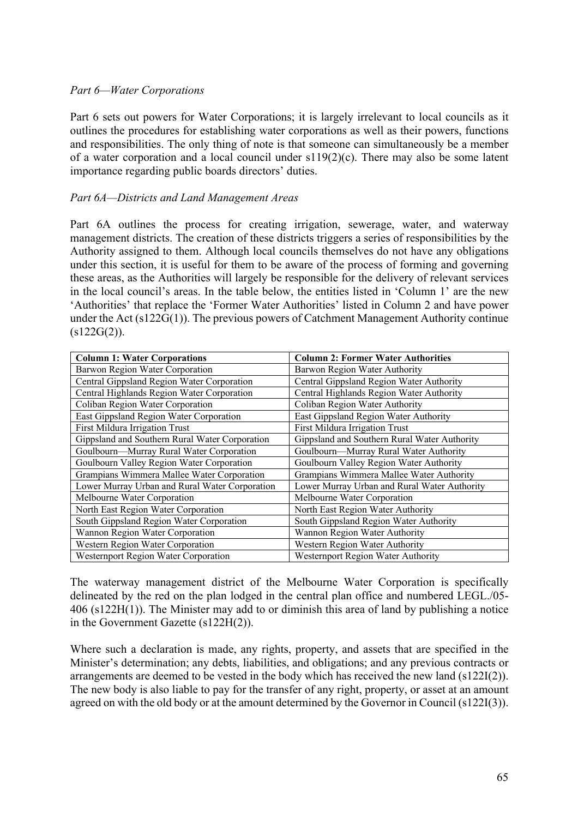#### *Part 6—Water Corporations*

Part 6 sets out powers for Water Corporations; it is largely irrelevant to local councils as it outlines the procedures for establishing water corporations as well as their powers, functions and responsibilities. The only thing of note is that someone can simultaneously be a member of a water corporation and a local council under  $s119(2)(c)$ . There may also be some latent importance regarding public boards directors' duties.

#### *Part 6A—Districts and Land Management Areas*

Part 6A outlines the process for creating irrigation, sewerage, water, and waterway management districts. The creation of these districts triggers a series of responsibilities by the Authority assigned to them. Although local councils themselves do not have any obligations under this section, it is useful for them to be aware of the process of forming and governing these areas, as the Authorities will largely be responsible for the delivery of relevant services in the local council's areas. In the table below, the entities listed in 'Column 1' are the new 'Authorities' that replace the 'Former Water Authorities' listed in Column 2 and have power under the Act (s122G(1)). The previous powers of Catchment Management Authority continue  $(s122G(2)).$ 

| <b>Column 1: Water Corporations</b>                        | <b>Column 2: Former Water Authorities</b>    |  |
|------------------------------------------------------------|----------------------------------------------|--|
| Barwon Region Water Corporation                            | Barwon Region Water Authority                |  |
| Central Gippsland Region Water Corporation                 | Central Gippsland Region Water Authority     |  |
| Central Highlands Region Water Corporation                 | Central Highlands Region Water Authority     |  |
| Coliban Region Water Corporation                           | Coliban Region Water Authority               |  |
| East Gippsland Region Water Corporation                    | East Gippsland Region Water Authority        |  |
| First Mildura Irrigation Trust                             | First Mildura Irrigation Trust               |  |
| Gippsland and Southern Rural Water Corporation             | Gippsland and Southern Rural Water Authority |  |
| Goulbourn-Murray Rural Water Corporation                   | Goulbourn—Murray Rural Water Authority       |  |
| Goulbourn Valley Region Water Corporation                  | Goulbourn Valley Region Water Authority      |  |
| Grampians Wimmera Mallee Water Corporation                 | Grampians Wimmera Mallee Water Authority     |  |
| Lower Murray Urban and Rural Water Corporation             | Lower Murray Urban and Rural Water Authority |  |
| Melbourne Water Corporation<br>Melbourne Water Corporation |                                              |  |
| North East Region Water Corporation                        | North East Region Water Authority            |  |
| South Gippsland Region Water Corporation                   | South Gippsland Region Water Authority       |  |
| Wannon Region Water Corporation                            | Wannon Region Water Authority                |  |
| Western Region Water Corporation                           | Western Region Water Authority               |  |
| Westernport Region Water Corporation                       | Westernport Region Water Authority           |  |

The waterway management district of the Melbourne Water Corporation is specifically delineated by the red on the plan lodged in the central plan office and numbered LEGL./05- 406 (s122H(1)). The Minister may add to or diminish this area of land by publishing a notice in the Government Gazette (s122H(2)).

Where such a declaration is made, any rights, property, and assets that are specified in the Minister's determination; any debts, liabilities, and obligations; and any previous contracts or arrangements are deemed to be vested in the body which has received the new land (s122I(2)). The new body is also liable to pay for the transfer of any right, property, or asset at an amount agreed on with the old body or at the amount determined by the Governor in Council (s122I(3)).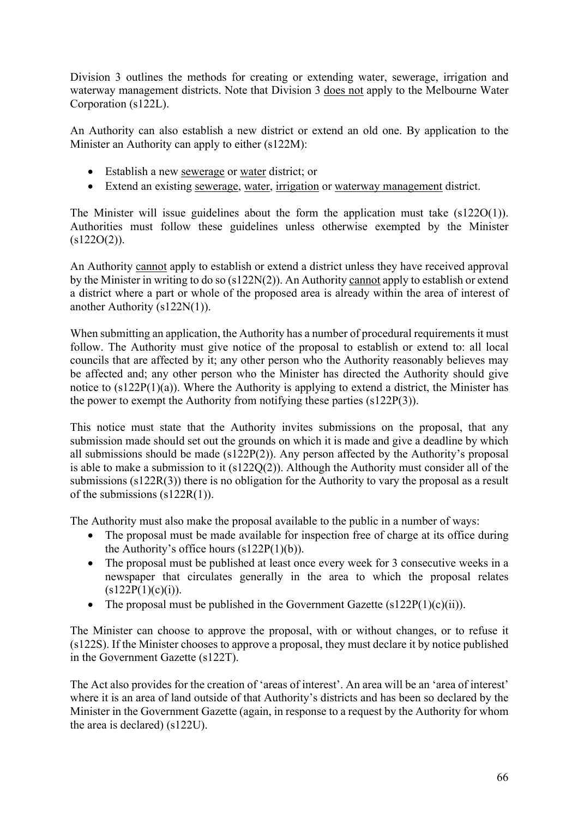Division 3 outlines the methods for creating or extending water, sewerage, irrigation and waterway management districts. Note that Division 3 does not apply to the Melbourne Water Corporation (s122L).

An Authority can also establish a new district or extend an old one. By application to the Minister an Authority can apply to either (s122M):

- Establish a new sewerage or water district; or
- Extend an existing sewerage, water, irrigation or waterway management district.

The Minister will issue guidelines about the form the application must take (s122O(1)). Authorities must follow these guidelines unless otherwise exempted by the Minister  $(s122O(2))$ .

An Authority cannot apply to establish or extend a district unless they have received approval by the Minister in writing to do so (s122N(2)). An Authority cannot apply to establish or extend a district where a part or whole of the proposed area is already within the area of interest of another Authority (s122N(1)).

When submitting an application, the Authority has a number of procedural requirements it must follow. The Authority must give notice of the proposal to establish or extend to: all local councils that are affected by it; any other person who the Authority reasonably believes may be affected and; any other person who the Minister has directed the Authority should give notice to (s122P(1)(a)). Where the Authority is applying to extend a district, the Minister has the power to exempt the Authority from notifying these parties (s122P(3)).

This notice must state that the Authority invites submissions on the proposal, that any submission made should set out the grounds on which it is made and give a deadline by which all submissions should be made ( $s122P(2)$ ). Any person affected by the Authority's proposal is able to make a submission to it (s122Q(2)). Although the Authority must consider all of the submissions (s122R(3)) there is no obligation for the Authority to vary the proposal as a result of the submissions (s122R(1)).

The Authority must also make the proposal available to the public in a number of ways:

- The proposal must be made available for inspection free of charge at its office during the Authority's office hours (s122P(1)(b)).
- The proposal must be published at least once every week for 3 consecutive weeks in a newspaper that circulates generally in the area to which the proposal relates  $(s122P(1)(c)(i)).$
- The proposal must be published in the Government Gazette  $(s122P(1)(c)(ii))$ .

The Minister can choose to approve the proposal, with or without changes, or to refuse it (s122S). If the Minister chooses to approve a proposal, they must declare it by notice published in the Government Gazette (s122T).

The Act also provides for the creation of 'areas of interest'. An area will be an 'area of interest' where it is an area of land outside of that Authority's districts and has been so declared by the Minister in the Government Gazette (again, in response to a request by the Authority for whom the area is declared) (s122U).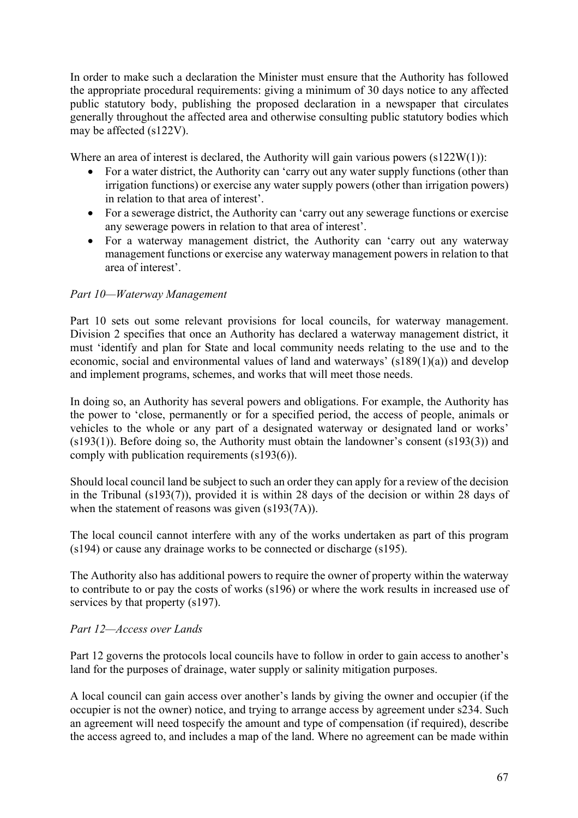In order to make such a declaration the Minister must ensure that the Authority has followed the appropriate procedural requirements: giving a minimum of 30 days notice to any affected public statutory body, publishing the proposed declaration in a newspaper that circulates generally throughout the affected area and otherwise consulting public statutory bodies which may be affected (s122V).

Where an area of interest is declared, the Authority will gain various powers  $(s122W(1))$ :

- For a water district, the Authority can 'carry out any water supply functions (other than irrigation functions) or exercise any water supply powers (other than irrigation powers) in relation to that area of interest'.
- For a sewerage district, the Authority can 'carry out any sewerage functions or exercise any sewerage powers in relation to that area of interest'.
- For a waterway management district, the Authority can 'carry out any waterway management functions or exercise any waterway management powers in relation to that area of interest'.

# *Part 10—Waterway Management*

Part 10 sets out some relevant provisions for local councils, for waterway management. Division 2 specifies that once an Authority has declared a waterway management district, it must 'identify and plan for State and local community needs relating to the use and to the economic, social and environmental values of land and waterways' (s189(1)(a)) and develop and implement programs, schemes, and works that will meet those needs.

In doing so, an Authority has several powers and obligations. For example, the Authority has the power to 'close, permanently or for a specified period, the access of people, animals or vehicles to the whole or any part of a designated waterway or designated land or works' (s193(1)). Before doing so, the Authority must obtain the landowner's consent (s193(3)) and comply with publication requirements (s193(6)).

Should local council land be subject to such an order they can apply for a review of the decision in the Tribunal (s193(7)), provided it is within 28 days of the decision or within 28 days of when the statement of reasons was given (s193(7A)).

The local council cannot interfere with any of the works undertaken as part of this program (s194) or cause any drainage works to be connected or discharge (s195).

The Authority also has additional powers to require the owner of property within the waterway to contribute to or pay the costs of works (s196) or where the work results in increased use of services by that property (s197).

#### *Part 12—Access over Lands*

Part 12 governs the protocols local councils have to follow in order to gain access to another's land for the purposes of drainage, water supply or salinity mitigation purposes.

A local council can gain access over another's lands by giving the owner and occupier (if the occupier is not the owner) notice, and trying to arrange access by agreement under s234. Such an agreement will need tospecify the amount and type of compensation (if required), describe the access agreed to, and includes a map of the land. Where no agreement can be made within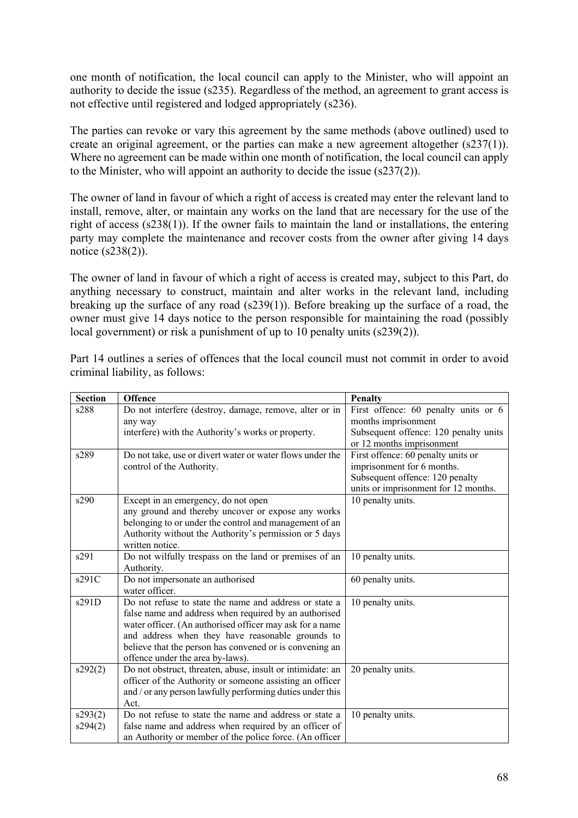one month of notification, the local council can apply to the Minister, who will appoint an authority to decide the issue (s235). Regardless of the method, an agreement to grant access is not effective until registered and lodged appropriately (s236).

The parties can revoke or vary this agreement by the same methods (above outlined) used to create an original agreement, or the parties can make a new agreement altogether (s237(1)). Where no agreement can be made within one month of notification, the local council can apply to the Minister, who will appoint an authority to decide the issue (s237(2)).

The owner of land in favour of which a right of access is created may enter the relevant land to install, remove, alter, or maintain any works on the land that are necessary for the use of the right of access (s238(1)). If the owner fails to maintain the land or installations, the entering party may complete the maintenance and recover costs from the owner after giving 14 days notice (s238(2)).

The owner of land in favour of which a right of access is created may, subject to this Part, do anything necessary to construct, maintain and alter works in the relevant land, including breaking up the surface of any road (s239(1)). Before breaking up the surface of a road, the owner must give 14 days notice to the person responsible for maintaining the road (possibly local government) or risk a punishment of up to 10 penalty units (s239(2)).

| <b>Section</b> | Offence                                                    | Penalty                               |
|----------------|------------------------------------------------------------|---------------------------------------|
| s288           | Do not interfere (destroy, damage, remove, alter or in     | First offence: 60 penalty units or 6  |
|                | any way                                                    | months imprisonment                   |
|                | interfere) with the Authority's works or property.         | Subsequent offence: 120 penalty units |
|                |                                                            | or 12 months imprisonment             |
| s289           | Do not take, use or divert water or water flows under the  | First offence: 60 penalty units or    |
|                | control of the Authority.                                  | imprisonment for 6 months.            |
|                |                                                            | Subsequent offence: 120 penalty       |
|                |                                                            | units or imprisonment for 12 months.  |
| s290           | Except in an emergency, do not open                        | 10 penalty units.                     |
|                | any ground and thereby uncover or expose any works         |                                       |
|                | belonging to or under the control and management of an     |                                       |
|                | Authority without the Authority's permission or 5 days     |                                       |
|                | written notice.                                            |                                       |
| s291           | Do not wilfully trespass on the land or premises of an     | 10 penalty units.                     |
|                | Authority.                                                 |                                       |
| s291C          | Do not impersonate an authorised                           | 60 penalty units.                     |
|                | water officer.                                             |                                       |
| s291D          | Do not refuse to state the name and address or state a     | 10 penalty units.                     |
|                | false name and address when required by an authorised      |                                       |
|                | water officer. (An authorised officer may ask for a name   |                                       |
|                | and address when they have reasonable grounds to           |                                       |
|                | believe that the person has convened or is convening an    |                                       |
|                | offence under the area by-laws).                           |                                       |
| s292(2)        | Do not obstruct, threaten, abuse, insult or intimidate: an | 20 penalty units.                     |
|                | officer of the Authority or someone assisting an officer   |                                       |
|                | and / or any person lawfully performing duties under this  |                                       |
|                | Act.                                                       |                                       |
| s293(2)        | Do not refuse to state the name and address or state a     | 10 penalty units.                     |
| s294(2)        | false name and address when required by an officer of      |                                       |
|                | an Authority or member of the police force. (An officer    |                                       |

Part 14 outlines a series of offences that the local council must not commit in order to avoid criminal liability, as follows: